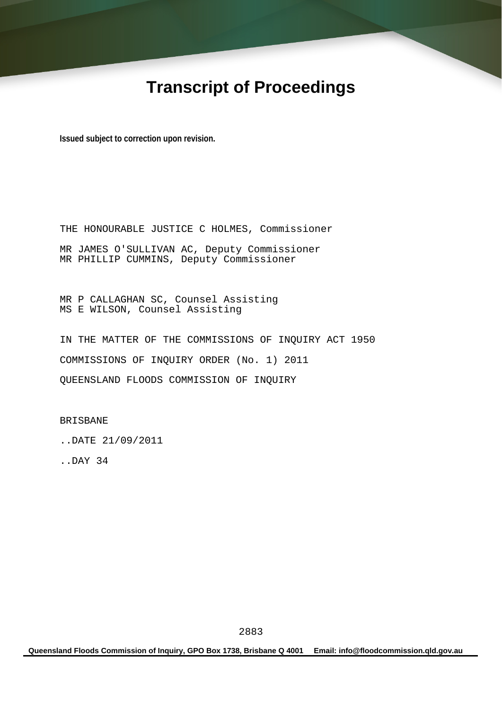# **Transcript of Proceedings**

**Issued subject to correction upon revision.** 

THE HONOURABLE JUSTICE C HOLMES, Commissioner MR JAMES O'SULLIVAN AC, Deputy Commissioner MR PHILLIP CUMMINS, Deputy Commissioner

MR P CALLAGHAN SC, Counsel Assisting MS E WILSON, Counsel Assisting

IN THE MATTER OF THE COMMISSIONS OF INQUIRY ACT 1950 COMMISSIONS OF INQUIRY ORDER (No. 1) 2011 QUEENSLAND FLOODS COMMISSION OF INQUIRY

BRISBANE

..DATE 21/09/2011

..DAY 34

**Queensland Floods Commission of Inquiry, GPO Box 1738, Brisbane Q 4001 Email: info@floodcommission.qld.gov.au**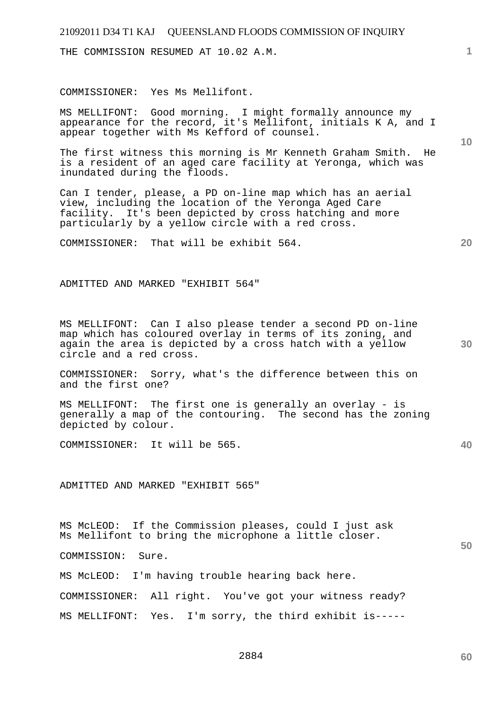THE COMMISSION RESUMED AT 10.02 A.M.

COMMISSIONER: Yes Ms Mellifont.

MS MELLIFONT: Good morning. I might formally announce my appearance for the record, it's Mellifont, initials K A, and I appear together with Ms Kefford of counsel.

The first witness this morning is Mr Kenneth Graham Smith. He is a resident of an aged care facility at Yeronga, which was inundated during the floods.

Can I tender, please, a PD on-line map which has an aerial view, including the location of the Yeronga Aged Care facility. It's been depicted by cross hatching and more particularly by a yellow circle with a red cross.

COMMISSIONER: That will be exhibit 564.

ADMITTED AND MARKED "EXHIBIT 564"

MS MELLIFONT: Can I also please tender a second PD on-line map which has coloured overlay in terms of its zoning, and again the area is depicted by a cross hatch with a yellow circle and a red cross.

COMMISSIONER: Sorry, what's the difference between this on and the first one?

MS MELLIFONT: The first one is generally an overlay - is generally a map of the contouring. The second has the zoning depicted by colour.

COMMISSIONER: It will be 565.

ADMITTED AND MARKED "EXHIBIT 565"

MS McLEOD: If the Commission pleases, could I just ask Ms Mellifont to bring the microphone a little closer.

COMMISSION: Sure.

MS McLEOD: I'm having trouble hearing back here.

COMMISSIONER: All right. You've got your witness ready? MS MELLIFONT: Yes. I'm sorry, the third exhibit is-----

2884

**10** 

**1**

**20** 

**30** 

**40**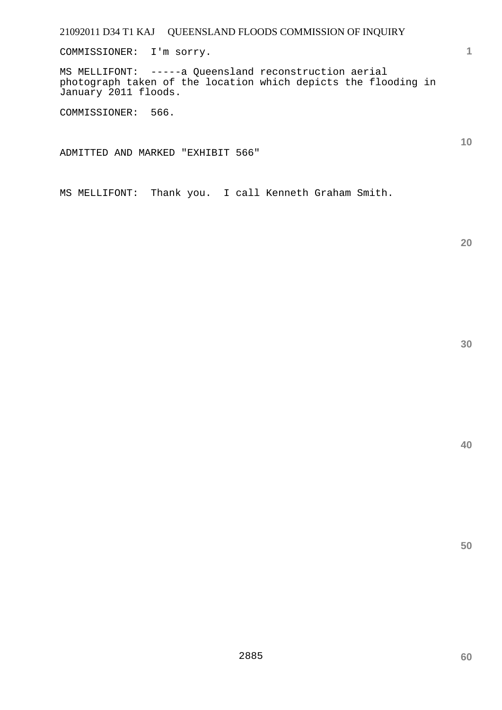COMMISSIONER: I'm sorry.

MS MELLIFONT: -----a Queensland reconstruction aerial photograph taken of the location which depicts the flooding in January 2011 floods.

COMMISSIONER: 566.

ADMITTED AND MARKED "EXHIBIT 566"

MS MELLIFONT: Thank you. I call Kenneth Graham Smith.

**20** 

**10** 

**1**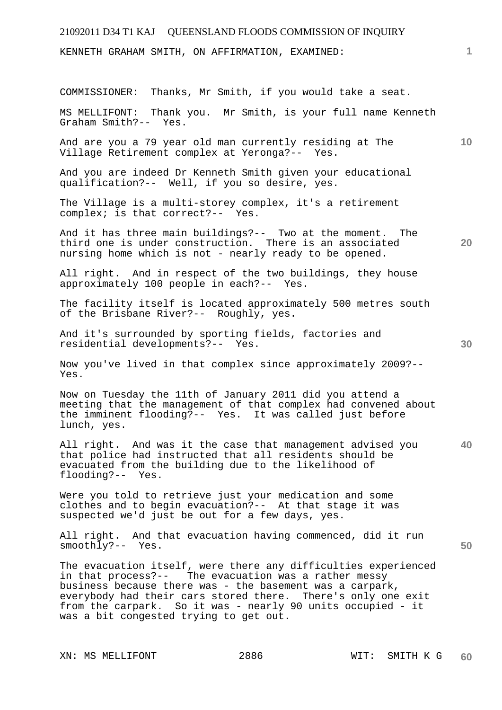KENNETH GRAHAM SMITH, ON AFFIRMATION, EXAMINED:

COMMISSIONER: Thanks, Mr Smith, if you would take a seat.

MS MELLIFONT: Thank you. Mr Smith, is your full name Kenneth Graham Smith?-- Yes.

And are you a 79 year old man currently residing at The Village Retirement complex at Yeronga?-- Yes.

And you are indeed Dr Kenneth Smith given your educational qualification?-- Well, if you so desire, yes.

The Village is a multi-storey complex, it's a retirement complex; is that correct?-- Yes.

And it has three main buildings?-- Two at the moment. The third one is under construction. There is an associated nursing home which is not - nearly ready to be opened.

All right. And in respect of the two buildings, they house approximately 100 people in each?-- Yes.

The facility itself is located approximately 500 metres south of the Brisbane River?-- Roughly, yes.

And it's surrounded by sporting fields, factories and residential developments?-- Yes.

Now you've lived in that complex since approximately 2009?-- Yes.

Now on Tuesday the 11th of January 2011 did you attend a meeting that the management of that complex had convened about the imminent flooding?-- Yes. It was called just before lunch, yes.

**40**  All right. And was it the case that management advised you that police had instructed that all residents should be evacuated from the building due to the likelihood of flooding?-- Yes.

Were you told to retrieve just your medication and some clothes and to begin evacuation?-- At that stage it was suspected we'd just be out for a few days, yes.

All right. And that evacuation having commenced, did it run smoothly?-- Yes.

The evacuation itself, were there any difficulties experienced in that process?-- The evacuation was a rather messy business because there was - the basement was a carpark, everybody had their cars stored there. There's only one exit from the carpark. So it was - nearly 90 units occupied - it was a bit congested trying to get out.

XN: MS MELLIFONT 2886 WIT: SMITH K G

**1**

**10** 

**30** 

**50**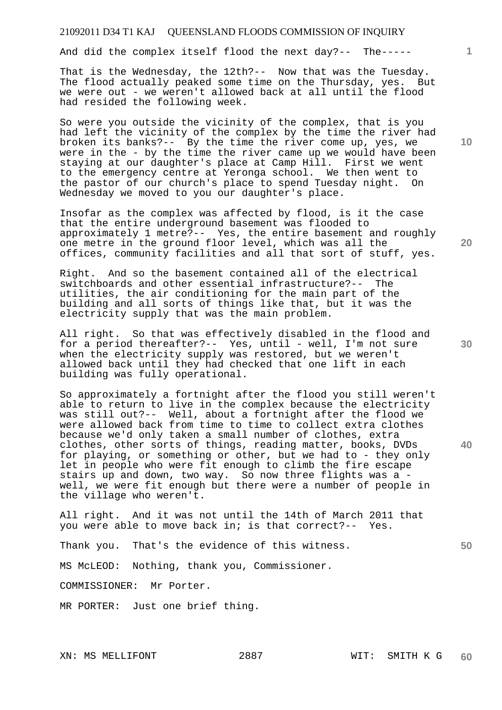And did the complex itself flood the next day?-- The-----

That is the Wednesday, the 12th?-- Now that was the Tuesday. The flood actually peaked some time on the Thursday, yes. But we were out - we weren't allowed back at all until the flood had resided the following week.

So were you outside the vicinity of the complex, that is you had left the vicinity of the complex by the time the river had broken its banks?-- By the time the river come up, yes, we were in the - by the time the river came up we would have been staying at our daughter's place at Camp Hill. First we went to the emergency centre at Yeronga school. We then went to the pastor of our church's place to spend Tuesday night. On Wednesday we moved to you our daughter's place.

Insofar as the complex was affected by flood, is it the case that the entire underground basement was flooded to approximately 1 metre?-- Yes, the entire basement and roughly one metre in the ground floor level, which was all the offices, community facilities and all that sort of stuff, yes.

Right. And so the basement contained all of the electrical switchboards and other essential infrastructure?-- The utilities, the air conditioning for the main part of the building and all sorts of things like that, but it was the electricity supply that was the main problem.

All right. So that was effectively disabled in the flood and for a period thereafter?-- Yes, until - well, I'm not sure when the electricity supply was restored, but we weren't allowed back until they had checked that one lift in each building was fully operational.

So approximately a fortnight after the flood you still weren't able to return to live in the complex because the electricity was still out?-- Well, about a fortnight after the flood we were allowed back from time to time to collect extra clothes because we'd only taken a small number of clothes, extra clothes, other sorts of things, reading matter, books, DVDs for playing, or something or other, but we had to - they only let in people who were fit enough to climb the fire escape stairs up and down, two way. So now three flights was a well, we were fit enough but there were a number of people in the village who weren't.

All right. And it was not until the 14th of March 2011 that you were able to move back in; is that correct?-- Yes.

Thank you. That's the evidence of this witness.

MS McLEOD: Nothing, thank you, Commissioner.

COMMISSIONER: Mr Porter.

MR PORTER: Just one brief thing.

**10** 

**1**

**20** 

**30** 

**40**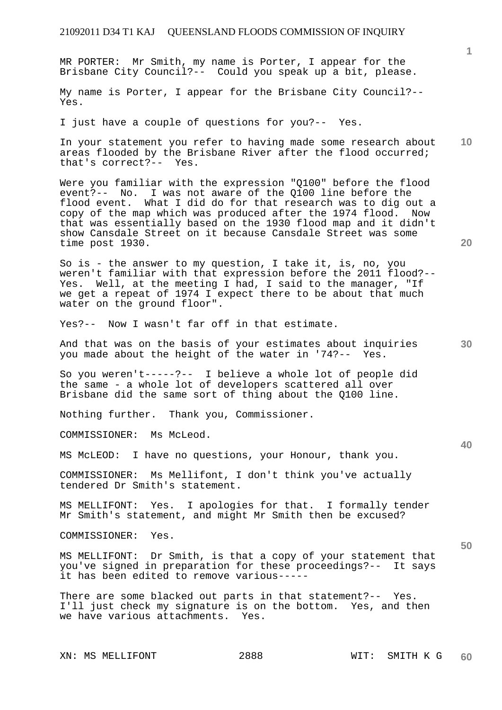MR PORTER: Mr Smith, my name is Porter, I appear for the Brisbane City Council?-- Could you speak up a bit, please.

My name is Porter, I appear for the Brisbane City Council?-- Yes.

I just have a couple of questions for you?-- Yes.

**10**  In your statement you refer to having made some research about areas flooded by the Brisbane River after the flood occurred; that's correct?-- Yes.

Were you familiar with the expression "Q100" before the flood event?-- No. I was not aware of the Q100 line before the flood event. What I did do for that research was to dig out a copy of the map which was produced after the 1974 flood. Now that was essentially based on the 1930 flood map and it didn't show Cansdale Street on it because Cansdale Street was some time post 1930.

So is - the answer to my question, I take it, is, no, you weren't familiar with that expression before the 2011 flood?-- Yes. Well, at the meeting I had, I said to the manager, "If we get a repeat of 1974 I expect there to be about that much water on the ground floor".

Yes?-- Now I wasn't far off in that estimate.

And that was on the basis of your estimates about inquiries you made about the height of the water in '74?-- Yes.

So you weren't-----?-- I believe a whole lot of people did the same - a whole lot of developers scattered all over Brisbane did the same sort of thing about the Q100 line.

Nothing further. Thank you, Commissioner.

COMMISSIONER: Ms McLeod.

MS McLEOD: I have no questions, your Honour, thank you.

COMMISSIONER: Ms Mellifont, I don't think you've actually tendered Dr Smith's statement.

MS MELLIFONT: Yes. I apologies for that. I formally tender Mr Smith's statement, and might Mr Smith then be excused?

COMMISSIONER: Yes.

MS MELLIFONT: Dr Smith, is that a copy of your statement that you've signed in preparation for these proceedings?-- It says it has been edited to remove various-----

There are some blacked out parts in that statement?-- Yes. I'll just check my signature is on the bottom. Yes, and then we have various attachments. Yes.

XN: MS MELLIFONT 2888 WIT: SMITH K G

**20** 

**40** 

**50** 

**30**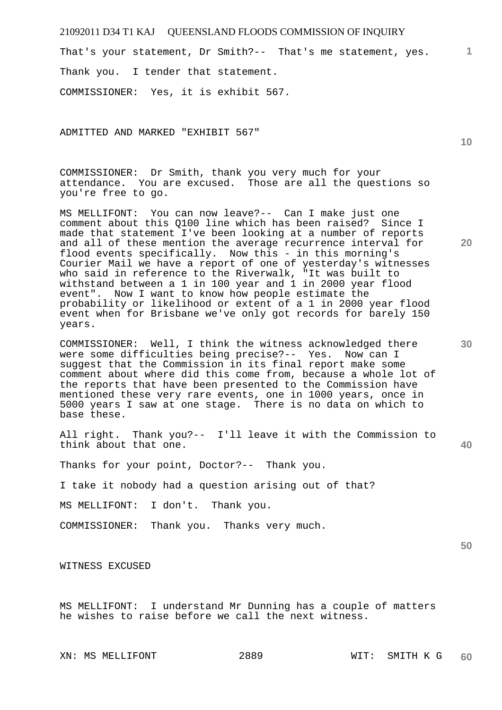**1** That's your statement, Dr Smith?-- That's me statement, yes. Thank you. I tender that statement.

COMMISSIONER: Yes, it is exhibit 567.

ADMITTED AND MARKED "EXHIBIT 567"

COMMISSIONER: Dr Smith, thank you very much for your attendance. You are excused. Those are all the questions so you're free to go.

MS MELLIFONT: You can now leave?-- Can I make just one comment about this Q100 line which has been raised? Since I made that statement I've been looking at a number of reports and all of these mention the average recurrence interval for flood events specifically. Now this - in this morning's Courier Mail we have a report of one of yesterday's witnesses who said in reference to the Riverwalk, "It was built to withstand between a 1 in 100 year and 1 in 2000 year flood event". Now I want to know how people estimate the probability or likelihood or extent of a 1 in 2000 year flood event when for Brisbane we've only got records for barely 150 years.

COMMISSIONER: Well, I think the witness acknowledged there were some difficulties being precise?-- Yes. Now can I suggest that the Commission in its final report make some comment about where did this come from, because a whole lot of the reports that have been presented to the Commission have mentioned these very rare events, one in 1000 years, once in 5000 years I saw at one stage. There is no data on which to base these.

All right. Thank you?-- I'll leave it with the Commission to think about that one.

Thanks for your point, Doctor?-- Thank you.

I take it nobody had a question arising out of that?

MS MELLIFONT: I don't. Thank you.

COMMISSIONER: Thank you. Thanks very much.

WITNESS EXCUSED

MS MELLIFONT: I understand Mr Dunning has a couple of matters he wishes to raise before we call the next witness.

**10** 

**20** 

**30** 

**40**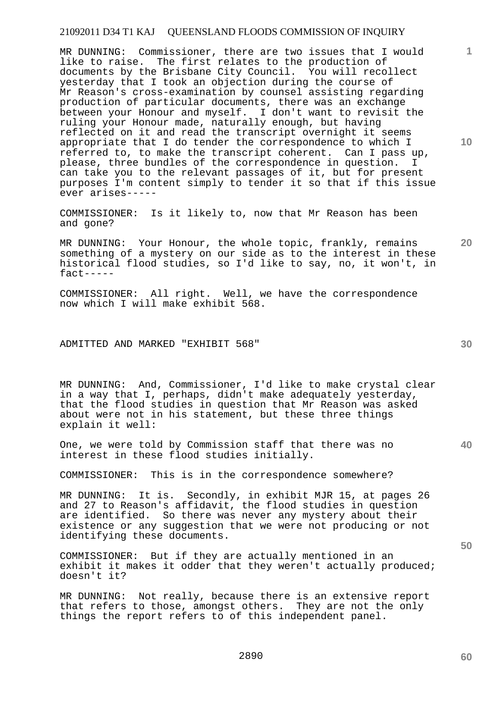MR DUNNING: Commissioner, there are two issues that I would like to raise. The first relates to the production of documents by the Brisbane City Council. You will recollect yesterday that I took an objection during the course of Mr Reason's cross-examination by counsel assisting regarding production of particular documents, there was an exchange between your Honour and myself. I don't want to revisit the ruling your Honour made, naturally enough, but having reflected on it and read the transcript overnight it seems appropriate that I do tender the correspondence to which I referred to, to make the transcript coherent. Can I pass up, please, three bundles of the correspondence in question. I can take you to the relevant passages of it, but for present purposes I'm content simply to tender it so that if this issue ever arises-----

COMMISSIONER: Is it likely to, now that Mr Reason has been and gone?

MR DUNNING: Your Honour, the whole topic, frankly, remains something of a mystery on our side as to the interest in these historical flood studies, so I'd like to say, no, it won't, in fact-----

COMMISSIONER: All right. Well, we have the correspondence now which I will make exhibit 568.

# ADMITTED AND MARKED "EXHIBIT 568"

MR DUNNING: And, Commissioner, I'd like to make crystal clear in a way that I, perhaps, didn't make adequately yesterday, that the flood studies in question that Mr Reason was asked about were not in his statement, but these three things explain it well:

One, we were told by Commission staff that there was no interest in these flood studies initially.

COMMISSIONER: This is in the correspondence somewhere?

MR DUNNING: It is. Secondly, in exhibit MJR 15, at pages 26 and 27 to Reason's affidavit, the flood studies in question are identified. So there was never any mystery about their existence or any suggestion that we were not producing or not identifying these documents.

COMMISSIONER: But if they are actually mentioned in an exhibit it makes it odder that they weren't actually produced; doesn't it?

MR DUNNING: Not really, because there is an extensive report that refers to those, amongst others. They are not the only things the report refers to of this independent panel.

**10** 

**1**

**20** 

**40**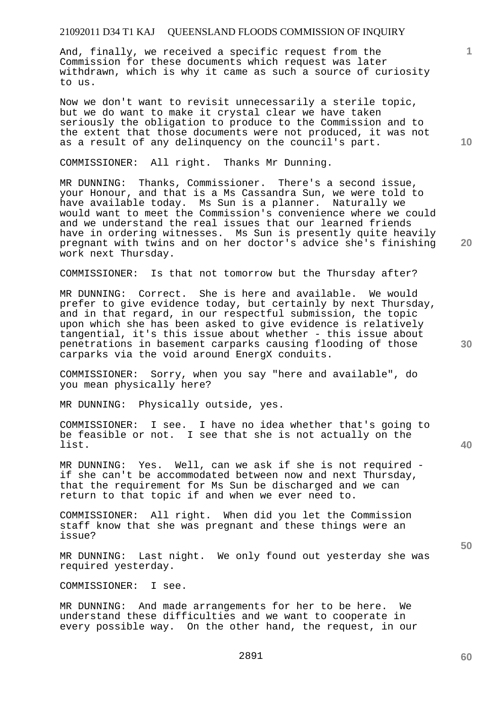And, finally, we received a specific request from the Commission for these documents which request was later withdrawn, which is why it came as such a source of curiosity to us.

Now we don't want to revisit unnecessarily a sterile topic, but we do want to make it crystal clear we have taken seriously the obligation to produce to the Commission and to the extent that those documents were not produced, it was not as a result of any delinquency on the council's part.

COMMISSIONER: All right. Thanks Mr Dunning.

MR DUNNING: Thanks, Commissioner. There's a second issue, your Honour, and that is a Ms Cassandra Sun, we were told to have available today. Ms Sun is a planner. Naturally we would want to meet the Commission's convenience where we could and we understand the real issues that our learned friends have in ordering witnesses. Ms Sun is presently quite heavily pregnant with twins and on her doctor's advice she's finishing work next Thursday.

COMMISSIONER: Is that not tomorrow but the Thursday after?

MR DUNNING: Correct. She is here and available. We would prefer to give evidence today, but certainly by next Thursday, and in that regard, in our respectful submission, the topic upon which she has been asked to give evidence is relatively tangential, it's this issue about whether - this issue about penetrations in basement carparks causing flooding of those carparks via the void around EnergX conduits.

COMMISSIONER: Sorry, when you say "here and available", do you mean physically here?

MR DUNNING: Physically outside, yes.

COMMISSIONER: I see. I have no idea whether that's going to be feasible or not. I see that she is not actually on the list.

MR DUNNING: Yes. Well, can we ask if she is not required if she can't be accommodated between now and next Thursday, that the requirement for Ms Sun be discharged and we can return to that topic if and when we ever need to.

COMMISSIONER: All right. When did you let the Commission staff know that she was pregnant and these things were an issue?

MR DUNNING: Last night. We only found out yesterday she was required yesterday.

COMMISSIONER: I see.

MR DUNNING: And made arrangements for her to be here. We understand these difficulties and we want to cooperate in every possible way. On the other hand, the request, in our

**40** 

**10** 

**20** 

**1**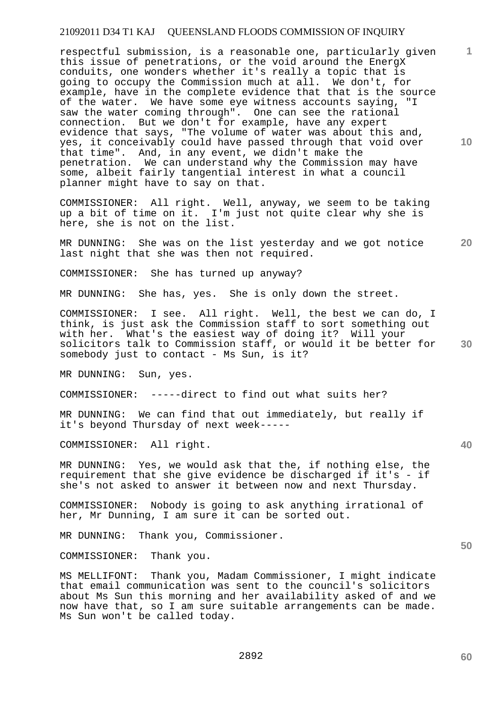respectful submission, is a reasonable one, particularly given this issue of penetrations, or the void around the EnergX conduits, one wonders whether it's really a topic that is going to occupy the Commission much at all. We don't, for example, have in the complete evidence that that is the source of the water. We have some eye witness accounts saying, "I saw the water coming through". One can see the rational connection. But we don't for example, have any expert evidence that says, "The volume of water was about this and, yes, it conceivably could have passed through that void over that time". And, in any event, we didn't make the penetration. We can understand why the Commission may have some, albeit fairly tangential interest in what a council planner might have to say on that.

COMMISSIONER: All right. Well, anyway, we seem to be taking up a bit of time on it. I'm just not quite clear why she is here, she is not on the list.

**20**  MR DUNNING: She was on the list yesterday and we got notice last night that she was then not required.

COMMISSIONER: She has turned up anyway?

MR DUNNING: She has, yes. She is only down the street.

**30**  COMMISSIONER: I see. All right. Well, the best we can do, I think, is just ask the Commission staff to sort something out with her. What's the easiest way of doing it? Will your solicitors talk to Commission staff, or would it be better for somebody just to contact - Ms Sun, is it?

MR DUNNING: Sun, yes.

COMMISSIONER: -----direct to find out what suits her?

MR DUNNING: We can find that out immediately, but really if it's beyond Thursday of next week-----

COMMISSIONER: All right.

MR DUNNING: Yes, we would ask that the, if nothing else, the requirement that she give evidence be discharged if it's - if she's not asked to answer it between now and next Thursday.

COMMISSIONER: Nobody is going to ask anything irrational of her, Mr Dunning, I am sure it can be sorted out.

MR DUNNING: Thank you, Commissioner.

COMMISSIONER: Thank you.

MS MELLIFONT: Thank you, Madam Commissioner, I might indicate that email communication was sent to the council's solicitors about Ms Sun this morning and her availability asked of and we now have that, so I am sure suitable arrangements can be made. Ms Sun won't be called today.

**60** 

**10** 

**1**

**40**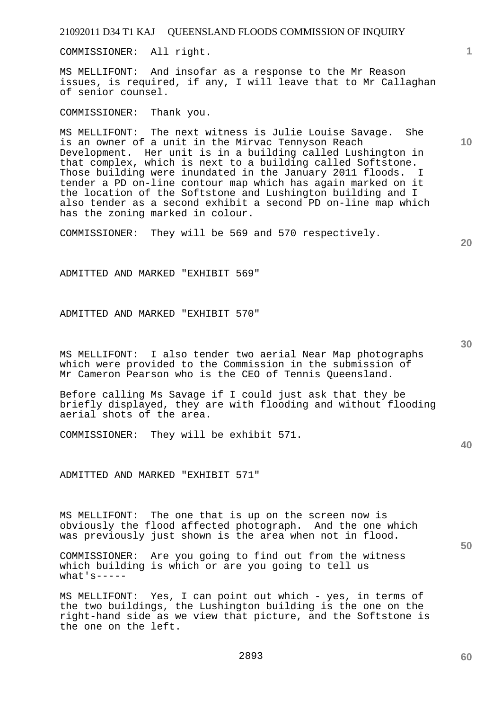COMMISSIONER: All right.

MS MELLIFONT: And insofar as a response to the Mr Reason issues, is required, if any, I will leave that to Mr Callaghan of senior counsel.

COMMISSIONER: Thank you.

MS MELLIFONT: The next witness is Julie Louise Savage. She is an owner of a unit in the Mirvac Tennyson Reach Development. Her unit is in a building called Lushington in that complex, which is next to a building called Softstone. Those building were inundated in the January 2011 floods. I tender a PD on-line contour map which has again marked on it the location of the Softstone and Lushington building and I also tender as a second exhibit a second PD on-line map which has the zoning marked in colour.

COMMISSIONER: They will be 569 and 570 respectively.

**20** 

**30** 

ADMITTED AND MARKED "EXHIBIT 569"

ADMITTED AND MARKED "EXHIBIT 570"

MS MELLIFONT: I also tender two aerial Near Map photographs which were provided to the Commission in the submission of Mr Cameron Pearson who is the CEO of Tennis Queensland.

Before calling Ms Savage if I could just ask that they be briefly displayed, they are with flooding and without flooding aerial shots of the area.

COMMISSIONER: They will be exhibit 571.

ADMITTED AND MARKED "EXHIBIT 571"

MS MELLIFONT: The one that is up on the screen now is obviously the flood affected photograph. And the one which was previously just shown is the area when not in flood.

COMMISSIONER: Are you going to find out from the witness which building is which or are you going to tell us what's-----

MS MELLIFONT: Yes, I can point out which - yes, in terms of the two buildings, the Lushington building is the one on the right-hand side as we view that picture, and the Softstone is the one on the left.

**40** 

**60** 

**10**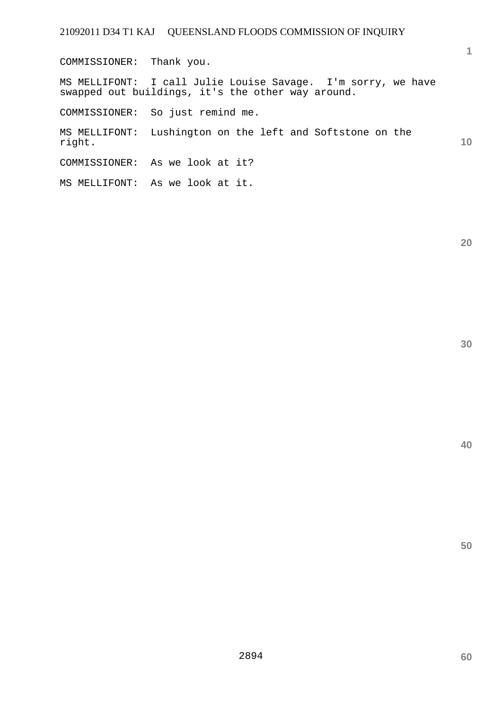COMMISSIONER: Thank you. MS MELLIFONT: I call Julie Louise Savage. I'm sorry, we have swapped out buildings, it's the other way around. COMMISSIONER: So just remind me. MS MELLIFONT: Lushington on the left and Softstone on the right. COMMISSIONER: As we look at it? MS MELLIFONT: As we look at it.

**30** 

**20** 

**1**

**10**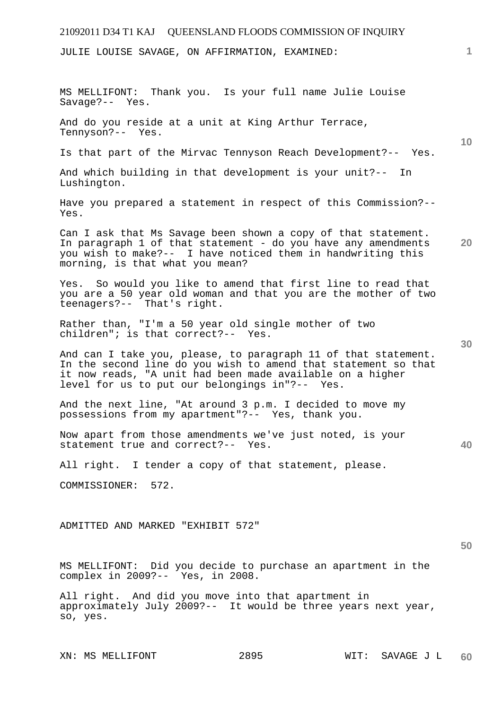# 21092011 D34 T1 KAJ QUEENSLAND FLOODS COMMISSION OF INQUIRY **1 10 20 30 40 50**  JULIE LOUISE SAVAGE, ON AFFIRMATION, EXAMINED: MS MELLIFONT: Thank you. Is your full name Julie Louise Savage?-- Yes. And do you reside at a unit at King Arthur Terrace, Tennyson?-- Yes. Is that part of the Mirvac Tennyson Reach Development?-- Yes. And which building in that development is your unit?-- In Lushington. Have you prepared a statement in respect of this Commission?-- Yes. Can I ask that Ms Savage been shown a copy of that statement. In paragraph 1 of that statement - do you have any amendments you wish to make?-- I have noticed them in handwriting this morning, is that what you mean? Yes. So would you like to amend that first line to read that you are a 50 year old woman and that you are the mother of two teenagers?-- That's right. Rather than, "I'm a 50 year old single mother of two children"; is that correct?-- Yes. And can I take you, please, to paragraph 11 of that statement. In the second line do you wish to amend that statement so that it now reads, "A unit had been made available on a higher level for us to put our belongings in"?-- Yes. And the next line, "At around 3 p.m. I decided to move my possessions from my apartment"?-- Yes, thank you. Now apart from those amendments we've just noted, is your statement true and correct?-- Yes. All right. I tender a copy of that statement, please. COMMISSIONER: 572. ADMITTED AND MARKED "EXHIBIT 572" MS MELLIFONT: Did you decide to purchase an apartment in the complex in 2009?-- Yes, in 2008. All right. And did you move into that apartment in approximately July 2009?-- It would be three years next year,

XN: MS MELLIFONT 2895 WIT: SAVAGE J L

so, yes.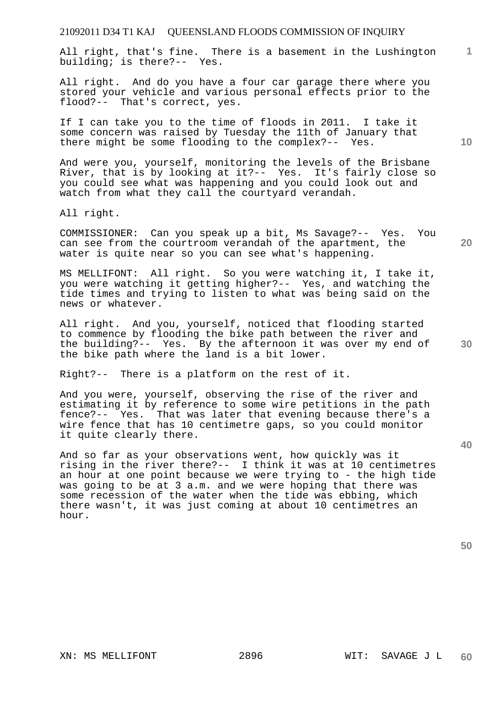All right, that's fine. There is a basement in the Lushington building; is there?-- Yes.

All right. And do you have a four car garage there where you stored your vehicle and various personal effects prior to the flood?-- That's correct, yes.

If I can take you to the time of floods in 2011. I take it some concern was raised by Tuesday the 11th of January that there might be some flooding to the complex?-- Yes.

And were you, yourself, monitoring the levels of the Brisbane River, that is by looking at it?-- Yes. It's fairly close so you could see what was happening and you could look out and watch from what they call the courtyard verandah.

All right.

COMMISSIONER: Can you speak up a bit, Ms Savage?-- Yes. You can see from the courtroom verandah of the apartment, the water is quite near so you can see what's happening.

MS MELLIFONT: All right. So you were watching it, I take it, you were watching it getting higher?-- Yes, and watching the tide times and trying to listen to what was being said on the news or whatever.

All right. And you, yourself, noticed that flooding started to commence by flooding the bike path between the river and the building?-- Yes. By the afternoon it was over my end of the bike path where the land is a bit lower.

Right?-- There is a platform on the rest of it.

And you were, yourself, observing the rise of the river and estimating it by reference to some wire petitions in the path fence?-- Yes. That was later that evening because there's a wire fence that has 10 centimetre gaps, so you could monitor it quite clearly there.

And so far as your observations went, how quickly was it rising in the river there?-- I think it was at 10 centimetres an hour at one point because we were trying to - the high tide was going to be at 3 a.m. and we were hoping that there was some recession of the water when the tide was ebbing, which there wasn't, it was just coming at about 10 centimetres an hour.

**50** 

**10** 

**1**

**20** 

**40**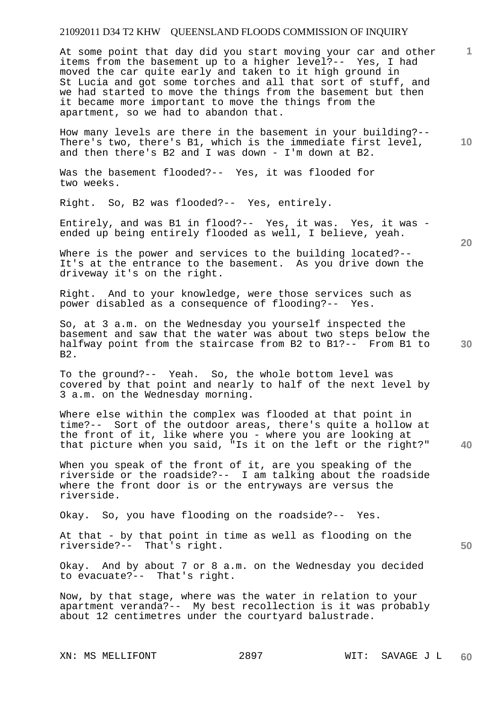At some point that day did you start moving your car and other items from the basement up to a higher level?-- Yes, I had moved the car quite early and taken to it high ground in St Lucia and got some torches and all that sort of stuff, and we had started to move the things from the basement but then it became more important to move the things from the apartment, so we had to abandon that.

How many levels are there in the basement in your building?-- There's two, there's B1, which is the immediate first level, and then there's B2 and I was down - I'm down at B2.

Was the basement flooded?-- Yes, it was flooded for two weeks.

Right. So, B2 was flooded?-- Yes, entirely.

Entirely, and was B1 in flood?-- Yes, it was. Yes, it was ended up being entirely flooded as well, I believe, yeah.

Where is the power and services to the building located?--It's at the entrance to the basement. As you drive down the driveway it's on the right.

Right. And to your knowledge, were those services such as power disabled as a consequence of flooding?-- Yes.

So, at 3 a.m. on the Wednesday you yourself inspected the basement and saw that the water was about two steps below the halfway point from the staircase from B2 to B1?-- From B1 to B2.

To the ground?-- Yeah. So, the whole bottom level was covered by that point and nearly to half of the next level by 3 a.m. on the Wednesday morning.

**40**  Where else within the complex was flooded at that point in time?-- Sort of the outdoor areas, there's quite a hollow at the front of it, like where you - where you are looking at that picture when you said, "Is it on the left or the right?"

When you speak of the front of it, are you speaking of the riverside or the roadside?-- I am talking about the roadside where the front door is or the entryways are versus the riverside.

Okay. So, you have flooding on the roadside?-- Yes.

At that - by that point in time as well as flooding on the riverside?-- That's right.

Okay. And by about 7 or 8 a.m. on the Wednesday you decided to evacuate?-- That's right.

Now, by that stage, where was the water in relation to your apartment veranda?-- My best recollection is it was probably about 12 centimetres under the courtyard balustrade.

**20** 

**50** 

**10**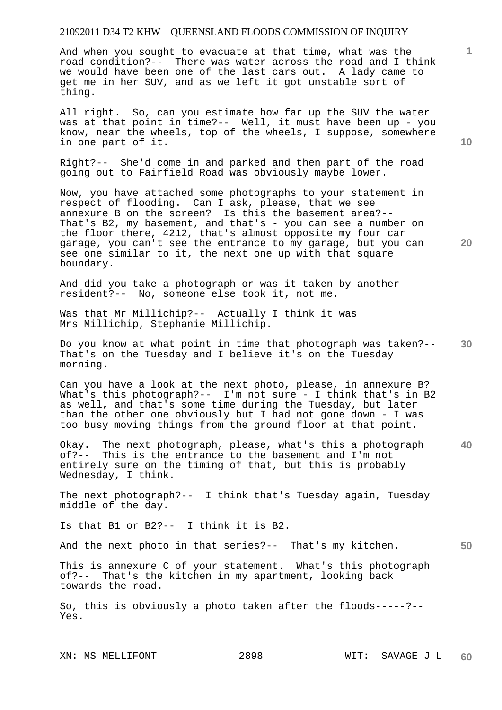And when you sought to evacuate at that time, what was the road condition?-- There was water across the road and I think we would have been one of the last cars out. A lady came to get me in her SUV, and as we left it got unstable sort of thing.

All right. So, can you estimate how far up the SUV the water was at that point in time?-- Well, it must have been up - you know, near the wheels, top of the wheels, I suppose, somewhere in one part of it.

Right?-- She'd come in and parked and then part of the road going out to Fairfield Road was obviously maybe lower.

Now, you have attached some photographs to your statement in respect of flooding. Can I ask, please, that we see annexure B on the screen? Is this the basement area?-- That's B2, my basement, and that's - you can see a number on the floor there, 4212, that's almost opposite my four car garage, you can't see the entrance to my garage, but you can see one similar to it, the next one up with that square boundary.

And did you take a photograph or was it taken by another resident?-- No, someone else took it, not me.

Was that Mr Millichip?-- Actually I think it was Mrs Millichip, Stephanie Millichip.

**30**  Do you know at what point in time that photograph was taken?-- That's on the Tuesday and I believe it's on the Tuesday morning.

Can you have a look at the next photo, please, in annexure B? What's this photograph?-- I'm not sure - I think that's in B2 as well, and that's some time during the Tuesday, but later than the other one obviously but I had not gone down - I was too busy moving things from the ground floor at that point.

**40**  Okay. The next photograph, please, what's this a photograph of?-- This is the entrance to the basement and I'm not entirely sure on the timing of that, but this is probably Wednesday, I think.

The next photograph?-- I think that's Tuesday again, Tuesday middle of the day.

Is that B1 or B2?-- I think it is B2.

And the next photo in that series?-- That's my kitchen.

This is annexure C of your statement. What's this photograph of?-- That's the kitchen in my apartment, looking back towards the road.

So, this is obviously a photo taken after the floods-----?-- Yes.

**10** 

**1**

**20**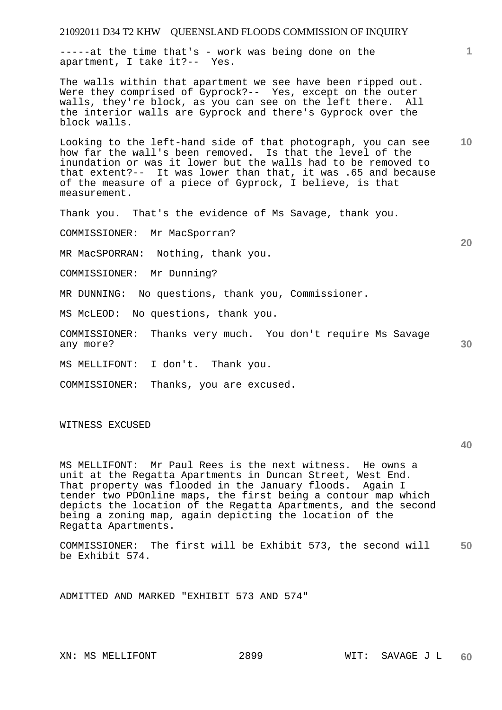21092011 D34 T2 KHW QUEENSLAND FLOODS COMMISSION OF INQUIRY **1 10 20 30**  -----at the time that's - work was being done on the apartment, I take it?-- Yes. The walls within that apartment we see have been ripped out. Were they comprised of Gyprock?-- Yes, except on the outer walls, they're block, as you can see on the left there. All the interior walls are Gyprock and there's Gyprock over the block walls. Looking to the left-hand side of that photograph, you can see how far the wall's been removed. Is that the level of the inundation or was it lower but the walls had to be removed to that extent?-- It was lower than that, it was .65 and because of the measure of a piece of Gyprock, I believe, is that measurement. Thank you. That's the evidence of Ms Savage, thank you. COMMISSIONER: Mr MacSporran? MR MacSPORRAN: Nothing, thank you. COMMISSIONER: Mr Dunning? MR DUNNING: No questions, thank you, Commissioner. MS McLEOD: No questions, thank you. COMMISSIONER: Thanks very much. You don't require Ms Savage any more? MS MELLIFONT: I don't. Thank you. COMMISSIONER: Thanks, you are excused.

WITNESS EXCUSED

**40** 

MS MELLIFONT: Mr Paul Rees is the next witness. He owns a unit at the Regatta Apartments in Duncan Street, West End. That property was flooded in the January floods. Again I tender two PDOnline maps, the first being a contour map which depicts the location of the Regatta Apartments, and the second being a zoning map, again depicting the location of the Regatta Apartments.

**50**  COMMISSIONER: The first will be Exhibit 573, the second will be Exhibit 574.

ADMITTED AND MARKED "EXHIBIT 573 AND 574"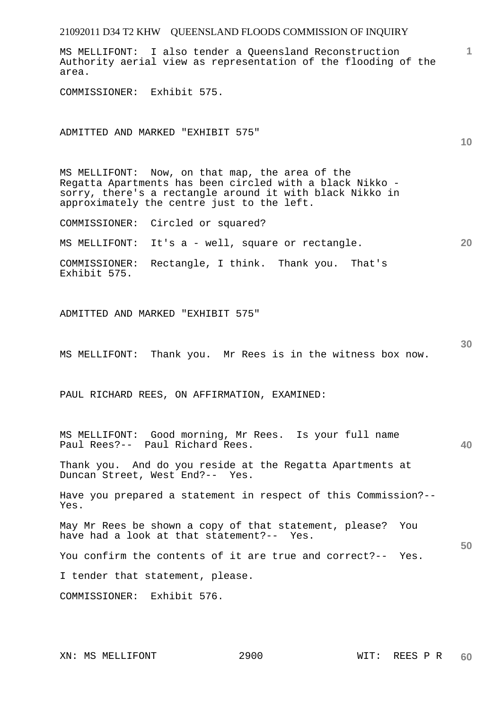| 21092011 D34 T2 KHW QUEENSLAND FLOODS COMMISSION OF INQUIRY                                                                                                                                                           |     |
|-----------------------------------------------------------------------------------------------------------------------------------------------------------------------------------------------------------------------|-----|
| MS MELLIFONT: I also tender a Queensland Reconstruction<br>Authority aerial view as representation of the flooding of the<br>area.                                                                                    | 1   |
| COMMISSIONER: Exhibit 575.                                                                                                                                                                                            |     |
| ADMITTED AND MARKED "EXHIBIT 575"                                                                                                                                                                                     | 10  |
| MS MELLIFONT: Now, on that map, the area of the<br>Regatta Apartments has been circled with a black Nikko -<br>sorry, there's a rectangle around it with black Nikko in<br>approximately the centre just to the left. |     |
| COMMISSIONER: Circled or squared?                                                                                                                                                                                     |     |
| It's a - well, square or rectangle.<br>MS MELLIFONT:                                                                                                                                                                  | 20  |
| Rectangle, I think. Thank you. That's<br>COMMISSIONER:<br>Exhibit 575.                                                                                                                                                |     |
| ADMITTED AND MARKED "EXHIBIT 575"                                                                                                                                                                                     |     |
| MS MELLIFONT: Thank you. Mr Rees is in the witness box now.                                                                                                                                                           | 30  |
| PAUL RICHARD REES, ON AFFIRMATION, EXAMINED:                                                                                                                                                                          |     |
| MS MELLIFONT: Good morning, Mr Rees. Is your full name<br>Paul Rees?-- Paul Richard Rees.                                                                                                                             | 40. |
| Thank you. And do you reside at the Regatta Apartments at<br>Duncan Street, West End?-- Yes.                                                                                                                          |     |
| Have you prepared a statement in respect of this Commission?--<br>Yes.                                                                                                                                                |     |
| May Mr Rees be shown a copy of that statement, please? You<br>have had a look at that statement?-- Yes.                                                                                                               | 50  |
| You confirm the contents of it are true and correct?-- Yes.                                                                                                                                                           |     |
| I tender that statement, please.                                                                                                                                                                                      |     |
| COMMISSIONER: Exhibit 576.                                                                                                                                                                                            |     |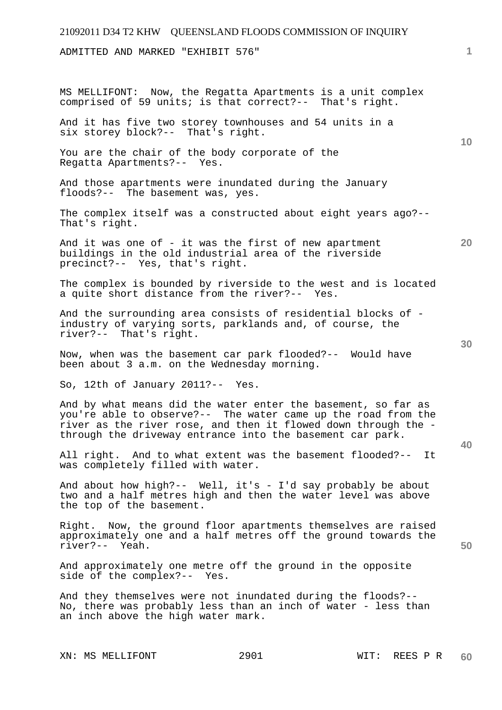# 21092011 D34 T2 KHW QUEENSLAND FLOODS COMMISSION OF INQUIRY **1 10 20 30 40 50**  ADMITTED AND MARKED "EXHIBIT 576" MS MELLIFONT: Now, the Regatta Apartments is a unit complex comprised of 59 units; is that correct?-- That's right. And it has five two storey townhouses and 54 units in a six storey block?-- That's right. You are the chair of the body corporate of the Regatta Apartments?-- Yes. And those apartments were inundated during the January floods?-- The basement was, yes. The complex itself was a constructed about eight years ago?-- That's right. And it was one of  $-$  it was the first of new apartment buildings in the old industrial area of the riverside precinct?-- Yes, that's right. The complex is bounded by riverside to the west and is located a quite short distance from the river?-- Yes. And the surrounding area consists of residential blocks of industry of varying sorts, parklands and, of course, the river?-- That's right. Now, when was the basement car park flooded?-- Would have been about 3 a.m. on the Wednesday morning. So, 12th of January 2011?-- Yes. And by what means did the water enter the basement, so far as you're able to observe?-- The water came up the road from the river as the river rose, and then it flowed down through the through the driveway entrance into the basement car park. All right. And to what extent was the basement flooded?-- It was completely filled with water. And about how high?-- Well, it's - I'd say probably be about two and a half metres high and then the water level was above the top of the basement. Right. Now, the ground floor apartments themselves are raised approximately one and a half metres off the ground towards the river?-- Yeah. And approximately one metre off the ground in the opposite side of the complex?-- Yes. And they themselves were not inundated during the floods?-- No, there was probably less than an inch of water - less than an inch above the high water mark.

XN: MS MELLIFONT 2901 WIT: REES P R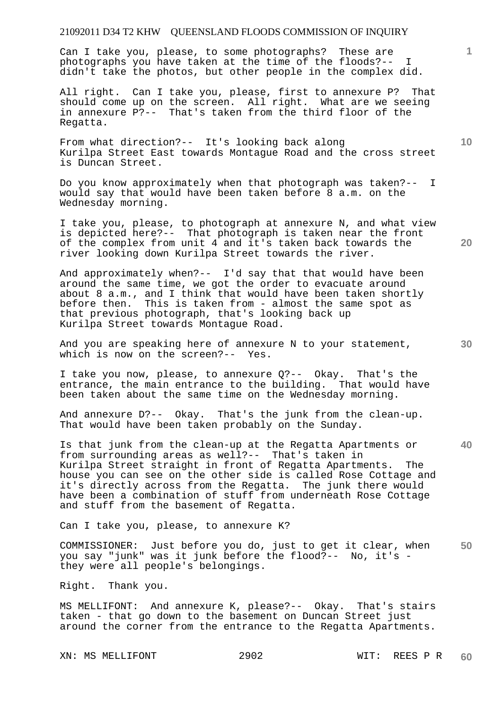Can I take you, please, to some photographs? These are photographs you have taken at the time of the floods?-- I didn't take the photos, but other people in the complex did.

All right. Can I take you, please, first to annexure P? That should come up on the screen. All right. What are we seeing in annexure P?-- That's taken from the third floor of the Regatta.

From what direction?-- It's looking back along Kurilpa Street East towards Montague Road and the cross street is Duncan Street.

Do you know approximately when that photograph was taken?-- I would say that would have been taken before 8 a.m. on the Wednesday morning.

I take you, please, to photograph at annexure N, and what view is depicted here?-- That photograph is taken near the front of the complex from unit 4 and it's taken back towards the river looking down Kurilpa Street towards the river.

And approximately when?-- I'd say that that would have been around the same time, we got the order to evacuate around about 8 a.m., and I think that would have been taken shortly before then. This is taken from - almost the same spot as that previous photograph, that's looking back up Kurilpa Street towards Montague Road.

And you are speaking here of annexure N to your statement, which is now on the screen?-- Yes.

I take you now, please, to annexure Q?-- Okay. That's the entrance, the main entrance to the building. That would have been taken about the same time on the Wednesday morning.

And annexure D?-- Okay. That's the junk from the clean-up. That would have been taken probably on the Sunday.

Is that junk from the clean-up at the Regatta Apartments or from surrounding areas as well?-- That's taken in Kurilpa Street straight in front of Regatta Apartments. The house you can see on the other side is called Rose Cottage and it's directly across from the Regatta. The junk there would have been a combination of stuff from underneath Rose Cottage and stuff from the basement of Regatta.

Can I take you, please, to annexure K?

**50**  COMMISSIONER: Just before you do, just to get it clear, when you say "junk" was it junk before the flood?-- No, it's they were all people's belongings.

Right. Thank you.

MS MELLIFONT: And annexure K, please?-- Okay. That's stairs taken - that go down to the basement on Duncan Street just around the corner from the entrance to the Regatta Apartments.

XN: MS MELLIFONT 2902 WIT: REES P R

**20** 

**10** 

**1**

**30**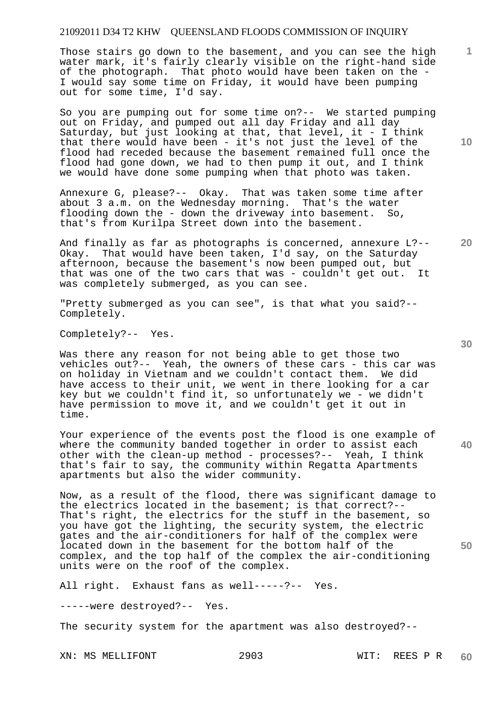Those stairs go down to the basement, and you can see the high water mark, it's fairly clearly visible on the right-hand side of the photograph. That photo would have been taken on the - I would say some time on Friday, it would have been pumping out for some time, I'd say.

So you are pumping out for some time on?-- We started pumping out on Friday, and pumped out all day Friday and all day Saturday, but just looking at that, that level, it - I think that there would have been - it's not just the level of the flood had receded because the basement remained full once the flood had gone down, we had to then pump it out, and I think we would have done some pumping when that photo was taken.

Annexure G, please?-- Okay. That was taken some time after about 3 a.m. on the Wednesday morning. That's the water flooding down the - down the driveway into basement. So, that's from Kurilpa Street down into the basement.

And finally as far as photographs is concerned, annexure L?-- Okay. That would have been taken, I'd say, on the Saturday afternoon, because the basement's now been pumped out, but that was one of the two cars that was - couldn't get out. It was completely submerged, as you can see.

"Pretty submerged as you can see", is that what you said?-- Completely.

Completely?-- Yes.

Was there any reason for not being able to get those two vehicles out?-- Yeah, the owners of these cars - this car was on holiday in Vietnam and we couldn't contact them. We did have access to their unit, we went in there looking for a car key but we couldn't find it, so unfortunately we - we didn't have permission to move it, and we couldn't get it out in time.

Your experience of the events post the flood is one example of where the community banded together in order to assist each other with the clean-up method - processes?-- Yeah, I think that's fair to say, the community within Regatta Apartments apartments but also the wider community.

Now, as a result of the flood, there was significant damage to the electrics located in the basement; is that correct?-- That's right, the electrics for the stuff in the basement, so you have got the lighting, the security system, the electric gates and the air-conditioners for half of the complex were located down in the basement for the bottom half of the complex, and the top half of the complex the air-conditioning units were on the roof of the complex.

All right. Exhaust fans as well-----?-- Yes.

-----were destroyed?-- Yes.

The security system for the apartment was also destroyed?--

XN: MS MELLIFONT 2903 WIT: REES P R

**10** 

**20** 

**1**

**30**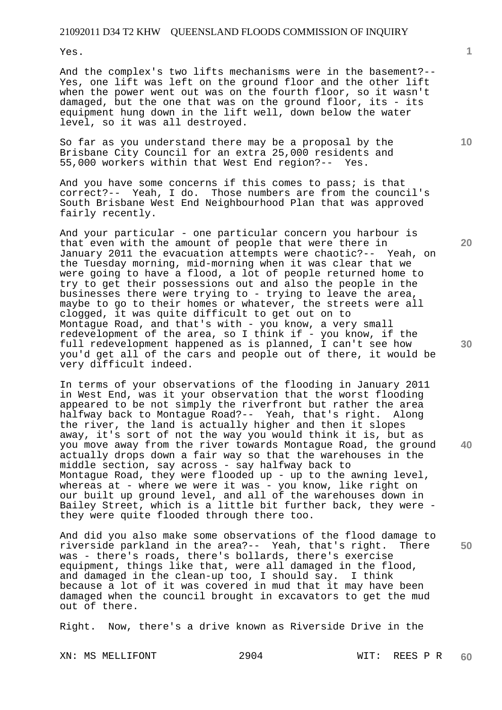Yes.

And the complex's two lifts mechanisms were in the basement?-- Yes, one lift was left on the ground floor and the other lift when the power went out was on the fourth floor, so it wasn't damaged, but the one that was on the ground floor, its - its equipment hung down in the lift well, down below the water level, so it was all destroyed.

So far as you understand there may be a proposal by the Brisbane City Council for an extra 25,000 residents and 55,000 workers within that West End region?-- Yes.

And you have some concerns if this comes to pass; is that correct?-- Yeah, I do. Those numbers are from the council's South Brisbane West End Neighbourhood Plan that was approved fairly recently.

And your particular - one particular concern you harbour is that even with the amount of people that were there in January 2011 the evacuation attempts were chaotic?-- Yeah, on the Tuesday morning, mid-morning when it was clear that we were going to have a flood, a lot of people returned home to try to get their possessions out and also the people in the businesses there were trying to - trying to leave the area, maybe to go to their homes or whatever, the streets were all clogged, it was quite difficult to get out on to Montague Road, and that's with - you know, a very small redevelopment of the area, so I think if - you know, if the full redevelopment happened as is planned, I can't see how you'd get all of the cars and people out of there, it would be very difficult indeed.

In terms of your observations of the flooding in January 2011 in West End, was it your observation that the worst flooding appeared to be not simply the riverfront but rather the area halfway back to Montague Road?-- Yeah, that's right. Along the river, the land is actually higher and then it slopes away, it's sort of not the way you would think it is, but as you move away from the river towards Montague Road, the ground actually drops down a fair way so that the warehouses in the middle section, say across - say halfway back to Montague Road, they were flooded up - up to the awning level, whereas at - where we were it was - you know, like right on our built up ground level, and all of the warehouses down in Bailey Street, which is a little bit further back, they were they were quite flooded through there too.

**50**  And did you also make some observations of the flood damage to riverside parkland in the area?-- Yeah, that's right. There was - there's roads, there's bollards, there's exercise equipment, things like that, were all damaged in the flood, and damaged in the clean-up too, I should say. I think because a lot of it was covered in mud that it may have been damaged when the council brought in excavators to get the mud out of there.

Right. Now, there's a drive known as Riverside Drive in the

XN: MS MELLIFONT 2904 WIT: REES P R

**1**

**20** 

**10** 

**30**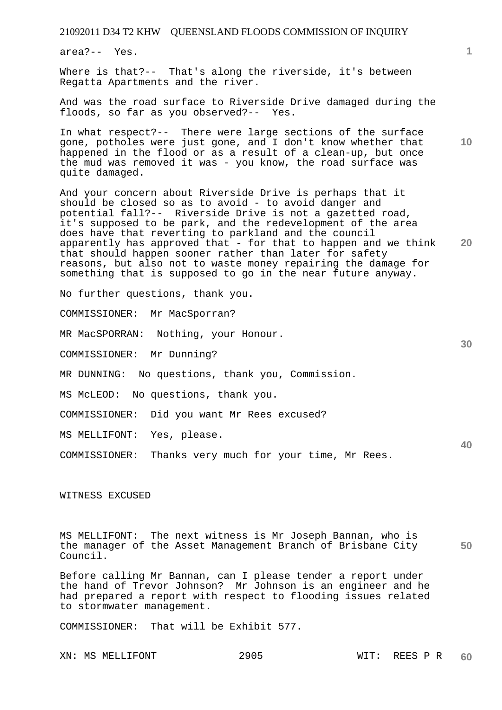area?-- Yes.

Where is that?-- That's along the riverside, it's between Regatta Apartments and the river.

And was the road surface to Riverside Drive damaged during the floods, so far as you observed?-- Yes.

In what respect?-- There were large sections of the surface gone, potholes were just gone, and I don't know whether that happened in the flood or as a result of a clean-up, but once the mud was removed it was - you know, the road surface was quite damaged.

**20**  And your concern about Riverside Drive is perhaps that it should be closed so as to avoid - to avoid danger and potential fall?-- Riverside Drive is not a gazetted road, it's supposed to be park, and the redevelopment of the area does have that reverting to parkland and the council apparently has approved that - for that to happen and we think that should happen sooner rather than later for safety reasons, but also not to waste money repairing the damage for something that is supposed to go in the near future anyway.

No further questions, thank you.

COMMISSIONER: Mr MacSporran?

MR MacSPORRAN: Nothing, your Honour.

COMMISSIONER: Mr Dunning?

MR DUNNING: No questions, thank you, Commission.

MS McLEOD: No questions, thank you.

COMMISSIONER: Did you want Mr Rees excused?

MS MELLIFONT: Yes, please.

COMMISSIONER: Thanks very much for your time, Mr Rees.

WITNESS EXCUSED

**50**  MS MELLIFONT: The next witness is Mr Joseph Bannan, who is the manager of the Asset Management Branch of Brisbane City Council.

Before calling Mr Bannan, can I please tender a report under the hand of Trevor Johnson? Mr Johnson is an engineer and he had prepared a report with respect to flooding issues related to stormwater management.

COMMISSIONER: That will be Exhibit 577.

XN: MS MELLIFONT 2905 WIT: REES P R

**1**

**10** 

**30**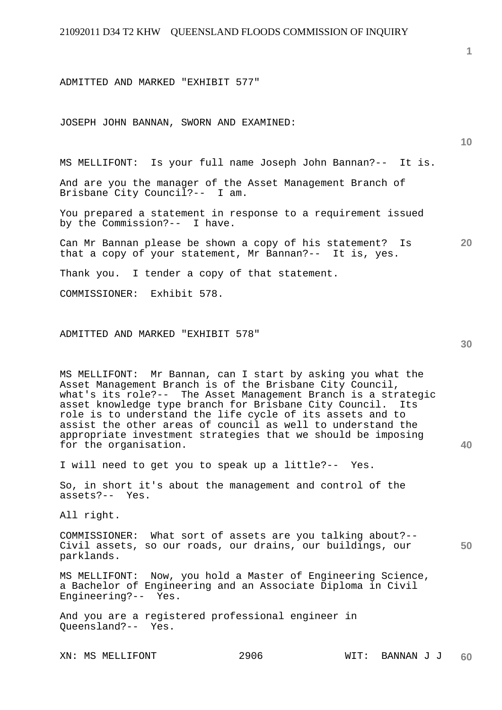ADMITTED AND MARKED "EXHIBIT 577"

JOSEPH JOHN BANNAN, SWORN AND EXAMINED:

MS MELLIFONT: Is your full name Joseph John Bannan?-- It is.

And are you the manager of the Asset Management Branch of Brisbane City Council?-- I am.

You prepared a statement in response to a requirement issued by the Commission?-- I have.

**20**  Can Mr Bannan please be shown a copy of his statement? Is that a copy of your statement, Mr Bannan?-- It is, yes.

Thank you. I tender a copy of that statement.

COMMISSIONER: Exhibit 578.

#### ADMITTED AND MARKED "EXHIBIT 578"

MS MELLIFONT: Mr Bannan, can I start by asking you what the Asset Management Branch is of the Brisbane City Council, what's its role?-- The Asset Management Branch is a strategic asset knowledge type branch for Brisbane City Council. Its role is to understand the life cycle of its assets and to assist the other areas of council as well to understand the appropriate investment strategies that we should be imposing for the organisation.

I will need to get you to speak up a little?-- Yes.

So, in short it's about the management and control of the assets?-- Yes.

All right.

COMMISSIONER: What sort of assets are you talking about?-- Civil assets, so our roads, our drains, our buildings, our parklands.

MS MELLIFONT: Now, you hold a Master of Engineering Science, a Bachelor of Engineering and an Associate Diploma in Civil Engineering?-- Yes.

And you are a registered professional engineer in Queensland?-- Yes.

**40** 

**50** 

**10**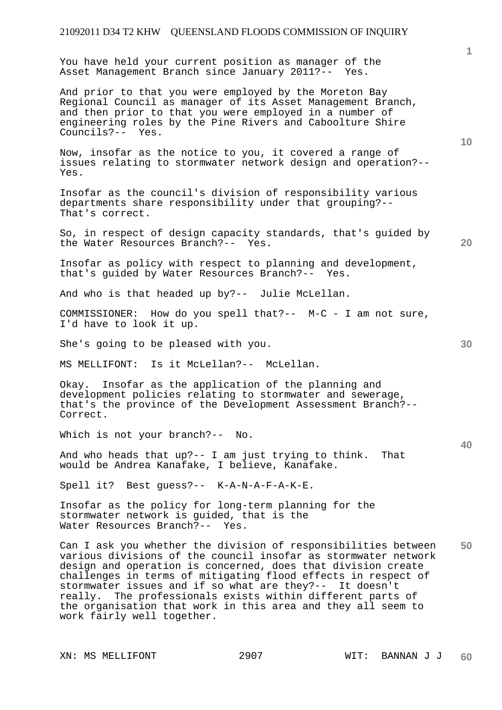You have held your current position as manager of the Asset Management Branch since January 2011?-- Yes.

And prior to that you were employed by the Moreton Bay Regional Council as manager of its Asset Management Branch, and then prior to that you were employed in a number of engineering roles by the Pine Rivers and Caboolture Shire Councils?-- Yes.

Now, insofar as the notice to you, it covered a range of issues relating to stormwater network design and operation?-- Yes.

Insofar as the council's division of responsibility various departments share responsibility under that grouping?-- That's correct.

So, in respect of design capacity standards, that's guided by the Water Resources Branch?-- Yes.

Insofar as policy with respect to planning and development, that's guided by Water Resources Branch?-- Yes.

And who is that headed up by?-- Julie McLellan.

COMMISSIONER: How do you spell that?-- M-C - I am not sure, I'd have to look it up.

She's going to be pleased with you.

MS MELLIFONT: Is it McLellan?-- McLellan.

Okay. Insofar as the application of the planning and development policies relating to stormwater and sewerage, that's the province of the Development Assessment Branch?-- Correct.

Which is not your branch?-- No.

And who heads that up?-- I am just trying to think. That would be Andrea Kanafake, I believe, Kanafake.

Spell it? Best guess?-- K-A-N-A-F-A-K-E.

Insofar as the policy for long-term planning for the stormwater network is guided, that is the Water Resources Branch?-- Yes.

**50**  Can I ask you whether the division of responsibilities between various divisions of the council insofar as stormwater network design and operation is concerned, does that division create challenges in terms of mitigating flood effects in respect of stormwater issues and if so what are they?-- It doesn't really. The professionals exists within different parts of the organisation that work in this area and they all seem to work fairly well together.

**10** 

**30** 

**20**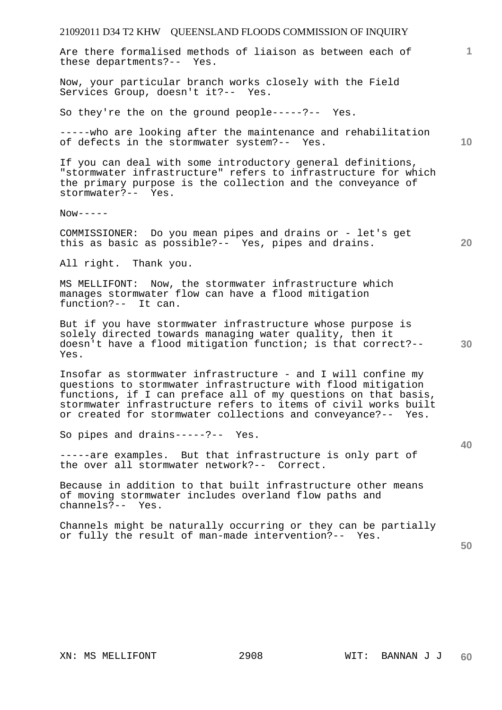| 21092011 D34 T2 KHW QUEENSLAND FLOODS COMMISSION OF INQUIRY                                                                                                                                                                                                                                                                      |                 |
|----------------------------------------------------------------------------------------------------------------------------------------------------------------------------------------------------------------------------------------------------------------------------------------------------------------------------------|-----------------|
| Are there formalised methods of liaison as between each of<br>these departments?-- Yes.                                                                                                                                                                                                                                          | $\mathbf{1}$    |
| Now, your particular branch works closely with the Field<br>Services Group, doesn't it ?-- Yes.                                                                                                                                                                                                                                  |                 |
| So they're the on the ground people-----?-- Yes.                                                                                                                                                                                                                                                                                 |                 |
| -----who are looking after the maintenance and rehabilitation<br>of defects in the stormwater system?-- Yes.                                                                                                                                                                                                                     | 10 <sup>°</sup> |
| If you can deal with some introductory general definitions,<br>"stormwater infrastructure" refers to infrastructure for which<br>the primary purpose is the collection and the conveyance of<br>stormwater?-- Yes.                                                                                                               |                 |
| $Now----$                                                                                                                                                                                                                                                                                                                        |                 |
| COMMISSIONER: Do you mean pipes and drains or - let's get<br>this as basic as possible?-- Yes, pipes and drains.                                                                                                                                                                                                                 | 20              |
| All right. Thank you.                                                                                                                                                                                                                                                                                                            |                 |
| MS MELLIFONT: Now, the stormwater infrastructure which<br>manages stormwater flow can have a flood mitigation<br>function?-- It can.                                                                                                                                                                                             |                 |
| But if you have stormwater infrastructure whose purpose is<br>solely directed towards managing water quality, then it<br>doesn't have a flood mitigation function; is that correct?--<br>Yes.                                                                                                                                    | 30              |
| Insofar as stormwater infrastructure - and I will confine my<br>questions to stormwater infrastructure with flood mitigation<br>functions, if I can preface all of my questions on that basis,<br>stormwater infrastructure refers to items of civil works built<br>or created for stormwater collections and conveyance?-- Yes. |                 |
| So pipes and drains-----?-- Yes.                                                                                                                                                                                                                                                                                                 | 40              |
| -----are examples. But that infrastructure is only part of<br>the over all stormwater network?-- Correct.                                                                                                                                                                                                                        |                 |
| Because in addition to that built infrastructure other means<br>of moving stormwater includes overland flow paths and<br>channels?-- Yes.                                                                                                                                                                                        |                 |
| Channels might be naturally occurring or they can be partially<br>or fully the result of man-made intervention?-- Yes.                                                                                                                                                                                                           | 50              |
|                                                                                                                                                                                                                                                                                                                                  |                 |
|                                                                                                                                                                                                                                                                                                                                  |                 |
|                                                                                                                                                                                                                                                                                                                                  |                 |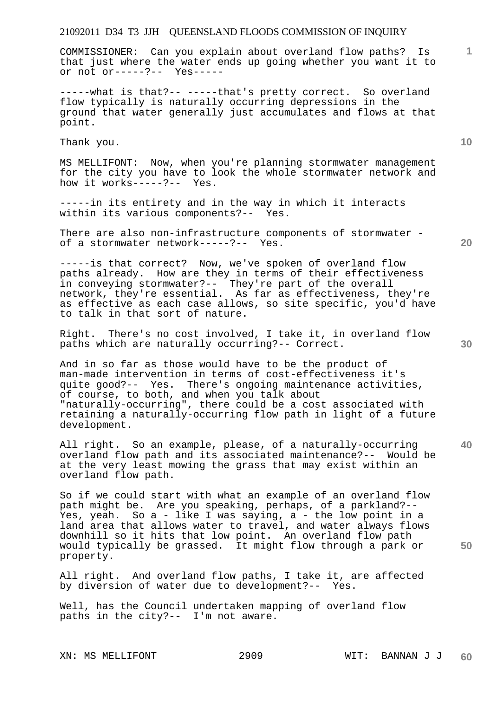COMMISSIONER: Can you explain about overland flow paths? Is that just where the water ends up going whether you want it to or not or-----?-- Yes-----

-----what is that?-- -----that's pretty correct. So overland flow typically is naturally occurring depressions in the ground that water generally just accumulates and flows at that point.

Thank you.

MS MELLIFONT: Now, when you're planning stormwater management for the city you have to look the whole stormwater network and how it works-----?-- Yes.

-----in its entirety and in the way in which it interacts within its various components?-- Yes.

There are also non-infrastructure components of stormwater of a stormwater network-----?-- Yes.

-----is that correct? Now, we've spoken of overland flow paths already. How are they in terms of their effectiveness in conveying stormwater?-- They're part of the overall network, they're essential. As far as effectiveness, they're as effective as each case allows, so site specific, you'd have to talk in that sort of nature.

Right. There's no cost involved, I take it, in overland flow paths which are naturally occurring?-- Correct.

And in so far as those would have to be the product of man-made intervention in terms of cost-effectiveness it's quite good?-- Yes. There's ongoing maintenance activities, of course, to both, and when you talk about "naturally-occurring", there could be a cost associated with retaining a naturally-occurring flow path in light of a future development.

All right. So an example, please, of a naturally-occurring overland flow path and its associated maintenance?-- Would be at the very least mowing the grass that may exist within an overland flow path.

So if we could start with what an example of an overland flow path might be. Are you speaking, perhaps, of a parkland?-- Yes, yeah. So a - like I was saying, a - the low point in a land area that allows water to travel, and water always flows downhill so it hits that low point. An overland flow path would typically be grassed. It might flow through a park or property.

All right. And overland flow paths, I take it, are affected by diversion of water due to development?-- Yes.

Well, has the Council undertaken mapping of overland flow paths in the city?-- I'm not aware.

**20** 

**40** 

**50** 

**10**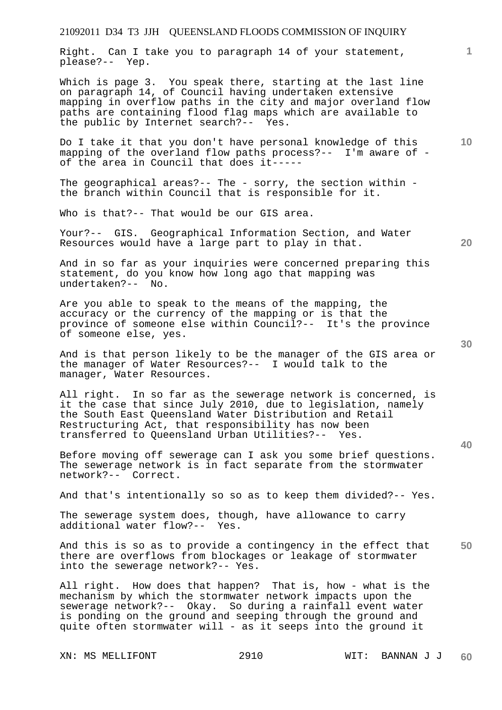Right. Can I take you to paragraph 14 of your statement, please?-- Yep.

Which is page 3. You speak there, starting at the last line on paragraph 14, of Council having undertaken extensive mapping in overflow paths in the city and major overland flow paths are containing flood flag maps which are available to the public by Internet search?-- Yes.

Do I take it that you don't have personal knowledge of this mapping of the overland flow paths process?-- I'm aware of of the area in Council that does it-----

The geographical areas?-- The - sorry, the section within the branch within Council that is responsible for it.

Who is that?-- That would be our GIS area.

Your?-- GIS. Geographical Information Section, and Water Resources would have a large part to play in that.

And in so far as your inquiries were concerned preparing this statement, do you know how long ago that mapping was undertaken?--

Are you able to speak to the means of the mapping, the accuracy or the currency of the mapping or is that the province of someone else within Council?-- It's the province of someone else, yes.

And is that person likely to be the manager of the GIS area or the manager of Water Resources?-- I would talk to the manager, Water Resources.

All right. In so far as the sewerage network is concerned, is it the case that since July 2010, due to legislation, namely the South East Queensland Water Distribution and Retail Restructuring Act, that responsibility has now been transferred to Queensland Urban Utilities?-- Yes.

Before moving off sewerage can I ask you some brief questions. The sewerage network is in fact separate from the stormwater network?-- Correct.

And that's intentionally so so as to keep them divided?-- Yes.

The sewerage system does, though, have allowance to carry additional water flow?-- Yes.

**50**  And this is so as to provide a contingency in the effect that there are overflows from blockages or leakage of stormwater into the sewerage network?-- Yes.

All right. How does that happen? That is, how - what is the mechanism by which the stormwater network impacts upon the sewerage network?-- Okay. So during a rainfall event water is ponding on the ground and seeping through the ground and quite often stormwater will - as it seeps into the ground it

**30** 

**20** 

**10**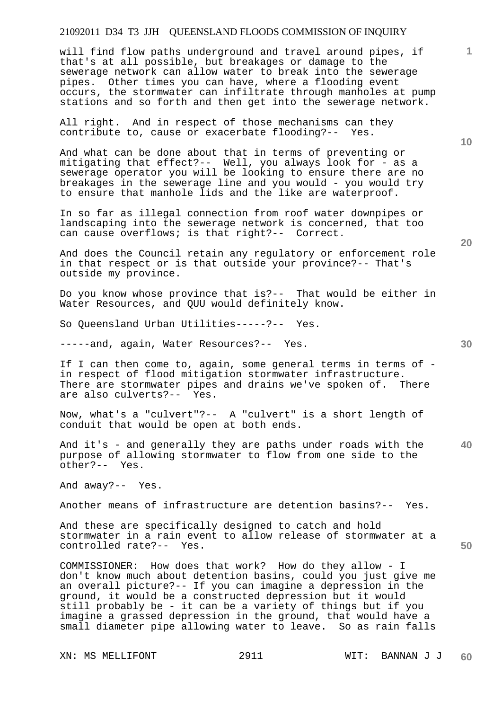will find flow paths underground and travel around pipes, if that's at all possible, but breakages or damage to the sewerage network can allow water to break into the sewerage pipes. Other times you can have, where a flooding event occurs, the stormwater can infiltrate through manholes at pump stations and so forth and then get into the sewerage network.

All right. And in respect of those mechanisms can they contribute to, cause or exacerbate flooding?-- Yes.

And what can be done about that in terms of preventing or mitigating that effect?-- Well, you always look for - as a sewerage operator you will be looking to ensure there are no breakages in the sewerage line and you would - you would try to ensure that manhole lids and the like are waterproof.

In so far as illegal connection from roof water downpipes or landscaping into the sewerage network is concerned, that too can cause overflows; is that right?-- Correct.

And does the Council retain any regulatory or enforcement role in that respect or is that outside your province?-- That's outside my province.

Do you know whose province that is?-- That would be either in Water Resources, and QUU would definitely know.

So Queensland Urban Utilities-----?-- Yes.

-----and, again, Water Resources?-- Yes.

If I can then come to, again, some general terms in terms of in respect of flood mitigation stormwater infrastructure. There are stormwater pipes and drains we've spoken of. There are also culverts?-- Yes.

Now, what's a "culvert"?-- A "culvert" is a short length of conduit that would be open at both ends.

**40**  And it's - and generally they are paths under roads with the purpose of allowing stormwater to flow from one side to the other?-- Yes.

And away?-- Yes.

Another means of infrastructure are detention basins?-- Yes.

And these are specifically designed to catch and hold stormwater in a rain event to allow release of stormwater at a controlled rate?-- Yes.

COMMISSIONER: How does that work? How do they allow - I don't know much about detention basins, could you just give me an overall picture?-- If you can imagine a depression in the ground, it would be a constructed depression but it would still probably be - it can be a variety of things but if you imagine a grassed depression in the ground, that would have a small diameter pipe allowing water to leave. So as rain falls

XN: MS MELLIFONT 2911 WIT: BANNAN J J

**10** 

**1**

**20**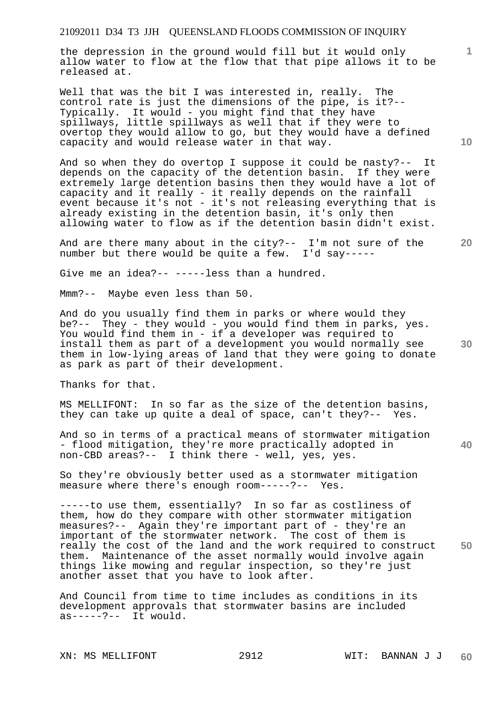the depression in the ground would fill but it would only allow water to flow at the flow that that pipe allows it to be released at.

Well that was the bit I was interested in, really. The control rate is just the dimensions of the pipe, is it?-- Typically. It would - you might find that they have spillways, little spillways as well that if they were to overtop they would allow to go, but they would have a defined capacity and would release water in that way.

And so when they do overtop I suppose it could be nasty?-- It depends on the capacity of the detention basin. If they were extremely large detention basins then they would have a lot of capacity and it really - it really depends on the rainfall event because it's not - it's not releasing everything that is already existing in the detention basin, it's only then allowing water to flow as if the detention basin didn't exist.

And are there many about in the city?-- I'm not sure of the number but there would be quite a few. I'd say-----

Give me an idea?-- -----less than a hundred.

Mmm?-- Maybe even less than 50.

And do you usually find them in parks or where would they be?-- They - they would - you would find them in parks, yes. You would find them in - if a developer was required to install them as part of a development you would normally see them in low-lying areas of land that they were going to donate as park as part of their development.

Thanks for that.

MS MELLIFONT: In so far as the size of the detention basins, they can take up quite a deal of space, can't they?-- Yes.

**40**  And so in terms of a practical means of stormwater mitigation - flood mitigation, they're more practically adopted in non-CBD areas?-- I think there - well, yes, yes.

So they're obviously better used as a stormwater mitigation measure where there's enough room-----?-- Yes.

**50**  -----to use them, essentially? In so far as costliness of them, how do they compare with other stormwater mitigation measures?-- Again they're important part of - they're an important of the stormwater network. The cost of them is really the cost of the land and the work required to construct them. Maintenance of the asset normally would involve again things like mowing and regular inspection, so they're just another asset that you have to look after.

And Council from time to time includes as conditions in its development approvals that stormwater basins are included  $as---?--$  It would.

**10** 

**1**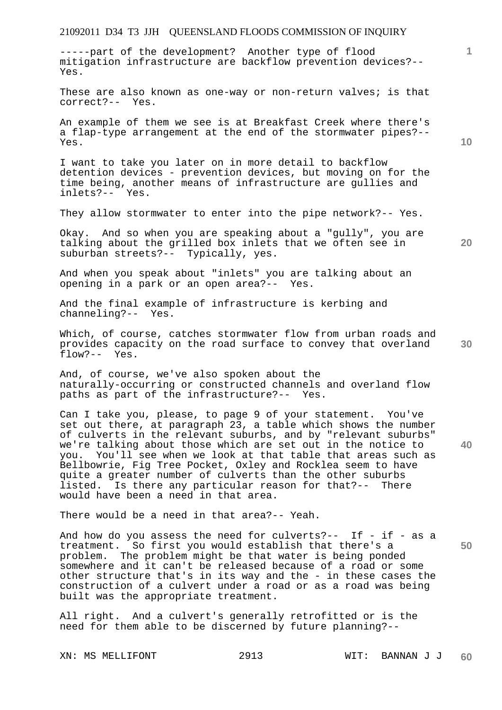-----part of the development? Another type of flood mitigation infrastructure are backflow prevention devices?-- Yes.

These are also known as one-way or non-return valves; is that correct?-- Yes.

An example of them we see is at Breakfast Creek where there's a flap-type arrangement at the end of the stormwater pipes?-- Yes.

I want to take you later on in more detail to backflow detention devices - prevention devices, but moving on for the time being, another means of infrastructure are gullies and inlets?-- Yes.

They allow stormwater to enter into the pipe network?-- Yes.

Okay. And so when you are speaking about a "gully", you are talking about the grilled box inlets that we often see in suburban streets?-- Typically, yes.

And when you speak about "inlets" you are talking about an opening in a park or an open area?-- Yes.

And the final example of infrastructure is kerbing and channeling?-- Yes.

Which, of course, catches stormwater flow from urban roads and provides capacity on the road surface to convey that overland flow?-- Yes.

And, of course, we've also spoken about the naturally-occurring or constructed channels and overland flow paths as part of the infrastructure?-- Yes.

Can I take you, please, to page 9 of your statement. You've set out there, at paragraph 23, a table which shows the number of culverts in the relevant suburbs, and by "relevant suburbs" we're talking about those which are set out in the notice to you. You'll see when we look at that table that areas such as Bellbowrie, Fig Tree Pocket, Oxley and Rocklea seem to have quite a greater number of culverts than the other suburbs listed. Is there any particular reason for that?-- There would have been a need in that area.

There would be a need in that area?-- Yeah.

And how do you assess the need for culverts?-- If - if - as a treatment. So first you would establish that there's a problem. The problem might be that water is being ponded somewhere and it can't be released because of a road or some other structure that's in its way and the - in these cases the construction of a culvert under a road or as a road was being built was the appropriate treatment.

All right. And a culvert's generally retrofitted or is the need for them able to be discerned by future planning?--

**10** 

**1**

**20** 

**40**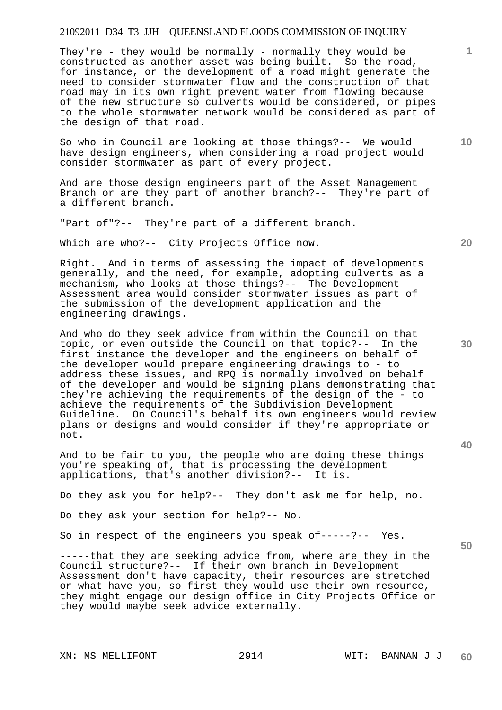They're - they would be normally - normally they would be constructed as another asset was being built. So the road, for instance, or the development of a road might generate the need to consider stormwater flow and the construction of that road may in its own right prevent water from flowing because of the new structure so culverts would be considered, or pipes to the whole stormwater network would be considered as part of the design of that road.

So who in Council are looking at those things?-- We would have design engineers, when considering a road project would consider stormwater as part of every project.

And are those design engineers part of the Asset Management Branch or are they part of another branch?-- They're part of a different branch.

"Part of"?-- They're part of a different branch.

Which are who?-- City Projects Office now.

Right. And in terms of assessing the impact of developments generally, and the need, for example, adopting culverts as a mechanism, who looks at those things?-- The Development Assessment area would consider stormwater issues as part of the submission of the development application and the engineering drawings.

And who do they seek advice from within the Council on that topic, or even outside the Council on that topic?-- In the first instance the developer and the engineers on behalf of the developer would prepare engineering drawings to - to address these issues, and RPQ is normally involved on behalf of the developer and would be signing plans demonstrating that they're achieving the requirements of the design of the - to achieve the requirements of the Subdivision Development Guideline. On Council's behalf its own engineers would review plans or designs and would consider if they're appropriate or not.

And to be fair to you, the people who are doing these things you're speaking of, that is processing the development applications, that's another division?-- It is.

Do they ask you for help?-- They don't ask me for help, no.

Do they ask your section for help?-- No.

So in respect of the engineers you speak of-----?-- Yes.

-----that they are seeking advice from, where are they in the Council structure?-- If their own branch in Development Assessment don't have capacity, their resources are stretched or what have you, so first they would use their own resource, they might engage our design office in City Projects Office or they would maybe seek advice externally.

**50** 

**40** 

**1**

**10** 

**20**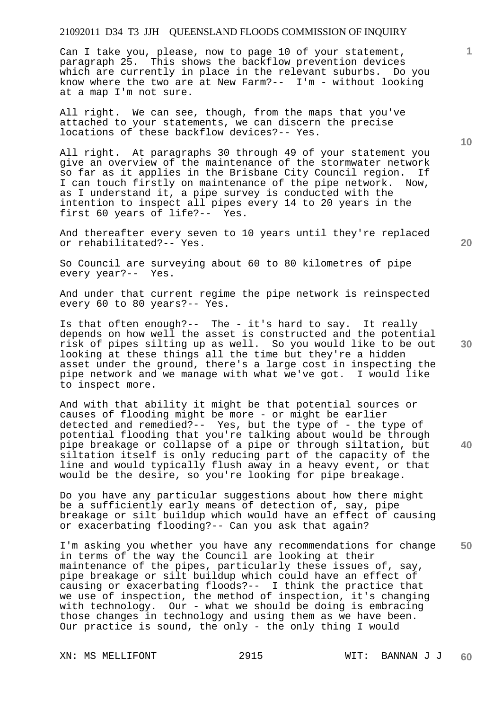Can I take you, please, now to page 10 of your statement, paragraph 25. This shows the backflow prevention devices which are currently in place in the relevant suburbs. Do you know where the two are at New Farm?-- I'm - without looking at a map I'm not sure.

All right. We can see, though, from the maps that you've attached to your statements, we can discern the precise locations of these backflow devices?-- Yes.

All right. At paragraphs 30 through 49 of your statement you give an overview of the maintenance of the stormwater network so far as it applies in the Brisbane City Council region. If I can touch firstly on maintenance of the pipe network. Now, as I understand it, a pipe survey is conducted with the intention to inspect all pipes every 14 to 20 years in the first 60 years of life?-- Yes.

And thereafter every seven to 10 years until they're replaced or rehabilitated?-- Yes.

So Council are surveying about 60 to 80 kilometres of pipe every year?-- Yes.

And under that current regime the pipe network is reinspected every 60 to 80 years?-- Yes.

Is that often enough?-- The - it's hard to say. It really depends on how well the asset is constructed and the potential risk of pipes silting up as well. So you would like to be out looking at these things all the time but they're a hidden asset under the ground, there's a large cost in inspecting the pipe network and we manage with what we've got. I would like to inspect more.

And with that ability it might be that potential sources or causes of flooding might be more - or might be earlier detected and remedied?-- Yes, but the type of - the type of potential flooding that you're talking about would be through pipe breakage or collapse of a pipe or through siltation, but siltation itself is only reducing part of the capacity of the line and would typically flush away in a heavy event, or that would be the desire, so you're looking for pipe breakage.

Do you have any particular suggestions about how there might be a sufficiently early means of detection of, say, pipe breakage or silt buildup which would have an effect of causing or exacerbating flooding?-- Can you ask that again?

**50**  I'm asking you whether you have any recommendations for change in terms of the way the Council are looking at their maintenance of the pipes, particularly these issues of, say, pipe breakage or silt buildup which could have an effect of causing or exacerbating floods?-- I think the practice that we use of inspection, the method of inspection, it's changing with technology. Our - what we should be doing is embracing those changes in technology and using them as we have been. Our practice is sound, the only - the only thing I would

**10** 

**1**

**20** 

**40**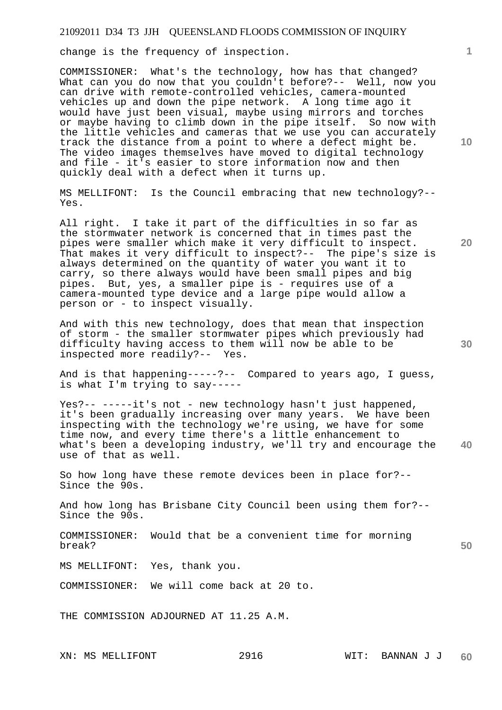change is the frequency of inspection.

COMMISSIONER: What's the technology, how has that changed? What can you do now that you couldn't before?-- Well, now you can drive with remote-controlled vehicles, camera-mounted vehicles up and down the pipe network. A long time ago it would have just been visual, maybe using mirrors and torches or maybe having to climb down in the pipe itself. So now with the little vehicles and cameras that we use you can accurately track the distance from a point to where a defect might be. The video images themselves have moved to digital technology and file - it's easier to store information now and then quickly deal with a defect when it turns up.

MS MELLIFONT: Is the Council embracing that new technology?-- Yes.

All right. I take it part of the difficulties in so far as the stormwater network is concerned that in times past the pipes were smaller which make it very difficult to inspect. That makes it very difficult to inspect?-- The pipe's size is always determined on the quantity of water you want it to carry, so there always would have been small pipes and big pipes. But, yes, a smaller pipe is - requires use of a camera-mounted type device and a large pipe would allow a person or - to inspect visually.

And with this new technology, does that mean that inspection of storm - the smaller stormwater pipes which previously had difficulty having access to them will now be able to be inspected more readily?-- Yes.

And is that happening-----?-- Compared to years ago, I guess, is what I'm trying to say-----

**40**  Yes?-- -----it's not - new technology hasn't just happened, it's been gradually increasing over many years. We have been inspecting with the technology we're using, we have for some time now, and every time there's a little enhancement to what's been a developing industry, we'll try and encourage the use of that as well.

So how long have these remote devices been in place for?-- Since the 90s.

And how long has Brisbane City Council been using them for?-- Since the 90s.

COMMISSIONER: Would that be a convenient time for morning break?

MS MELLIFONT: Yes, thank you.

COMMISSIONER: We will come back at 20 to.

THE COMMISSION ADJOURNED AT 11.25 A.M.

**10** 

**1**

**20** 

**30**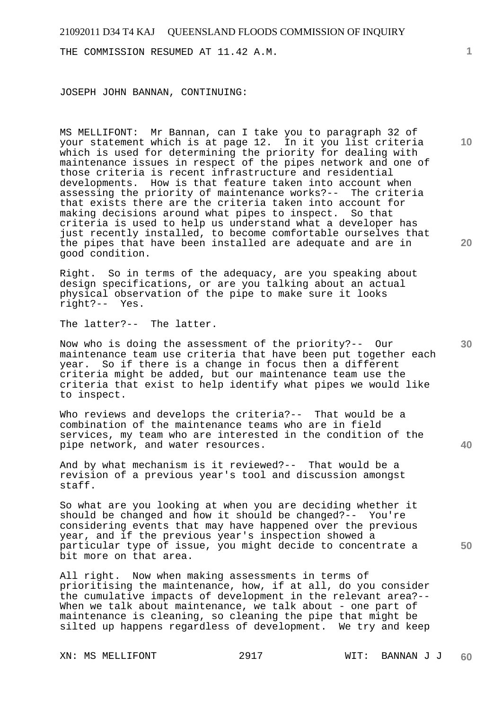THE COMMISSION RESUMED AT 11.42 A.M.

JOSEPH JOHN BANNAN, CONTINUING:

MS MELLIFONT: Mr Bannan, can I take you to paragraph 32 of your statement which is at page 12. In it you list criteria which is used for determining the priority for dealing with maintenance issues in respect of the pipes network and one of those criteria is recent infrastructure and residential developments. How is that feature taken into account when assessing the priority of maintenance works?-- The criteria that exists there are the criteria taken into account for making decisions around what pipes to inspect. So that criteria is used to help us understand what a developer has just recently installed, to become comfortable ourselves that the pipes that have been installed are adequate and are in good condition.

Right. So in terms of the adequacy, are you speaking about design specifications, or are you talking about an actual physical observation of the pipe to make sure it looks right?-- Yes.

The latter?-- The latter.

Now who is doing the assessment of the priority?-- Our maintenance team use criteria that have been put together each year. So if there is a change in focus then a different criteria might be added, but our maintenance team use the criteria that exist to help identify what pipes we would like to inspect.

Who reviews and develops the criteria?-- That would be a combination of the maintenance teams who are in field services, my team who are interested in the condition of the pipe network, and water resources.

And by what mechanism is it reviewed?-- That would be a revision of a previous year's tool and discussion amongst staff.

So what are you looking at when you are deciding whether it should be changed and how it should be changed?-- You're considering events that may have happened over the previous year, and if the previous year's inspection showed a particular type of issue, you might decide to concentrate a bit more on that area.

All right. Now when making assessments in terms of prioritising the maintenance, how, if at all, do you consider the cumulative impacts of development in the relevant area?-- When we talk about maintenance, we talk about - one part of maintenance is cleaning, so cleaning the pipe that might be silted up happens regardless of development. We try and keep

**20** 

**30** 

**40** 

**50**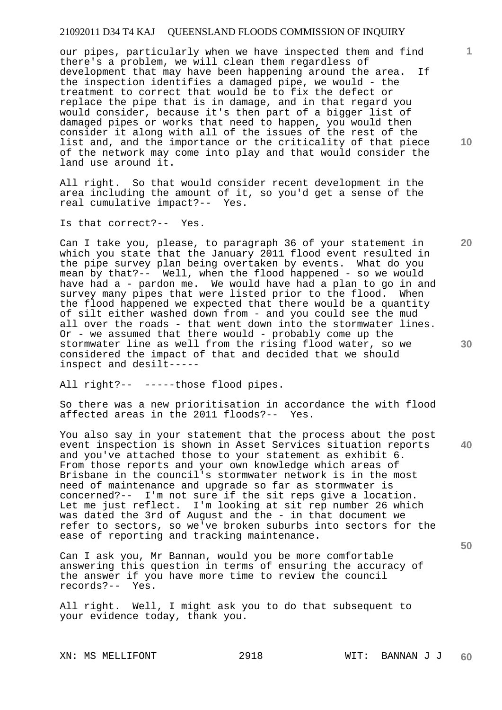our pipes, particularly when we have inspected them and find there's a problem, we will clean them regardless of development that may have been happening around the area. If the inspection identifies a damaged pipe, we would - the treatment to correct that would be to fix the defect or replace the pipe that is in damage, and in that regard you would consider, because it's then part of a bigger list of damaged pipes or works that need to happen, you would then consider it along with all of the issues of the rest of the list and, and the importance or the criticality of that piece of the network may come into play and that would consider the land use around it.

All right. So that would consider recent development in the area including the amount of it, so you'd get a sense of the real cumulative impact?-- Yes.

Is that correct?-- Yes.

Can I take you, please, to paragraph 36 of your statement in which you state that the January 2011 flood event resulted in the pipe survey plan being overtaken by events. What do you mean by that?-- Well, when the flood happened - so we would have had a - pardon me. We would have had a plan to go in and survey many pipes that were listed prior to the flood. When the flood happened we expected that there would be a quantity of silt either washed down from - and you could see the mud all over the roads - that went down into the stormwater lines. Or - we assumed that there would - probably come up the stormwater line as well from the rising flood water, so we considered the impact of that and decided that we should inspect and desilt-----

All right?-- -----those flood pipes.

So there was a new prioritisation in accordance the with flood affected areas in the 2011 floods?-- Yes.

**40**  You also say in your statement that the process about the post event inspection is shown in Asset Services situation reports and you've attached those to your statement as exhibit 6. From those reports and your own knowledge which areas of Brisbane in the council's stormwater network is in the most need of maintenance and upgrade so far as stormwater is concerned?-- I'm not sure if the sit reps give a location. Let me just reflect. I'm looking at sit rep number 26 which was dated the 3rd of August and the - in that document we refer to sectors, so we've broken suburbs into sectors for the ease of reporting and tracking maintenance.

Can I ask you, Mr Bannan, would you be more comfortable answering this question in terms of ensuring the accuracy of the answer if you have more time to review the council records?-- Yes. records?--

All right. Well, I might ask you to do that subsequent to your evidence today, thank you.

XN: MS MELLIFONT 2918 WIT: BANNAN J J

**10** 

**1**

**20**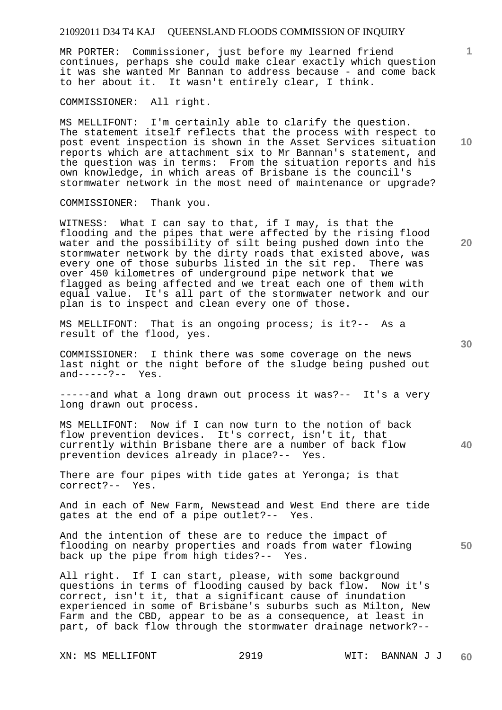MR PORTER: Commissioner, just before my learned friend continues, perhaps she could make clear exactly which question it was she wanted Mr Bannan to address because - and come back to her about it. It wasn't entirely clear, I think.

COMMISSIONER: All right.

MS MELLIFONT: I'm certainly able to clarify the question. The statement itself reflects that the process with respect to post event inspection is shown in the Asset Services situation reports which are attachment six to Mr Bannan's statement, and the question was in terms: From the situation reports and his own knowledge, in which areas of Brisbane is the council's stormwater network in the most need of maintenance or upgrade?

COMMISSIONER: Thank you.

WITNESS: What I can say to that, if I may, is that the flooding and the pipes that were affected by the rising flood water and the possibility of silt being pushed down into the stormwater network by the dirty roads that existed above, was every one of those suburbs listed in the sit rep. There was over 450 kilometres of underground pipe network that we flagged as being affected and we treat each one of them with equal value. It's all part of the stormwater network and our plan is to inspect and clean every one of those.

MS MELLIFONT: That is an ongoing process; is it?-- As a result of the flood, yes.

COMMISSIONER: I think there was some coverage on the news last night or the night before of the sludge being pushed out and-----?-- Yes.

-----and what a long drawn out process it was?-- It's a very long drawn out process.

MS MELLIFONT: Now if I can now turn to the notion of back flow prevention devices. It's correct, isn't it, that currently within Brisbane there are a number of back flow prevention devices already in place?-- Yes.

There are four pipes with tide gates at Yeronga; is that correct?-- Yes.

And in each of New Farm, Newstead and West End there are tide gates at the end of a pipe outlet?-- Yes.

**50**  And the intention of these are to reduce the impact of flooding on nearby properties and roads from water flowing back up the pipe from high tides?-- Yes.

All right. If I can start, please, with some background questions in terms of flooding caused by back flow. Now it's correct, isn't it, that a significant cause of inundation experienced in some of Brisbane's suburbs such as Milton, New Farm and the CBD, appear to be as a consequence, at least in part, of back flow through the stormwater drainage network?--

**10** 

**1**

**20**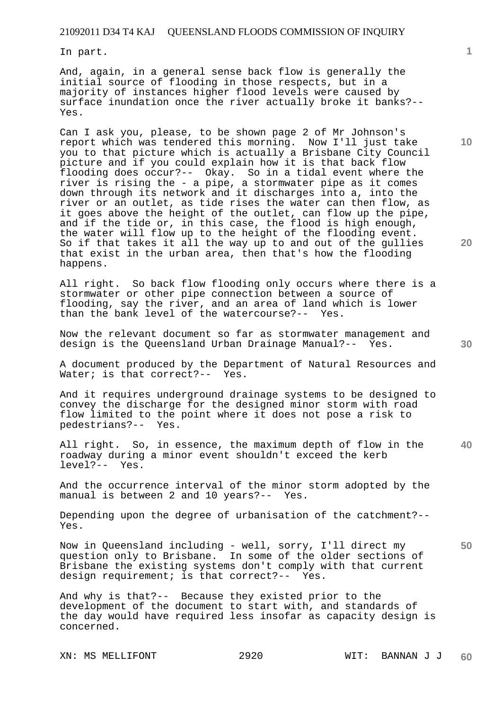In part.

And, again, in a general sense back flow is generally the initial source of flooding in those respects, but in a majority of instances higher flood levels were caused by surface inundation once the river actually broke it banks?-- Yes.

Can I ask you, please, to be shown page 2 of Mr Johnson's report which was tendered this morning. Now I'll just take you to that picture which is actually a Brisbane City Council picture and if you could explain how it is that back flow flooding does occur?-- Okay. So in a tidal event where the river is rising the - a pipe, a stormwater pipe as it comes down through its network and it discharges into a, into the river or an outlet, as tide rises the water can then flow, as it goes above the height of the outlet, can flow up the pipe, and if the tide or, in this case, the flood is high enough, the water will flow up to the height of the flooding event. So if that takes it all the way up to and out of the gullies that exist in the urban area, then that's how the flooding happens.

All right. So back flow flooding only occurs where there is a stormwater or other pipe connection between a source of flooding, say the river, and an area of land which is lower than the bank level of the watercourse?-- Yes.

Now the relevant document so far as stormwater management and design is the Queensland Urban Drainage Manual?-- Yes.

A document produced by the Department of Natural Resources and Water; is that correct?-- Yes.

And it requires underground drainage systems to be designed to convey the discharge for the designed minor storm with road flow limited to the point where it does not pose a risk to pedestrians?-- Yes.

**40**  All right. So, in essence, the maximum depth of flow in the roadway during a minor event shouldn't exceed the kerb level?-- Yes.

And the occurrence interval of the minor storm adopted by the manual is between 2 and 10 years?-- Yes.

Depending upon the degree of urbanisation of the catchment?-- Yes.

Now in Queensland including - well, sorry, I'll direct my question only to Brisbane. In some of the older sections of Brisbane the existing systems don't comply with that current design requirement; is that correct?-- Yes.

And why is that?-- Because they existed prior to the development of the document to start with, and standards of the day would have required less insofar as capacity design is concerned.

XN: MS MELLIFONT 2920 WIT: BANNAN J J

**10** 

**20**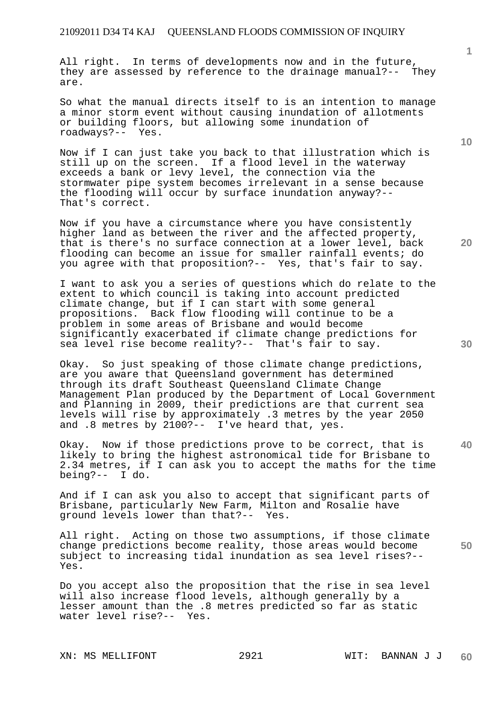All right. In terms of developments now and in the future, they are assessed by reference to the drainage manual?-- They are.

So what the manual directs itself to is an intention to manage a minor storm event without causing inundation of allotments or building floors, but allowing some inundation of roadways?-- Yes.

Now if I can just take you back to that illustration which is still up on the screen. If a flood level in the waterway exceeds a bank or levy level, the connection via the stormwater pipe system becomes irrelevant in a sense because the flooding will occur by surface inundation anyway?-- That's correct.

Now if you have a circumstance where you have consistently higher land as between the river and the affected property, that is there's no surface connection at a lower level, back flooding can become an issue for smaller rainfall events; do you agree with that proposition?-- Yes, that's fair to say.

I want to ask you a series of questions which do relate to the extent to which council is taking into account predicted climate change, but if I can start with some general propositions. Back flow flooding will continue to be a problem in some areas of Brisbane and would become significantly exacerbated if climate change predictions for sea level rise become reality?-- That's fair to say.

Okay. So just speaking of those climate change predictions, are you aware that Queensland government has determined through its draft Southeast Queensland Climate Change Management Plan produced by the Department of Local Government and Planning in 2009, their predictions are that current sea levels will rise by approximately .3 metres by the year 2050 and .8 metres by 2100?-- I've heard that, yes.

Okay. Now if those predictions prove to be correct, that is likely to bring the highest astronomical tide for Brisbane to 2.34 metres, if I can ask you to accept the maths for the time being?-- I do.

And if I can ask you also to accept that significant parts of Brisbane, particularly New Farm, Milton and Rosalie have ground levels lower than that?-- Yes.

All right. Acting on those two assumptions, if those climate change predictions become reality, those areas would become subject to increasing tidal inundation as sea level rises?-- Yes.

Do you accept also the proposition that the rise in sea level will also increase flood levels, although generally by a lesser amount than the .8 metres predicted so far as static water level rise?-- Yes.

XN: MS MELLIFONT 2921 WIT: BANNAN J J

**10** 

**1**

**20** 

**30**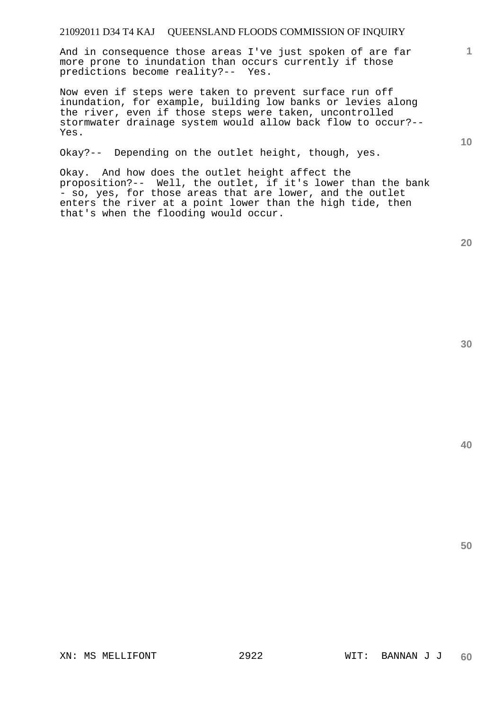And in consequence those areas I've just spoken of are far more prone to inundation than occurs currently if those predictions become reality?-- Yes.

Now even if steps were taken to prevent surface run off inundation, for example, building low banks or levies along the river, even if those steps were taken, uncontrolled stormwater drainage system would allow back flow to occur?-- Yes.

Okay?-- Depending on the outlet height, though, yes.

Okay. And how does the outlet height affect the proposition?-- Well, the outlet, if it's lower than the bank - so, yes, for those areas that are lower, and the outlet enters the river at a point lower than the high tide, then that's when the flooding would occur.

**50** 

**40** 

**1**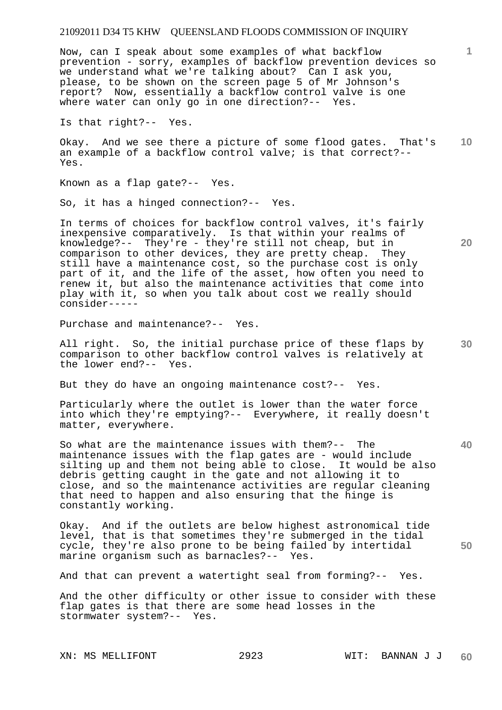Now, can I speak about some examples of what backflow prevention - sorry, examples of backflow prevention devices so we understand what we're talking about? Can I ask you, please, to be shown on the screen page 5 of Mr Johnson's report? Now, essentially a backflow control valve is one where water can only go in one direction?-- Yes.

Is that right?-- Yes.

**10**  Okay. And we see there a picture of some flood gates. That's an example of a backflow control valve; is that correct?-- Yes.

Known as a flap gate?-- Yes.

So, it has a hinged connection?-- Yes.

In terms of choices for backflow control valves, it's fairly inexpensive comparatively. Is that within your realms of knowledge?-- They're - they're still not cheap, but in comparison to other devices, they are pretty cheap. They still have a maintenance cost, so the purchase cost is only part of it, and the life of the asset, how often you need to renew it, but also the maintenance activities that come into play with it, so when you talk about cost we really should consider-----

Purchase and maintenance?-- Yes.

All right. So, the initial purchase price of these flaps by comparison to other backflow control valves is relatively at the lower end?-- Yes.

But they do have an ongoing maintenance cost?-- Yes.

Particularly where the outlet is lower than the water force into which they're emptying?-- Everywhere, it really doesn't matter, everywhere.

So what are the maintenance issues with them?-- The maintenance issues with the flap gates are - would include silting up and them not being able to close. It would be also debris getting caught in the gate and not allowing it to close, and so the maintenance activities are regular cleaning that need to happen and also ensuring that the hinge is constantly working.

Okay. And if the outlets are below highest astronomical tide level, that is that sometimes they're submerged in the tidal cycle, they're also prone to be being failed by intertidal marine organism such as barnacles?-- Yes.

And that can prevent a watertight seal from forming?-- Yes.

And the other difficulty or other issue to consider with these flap gates is that there are some head losses in the stormwater system?-- Yes.

XN: MS MELLIFONT 2923 WIT: BANNAN J J

**1**

**20** 

**30** 

**40**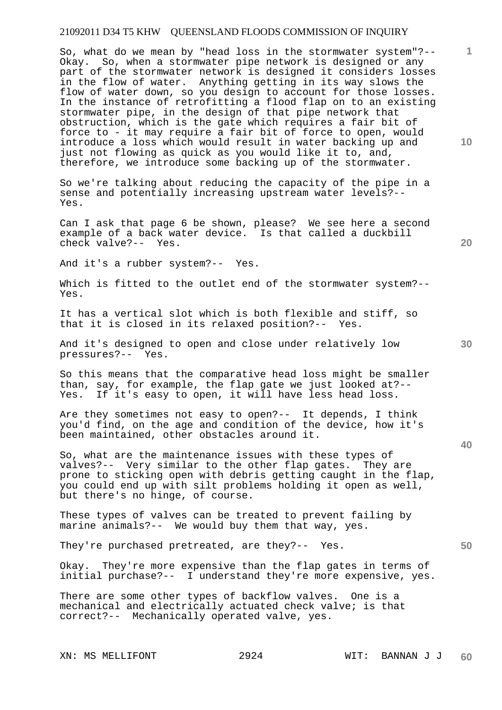So, what do we mean by "head loss in the stormwater system"?-- Okay. So, when a stormwater pipe network is designed or any part of the stormwater network is designed it considers losses in the flow of water. Anything getting in its way slows the flow of water down, so you design to account for those losses. In the instance of retrofitting a flood flap on to an existing stormwater pipe, in the design of that pipe network that obstruction, which is the gate which requires a fair bit of force to - it may require a fair bit of force to open, would introduce a loss which would result in water backing up and just not flowing as quick as you would like it to, and, therefore, we introduce some backing up of the stormwater.

So we're talking about reducing the capacity of the pipe in a sense and potentially increasing upstream water levels?-- Yes.

Can I ask that page 6 be shown, please? We see here a second example of a back water device. Is that called a duckbill check valve?-- Yes.

And it's a rubber system?-- Yes.

Which is fitted to the outlet end of the stormwater system?-- Yes.

It has a vertical slot which is both flexible and stiff, so that it is closed in its relaxed position?-- Yes.

And it's designed to open and close under relatively low pressures?-- Yes.

So this means that the comparative head loss might be smaller than, say, for example, the flap gate we just looked at?-- Yes. If it's easy to open, it will have less head loss.

Are they sometimes not easy to open?-- It depends, I think you'd find, on the age and condition of the device, how it's been maintained, other obstacles around it.

So, what are the maintenance issues with these types of valves?-- Very similar to the other flap gates. They are prone to sticking open with debris getting caught in the flap, you could end up with silt problems holding it open as well, but there's no hinge, of course.

These types of valves can be treated to prevent failing by marine animals?-- We would buy them that way, yes.

They're purchased pretreated, are they?-- Yes.

Okay. They're more expensive than the flap gates in terms of initial purchase?-- I understand they're more expensive, yes.

There are some other types of backflow valves. One is a mechanical and electrically actuated check valve; is that correct?-- Mechanically operated valve, yes.

**10** 

**1**

**20** 

**40**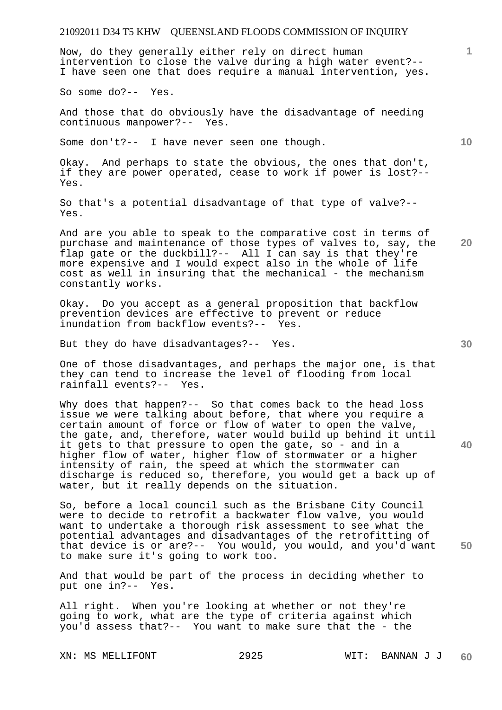Now, do they generally either rely on direct human intervention to close the valve during a high water event?-- I have seen one that does require a manual intervention, yes.

So some do?-- Yes.

And those that do obviously have the disadvantage of needing continuous manpower?-- Yes.

Some don't?-- I have never seen one though.

Okay. And perhaps to state the obvious, the ones that don't, if they are power operated, cease to work if power is lost?-- Yes.

So that's a potential disadvantage of that type of valve?-- Yes.

**20**  And are you able to speak to the comparative cost in terms of purchase and maintenance of those types of valves to, say, the flap gate or the duckbill?-- All I can say is that they're more expensive and I would expect also in the whole of life cost as well in insuring that the mechanical - the mechanism constantly works.

Okay. Do you accept as a general proposition that backflow prevention devices are effective to prevent or reduce inundation from backflow events?-- Yes.

But they do have disadvantages?-- Yes.

One of those disadvantages, and perhaps the major one, is that they can tend to increase the level of flooding from local rainfall events?-- Yes.

Why does that happen?-- So that comes back to the head loss issue we were talking about before, that where you require a certain amount of force or flow of water to open the valve, the gate, and, therefore, water would build up behind it until it gets to that pressure to open the gate, so - and in a higher flow of water, higher flow of stormwater or a higher intensity of rain, the speed at which the stormwater can discharge is reduced so, therefore, you would get a back up of water, but it really depends on the situation.

So, before a local council such as the Brisbane City Council were to decide to retrofit a backwater flow valve, you would want to undertake a thorough risk assessment to see what the potential advantages and disadvantages of the retrofitting of that device is or are?-- You would, you would, and you'd want to make sure it's going to work too.

And that would be part of the process in deciding whether to put one in?-- Yes.

All right. When you're looking at whether or not they're going to work, what are the type of criteria against which you'd assess that?-- You want to make sure that the - the

**10** 

**1**

**30** 

**40**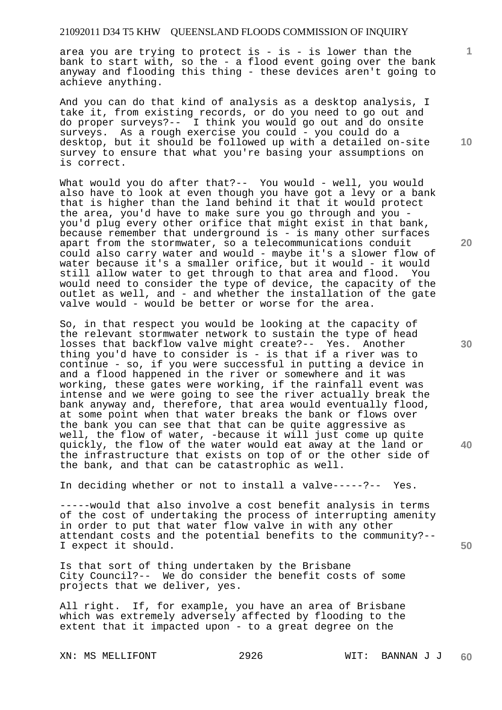area you are trying to protect is - is - is lower than the bank to start with, so the - a flood event going over the bank anyway and flooding this thing - these devices aren't going to achieve anything.

And you can do that kind of analysis as a desktop analysis, I take it, from existing records, or do you need to go out and do proper surveys?-- I think you would go out and do onsite surveys. As a rough exercise you could - you could do a desktop, but it should be followed up with a detailed on-site survey to ensure that what you're basing your assumptions on is correct.

What would you do after that?-- You would - well, you would also have to look at even though you have got a levy or a bank that is higher than the land behind it that it would protect the area, you'd have to make sure you go through and you you'd plug every other orifice that might exist in that bank, because remember that underground is - is many other surfaces apart from the stormwater, so a telecommunications conduit could also carry water and would - maybe it's a slower flow of water because it's a smaller orifice, but it would - it would still allow water to get through to that area and flood. You would need to consider the type of device, the capacity of the outlet as well, and - and whether the installation of the gate valve would - would be better or worse for the area.

So, in that respect you would be looking at the capacity of the relevant stormwater network to sustain the type of head losses that backflow valve might create?-- Yes. Another thing you'd have to consider is - is that if a river was to continue - so, if you were successful in putting a device in and a flood happened in the river or somewhere and it was working, these gates were working, if the rainfall event was intense and we were going to see the river actually break the bank anyway and, therefore, that area would eventually flood, at some point when that water breaks the bank or flows over the bank you can see that that can be quite aggressive as well, the flow of water, -because it will just come up quite quickly, the flow of the water would eat away at the land or the infrastructure that exists on top of or the other side of the bank, and that can be catastrophic as well.

In deciding whether or not to install a valve-----?-- Yes.

-----would that also involve a cost benefit analysis in terms of the cost of undertaking the process of interrupting amenity in order to put that water flow valve in with any other attendant costs and the potential benefits to the community?-- I expect it should.

Is that sort of thing undertaken by the Brisbane City Council?-- We do consider the benefit costs of some projects that we deliver, yes.

All right. If, for example, you have an area of Brisbane which was extremely adversely affected by flooding to the extent that it impacted upon - to a great degree on the

**10** 

**1**

**20** 

**30** 

**40**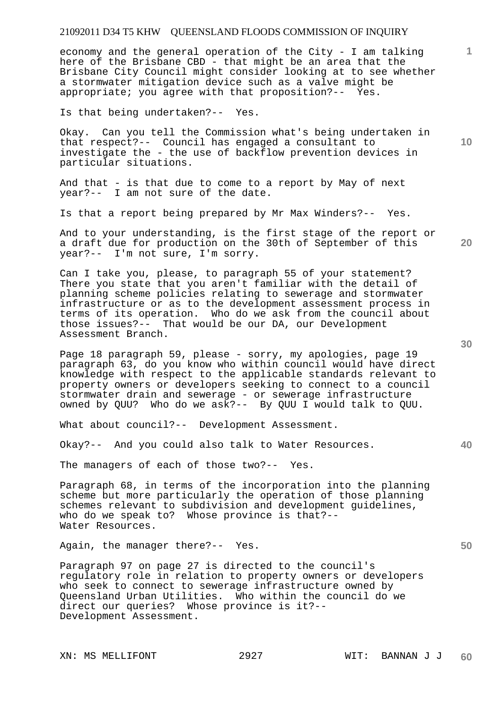economy and the general operation of the City - I am talking here of the Brisbane CBD - that might be an area that the Brisbane City Council might consider looking at to see whether a stormwater mitigation device such as a valve might be appropriate; you agree with that proposition?-- Yes.

Is that being undertaken?-- Yes.

Okay. Can you tell the Commission what's being undertaken in that respect?-- Council has engaged a consultant to investigate the - the use of backflow prevention devices in particular situations.

And that - is that due to come to a report by May of next year?-- I am not sure of the date.

Is that a report being prepared by Mr Max Winders?-- Yes.

And to your understanding, is the first stage of the report or a draft due for production on the 30th of September of this year?-- I'm not sure, I'm sorry.

Can I take you, please, to paragraph 55 of your statement? There you state that you aren't familiar with the detail of planning scheme policies relating to sewerage and stormwater infrastructure or as to the development assessment process in terms of its operation. Who do we ask from the council about those issues?-- That would be our DA, our Development Assessment Branch.

Page 18 paragraph 59, please - sorry, my apologies, page 19 paragraph 63, do you know who within council would have direct knowledge with respect to the applicable standards relevant to property owners or developers seeking to connect to a council stormwater drain and sewerage - or sewerage infrastructure owned by QUU? Who do we ask?-- By QUU I would talk to QUU.

What about council?-- Development Assessment.

Okay?-- And you could also talk to Water Resources.

The managers of each of those two?-- Yes.

Paragraph 68, in terms of the incorporation into the planning scheme but more particularly the operation of those planning schemes relevant to subdivision and development guidelines, who do we speak to? Whose province is that?--Water Resources.

Again, the manager there?-- Yes.

Paragraph 97 on page 27 is directed to the council's regulatory role in relation to property owners or developers who seek to connect to sewerage infrastructure owned by Queensland Urban Utilities. Who within the council do we direct our queries? Whose province is it?-- Development Assessment.

**10** 

**1**

**20** 

**40** 

**30**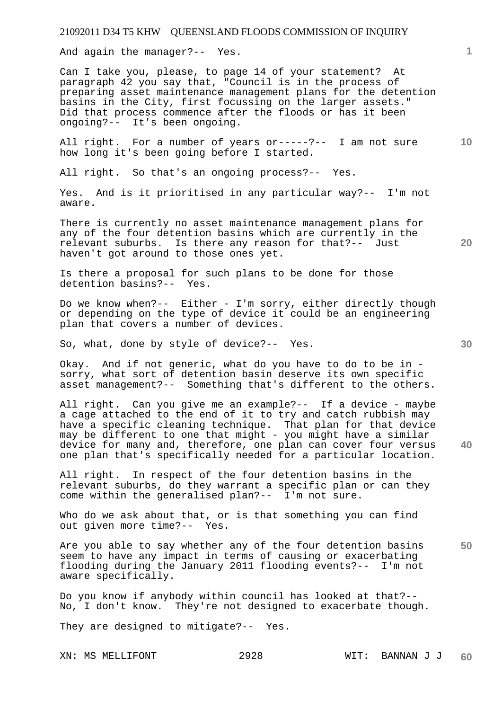And again the manager?-- Yes.

Can I take you, please, to page 14 of your statement? At paragraph 42 you say that, "Council is in the process of preparing asset maintenance management plans for the detention basins in the City, first focussing on the larger assets." Did that process commence after the floods or has it been ongoing?-- It's been ongoing.

**10**  All right. For a number of years or-----?-- I am not sure how long it's been going before I started.

All right. So that's an ongoing process?-- Yes.

Yes. And is it prioritised in any particular way?-- I'm not aware.

There is currently no asset maintenance management plans for any of the four detention basins which are currently in the relevant suburbs. Is there any reason for that?-- Just haven't got around to those ones yet.

Is there a proposal for such plans to be done for those<br>detention basins?-- Yes. detention basins?--

Do we know when?-- Either - I'm sorry, either directly though or depending on the type of device it could be an engineering plan that covers a number of devices.

So, what, done by style of device?-- Yes.

Okay. And if not generic, what do you have to do to be in sorry, what sort of detention basin deserve its own specific asset management?-- Something that's different to the others.

All right. Can you give me an example?-- If a device - maybe a cage attached to the end of it to try and catch rubbish may have a specific cleaning technique. That plan for that device may be different to one that might - you might have a similar device for many and, therefore, one plan can cover four versus one plan that's specifically needed for a particular location.

All right. In respect of the four detention basins in the relevant suburbs, do they warrant a specific plan or can they come within the generalised plan?-- I'm not sure.

Who do we ask about that, or is that something you can find out given more time?-- Yes.

**50**  Are you able to say whether any of the four detention basins seem to have any impact in terms of causing or exacerbating flooding during the January 2011 flooding events?-- I'm not aware specifically.

Do you know if anybody within council has looked at that?-- No, I don't know. They're not designed to exacerbate though.

They are designed to mitigate?-- Yes.

**20** 

**30** 

**40**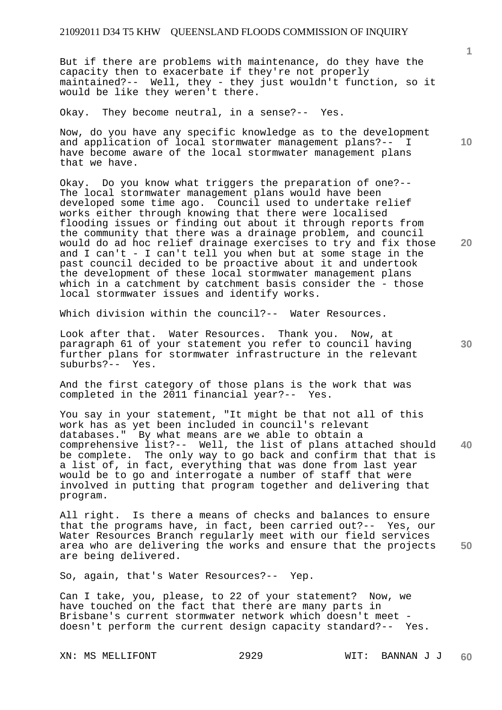But if there are problems with maintenance, do they have the capacity then to exacerbate if they're not properly maintained?-- Well, they - they just wouldn't function, so it would be like they weren't there.

Okay. They become neutral, in a sense?-- Yes.

Now, do you have any specific knowledge as to the development and application of local stormwater management plans?-- I have become aware of the local stormwater management plans that we have.

Okay. Do you know what triggers the preparation of one?-- The local stormwater management plans would have been developed some time ago. Council used to undertake relief works either through knowing that there were localised flooding issues or finding out about it through reports from the community that there was a drainage problem, and council would do ad hoc relief drainage exercises to try and fix those and I can't - I can't tell you when but at some stage in the past council decided to be proactive about it and undertook the development of these local stormwater management plans which in a catchment by catchment basis consider the - those local stormwater issues and identify works.

Which division within the council?-- Water Resources.

Look after that. Water Resources. Thank you. Now, at paragraph 61 of your statement you refer to council having further plans for stormwater infrastructure in the relevant suburbs?-- Yes.

And the first category of those plans is the work that was completed in the 2011 financial year?-- Yes.

**40**  You say in your statement, "It might be that not all of this work has as yet been included in council's relevant databases." By what means are we able to obtain a comprehensive list?-- Well, the list of plans attached should be complete. The only way to go back and confirm that that is a list of, in fact, everything that was done from last year would be to go and interrogate a number of staff that were involved in putting that program together and delivering that program.

**50**  All right. Is there a means of checks and balances to ensure that the programs have, in fact, been carried out?-- Yes, our Water Resources Branch regularly meet with our field services area who are delivering the works and ensure that the projects are being delivered.

So, again, that's Water Resources?-- Yep.

Can I take, you, please, to 22 of your statement? Now, we have touched on the fact that there are many parts in Brisbane's current stormwater network which doesn't meet doesn't perform the current design capacity standard?-- Yes.

XN: MS MELLIFONT 2929 WIT: BANNAN J J

**10** 

**20**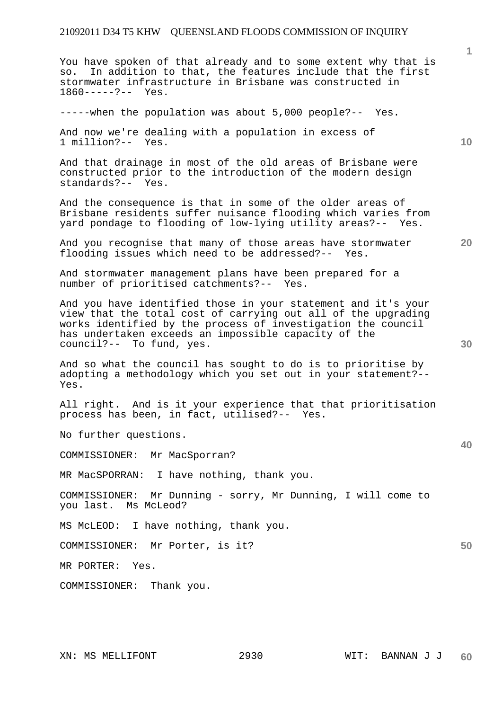**1 10 20**  You have spoken of that already and to some extent why that is so. In addition to that, the features include that the first stormwater infrastructure in Brisbane was constructed in 1860-----?-- Yes. -----when the population was about 5,000 people?-- Yes. And now we're dealing with a population in excess of 1 million?-- Yes. And that drainage in most of the old areas of Brisbane were constructed prior to the introduction of the modern design standards?-- Yes. And the consequence is that in some of the older areas of Brisbane residents suffer nuisance flooding which varies from yard pondage to flooding of low-lying utility areas?-- Yes. And you recognise that many of those areas have stormwater flooding issues which need to be addressed?-- Yes. And stormwater management plans have been prepared for a number of prioritised catchments?-- Yes. And you have identified those in your statement and it's your

view that the total cost of carrying out all of the upgrading works identified by the process of investigation the council has undertaken exceeds an impossible capacity of the council?-- To fund, yes.

And so what the council has sought to do is to prioritise by adopting a methodology which you set out in your statement?-- Yes.

All right. And is it your experience that that prioritisation process has been, in fact, utilised?-- Yes.

No further questions.

COMMISSIONER: Mr MacSporran?

MR MacSPORRAN: I have nothing, thank you.

COMMISSIONER: Mr Dunning - sorry, Mr Dunning, I will come to you last. Ms McLeod?

MS McLEOD: I have nothing, thank you.

COMMISSIONER: Mr Porter, is it?

MR PORTER: Yes.

COMMISSIONER: Thank you.

**50**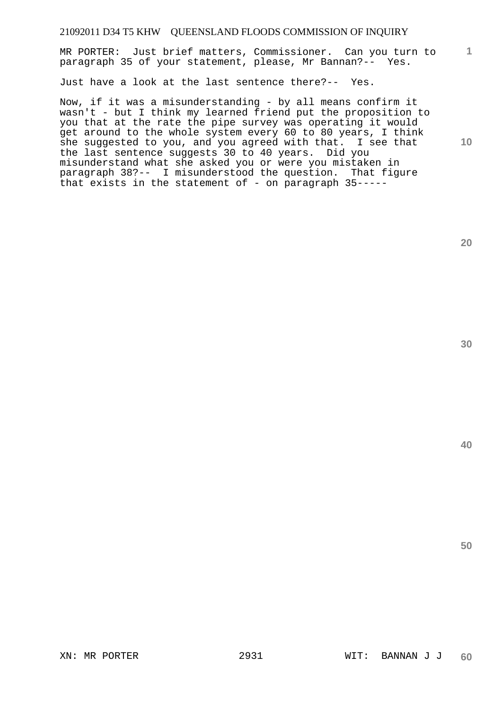**1** MR PORTER: Just brief matters, Commissioner. Can you turn to paragraph 35 of your statement, please, Mr Bannan?-- Yes.

Just have a look at the last sentence there?-- Yes.

Now, if it was a misunderstanding - by all means confirm it wasn't - but I think my learned friend put the proposition to you that at the rate the pipe survey was operating it would get around to the whole system every 60 to 80 years, I think she suggested to you, and you agreed with that. I see that the last sentence suggests 30 to 40 years. Did you misunderstand what she asked you or were you mistaken in paragraph 38?-- I misunderstood the question. That figure that exists in the statement of - on paragraph 35-----

**20** 

**10** 

**30**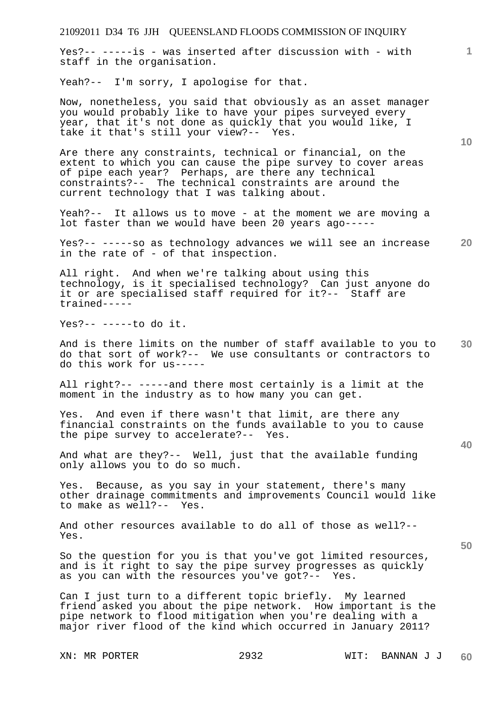Yes?-- -----is - was inserted after discussion with - with staff in the organisation.

Yeah?-- I'm sorry, I apologise for that.

Now, nonetheless, you said that obviously as an asset manager you would probably like to have your pipes surveyed every year, that it's not done as quickly that you would like, I take it that's still your view?-- Yes.

Are there any constraints, technical or financial, on the extent to which you can cause the pipe survey to cover areas of pipe each year? Perhaps, are there any technical constraints?-- The technical constraints are around the current technology that I was talking about.

Yeah?-- It allows us to move - at the moment we are moving a lot faster than we would have been 20 years ago-----

**20**  Yes?-- -----so as technology advances we will see an increase in the rate of - of that inspection.

All right. And when we're talking about using this technology, is it specialised technology? Can just anyone do it or are specialised staff required for it?-- Staff are trained-----

Yes?-- -----to do it.

**30**  And is there limits on the number of staff available to you to do that sort of work?-- We use consultants or contractors to do this work for us-----

All right?-- -----and there most certainly is a limit at the moment in the industry as to how many you can get.

Yes. And even if there wasn't that limit, are there any financial constraints on the funds available to you to cause the pipe survey to accelerate?-- Yes.

And what are they?-- Well, just that the available funding only allows you to do so much.

Yes. Because, as you say in your statement, there's many other drainage commitments and improvements Council would like to make as well?-- Yes.

And other resources available to do all of those as well?-- Yes.

So the question for you is that you've got limited resources, and is it right to say the pipe survey progresses as quickly as you can with the resources you've got?-- Yes.

Can I just turn to a different topic briefly. My learned friend asked you about the pipe network. How important is the pipe network to flood mitigation when you're dealing with a major river flood of the kind which occurred in January 2011?

**10** 

**1**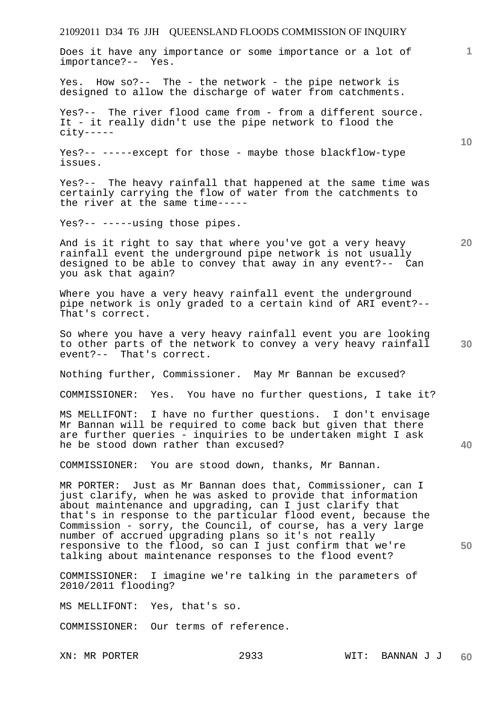Does it have any importance or some importance or a lot of importance?-- Yes.

Yes. How so?-- The - the network - the pipe network is designed to allow the discharge of water from catchments.

Yes?-- The river flood came from - from a different source. It - it really didn't use the pipe network to flood the city-----

Yes?-- -----except for those - maybe those blackflow-type issues.

Yes?-- The heavy rainfall that happened at the same time was certainly carrying the flow of water from the catchments to the river at the same time-----

Yes?-- -----using those pipes.

And is it right to say that where you've got a very heavy rainfall event the underground pipe network is not usually designed to be able to convey that away in any event?-- Can you ask that again?

Where you have a very heavy rainfall event the underground pipe network is only graded to a certain kind of ARI event?-- That's correct.

So where you have a very heavy rainfall event you are looking to other parts of the network to convey a very heavy rainfall event?-- That's correct.

Nothing further, Commissioner. May Mr Bannan be excused?

COMMISSIONER: Yes. You have no further questions, I take it?

MS MELLIFONT: I have no further questions. I don't envisage Mr Bannan will be required to come back but given that there are further queries - inquiries to be undertaken might I ask he be stood down rather than excused?

COMMISSIONER: You are stood down, thanks, Mr Bannan.

MR PORTER: Just as Mr Bannan does that, Commissioner, can I just clarify, when he was asked to provide that information about maintenance and upgrading, can I just clarify that that's in response to the particular flood event, because the Commission - sorry, the Council, of course, has a very large number of accrued upgrading plans so it's not really responsive to the flood, so can I just confirm that we're talking about maintenance responses to the flood event?

COMMISSIONER: I imagine we're talking in the parameters of 2010/2011 flooding?

MS MELLIFONT: Yes, that's so.

COMMISSIONER: Our terms of reference.

**10** 

**1**

**20** 

**50**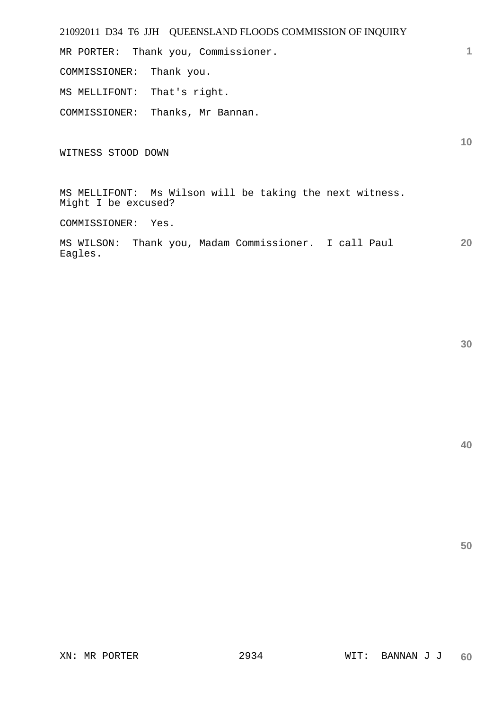| 21092011 D34 T6 JJH QUEENSLAND FLOODS COMMISSION OF INQUIRY                     |    |
|---------------------------------------------------------------------------------|----|
| MR PORTER: Thank you, Commissioner.                                             |    |
| COMMISSIONER: Thank you.                                                        |    |
| MS MELLIFONT: That's right.                                                     |    |
| COMMISSIONER: Thanks, Mr Bannan.                                                |    |
| WITNESS STOOD DOWN                                                              | 10 |
| MS MELLIFONT: Ms Wilson will be taking the next witness.<br>Might I be excused? |    |
| COMMISSIONER: Yes.                                                              |    |
| MS WILSON: Thank you, Madam Commissioner. I call Paul<br>Eagles.                | 20 |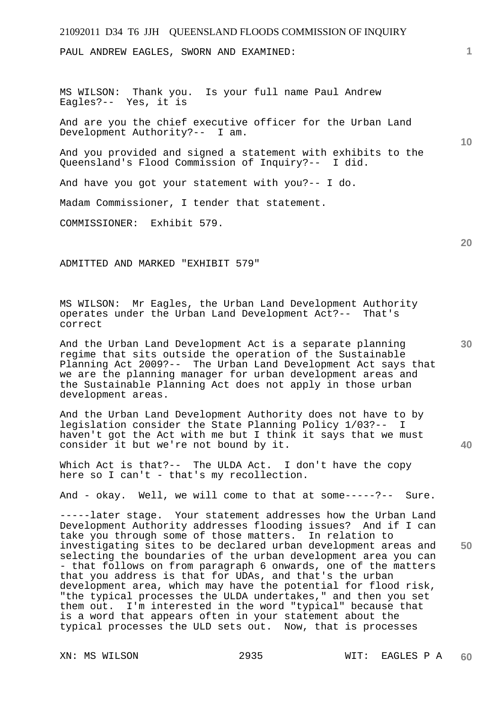PAUL ANDREW EAGLES, SWORN AND EXAMINED:

MS WILSON: Thank you. Is your full name Paul Andrew Eagles?-- Yes, it is

And are you the chief executive officer for the Urban Land Development Authority?-- I am.

And you provided and signed a statement with exhibits to the Queensland's Flood Commission of Inquiry?-- I did.

And have you got your statement with you?-- I do.

Madam Commissioner, I tender that statement.

COMMISSIONER: Exhibit 579.

ADMITTED AND MARKED "EXHIBIT 579"

MS WILSON: Mr Eagles, the Urban Land Development Authority operates under the Urban Land Development Act?-- That's correct

And the Urban Land Development Act is a separate planning regime that sits outside the operation of the Sustainable Planning Act 2009?-- The Urban Land Development Act says that we are the planning manager for urban development areas and the Sustainable Planning Act does not apply in those urban development areas.

And the Urban Land Development Authority does not have to by legislation consider the State Planning Policy 1/03?-- I haven't got the Act with me but I think it says that we must consider it but we're not bound by it.

Which Act is that?-- The ULDA Act. I don't have the copy here so I can't - that's my recollection.

And - okay. Well, we will come to that at some-----?-- Sure.

**50**  -----later stage. Your statement addresses how the Urban Land Development Authority addresses flooding issues? And if I can take you through some of those matters. In relation to investigating sites to be declared urban development areas and selecting the boundaries of the urban development area you can - that follows on from paragraph 6 onwards, one of the matters that you address is that for UDAs, and that's the urban development area, which may have the potential for flood risk, "the typical processes the ULDA undertakes," and then you set them out. I'm interested in the word "typical" because that is a word that appears often in your statement about the typical processes the ULD sets out. Now, that is processes

**1**

**10** 

**30** 

**40**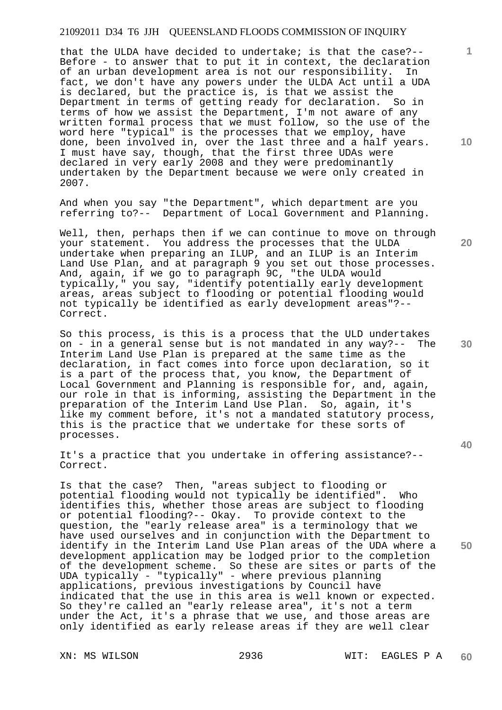that the ULDA have decided to undertake; is that the case?-- Before - to answer that to put it in context, the declaration of an urban development area is not our responsibility. In fact, we don't have any powers under the ULDA Act until a UDA is declared, but the practice is, is that we assist the Department in terms of getting ready for declaration. So in terms of how we assist the Department, I'm not aware of any written formal process that we must follow, so the use of the word here "typical" is the processes that we employ, have done, been involved in, over the last three and a half years. I must have say, though, that the first three UDAs were declared in very early 2008 and they were predominantly undertaken by the Department because we were only created in 2007.

And when you say "the Department", which department are you referring to?-- Department of Local Government and Planning.

Well, then, perhaps then if we can continue to move on through your statement. You address the processes that the ULDA undertake when preparing an ILUP, and an ILUP is an Interim Land Use Plan, and at paragraph 9 you set out those processes. And, again, if we go to paragraph 9C, "the ULDA would typically," you say, "identify potentially early development areas, areas subject to flooding or potential flooding would not typically be identified as early development areas"?-- Correct.

So this process, is this is a process that the ULD undertakes on - in a general sense but is not mandated in any way?-- The Interim Land Use Plan is prepared at the same time as the declaration, in fact comes into force upon declaration, so it is a part of the process that, you know, the Department of Local Government and Planning is responsible for, and, again, our role in that is informing, assisting the Department in the preparation of the Interim Land Use Plan. So, again, it's like my comment before, it's not a mandated statutory process, this is the practice that we undertake for these sorts of processes.

It's a practice that you undertake in offering assistance?-- Correct.

Is that the case? Then, "areas subject to flooding or potential flooding would not typically be identified". Who identifies this, whether those areas are subject to flooding or potential flooding?-- Okay. To provide context to the question, the "early release area" is a terminology that we have used ourselves and in conjunction with the Department to identify in the Interim Land Use Plan areas of the UDA where a development application may be lodged prior to the completion of the development scheme. So these are sites or parts of the UDA typically - "typically" - where previous planning applications, previous investigations by Council have indicated that the use in this area is well known or expected. So they're called an "early release area", it's not a term under the Act, it's a phrase that we use, and those areas are only identified as early release areas if they are well clear

**10** 

**1**

**20** 

**30** 

**40**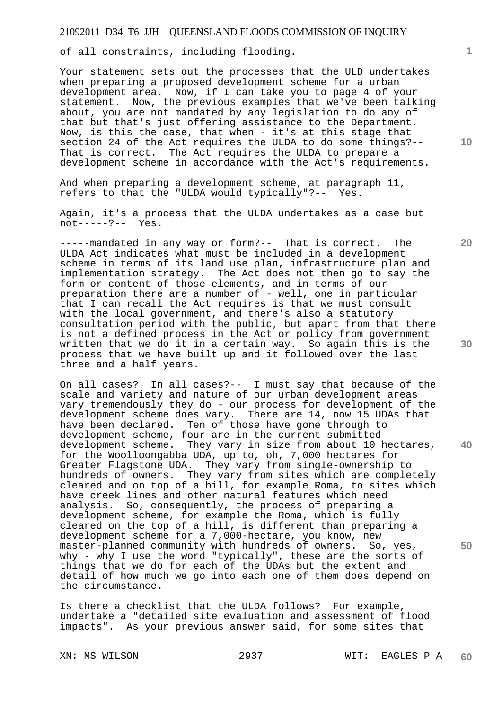of all constraints, including flooding.

Your statement sets out the processes that the ULD undertakes when preparing a proposed development scheme for a urban development area. Now, if I can take you to page 4 of your statement. Now, the previous examples that we've been talking about, you are not mandated by any legislation to do any of that but that's just offering assistance to the Department. Now, is this the case, that when - it's at this stage that section 24 of the Act requires the ULDA to do some things?-- That is correct. The Act requires the ULDA to prepare a development scheme in accordance with the Act's requirements.

And when preparing a development scheme, at paragraph 11, refers to that the "ULDA would typically"?-- Yes.

Again, it's a process that the ULDA undertakes as a case but not-----?-- Yes.

-----mandated in any way or form?-- That is correct. The ULDA Act indicates what must be included in a development scheme in terms of its land use plan, infrastructure plan and implementation strategy. The Act does not then go to say the form or content of those elements, and in terms of our preparation there are a number of - well, one in particular that I can recall the Act requires is that we must consult with the local government, and there's also a statutory consultation period with the public, but apart from that there is not a defined process in the Act or policy from government written that we do it in a certain way. So again this is the process that we have built up and it followed over the last three and a half years.

On all cases? In all cases?-- I must say that because of the scale and variety and nature of our urban development areas vary tremendously they do - our process for development of the development scheme does vary. There are 14, now 15 UDAs that have been declared. Ten of those have gone through to development scheme, four are in the current submitted development scheme. They vary in size from about 10 hectares, for the Woolloongabba UDA, up to, oh, 7,000 hectares for Greater Flagstone UDA. They vary from single-ownership to hundreds of owners. They vary from sites which are completely cleared and on top of a hill, for example Roma, to sites which have creek lines and other natural features which need analysis. So, consequently, the process of preparing a development scheme, for example the Roma, which is fully cleared on the top of a hill, is different than preparing a development scheme for a 7,000-hectare, you know, new master-planned community with hundreds of owners. So, yes, why - why I use the word "typically", these are the sorts of things that we do for each of the UDAs but the extent and detail of how much we go into each one of them does depend on the circumstance.

Is there a checklist that the ULDA follows? For example, undertake a "detailed site evaluation and assessment of flood impacts". As your previous answer said, for some sites that

**1**

**10** 

**20** 

**30** 

**40**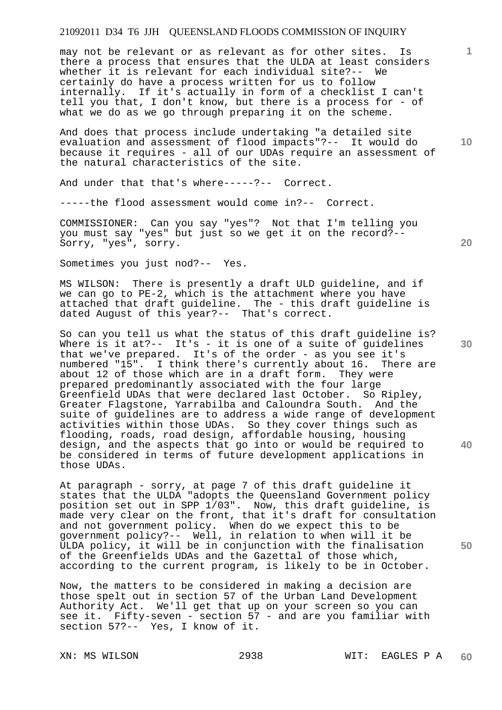may not be relevant or as relevant as for other sites. Is there a process that ensures that the ULDA at least considers whether it is relevant for each individual site?-- We certainly do have a process written for us to follow internally. If it's actually in form of a checklist I can't tell you that, I don't know, but there is a process for - of what we do as we go through preparing it on the scheme.

And does that process include undertaking "a detailed site evaluation and assessment of flood impacts"?-- It would do because it requires - all of our UDAs require an assessment of the natural characteristics of the site.

And under that that's where-----?-- Correct.

-----the flood assessment would come in?-- Correct.

COMMISSIONER: Can you say "yes"? Not that I'm telling you you must say "yes" but just so we get it on the record?-- Sorry, "yes", sorry.

Sometimes you just nod?-- Yes.

MS WILSON: There is presently a draft ULD guideline, and if we can go to PE-2, which is the attachment where you have attached that draft guideline. The - this draft guideline is dated August of this year?-- That's correct.

So can you tell us what the status of this draft guideline is? Where is it at?-- It's - it is one of a suite of guidelines that we've prepared. It's of the order - as you see it's numbered "15". I think there's currently about 16. There are about 12 of those which are in a draft form. They were about 12 of those which are in a draft form. prepared predominantly associated with the four large Greenfield UDAs that were declared last October. So Ripley, Greater Flagstone, Yarrabilba and Caloundra South. And the suite of guidelines are to address a wide range of development activities within those UDAs. So they cover things such as flooding, roads, road design, affordable housing, housing design, and the aspects that go into or would be required to be considered in terms of future development applications in those UDAs.

At paragraph - sorry, at page 7 of this draft guideline it states that the ULDA "adopts the Queensland Government policy position set out in SPP 1/03". Now, this draft guideline, is made very clear on the front, that it's draft for consultation and not government policy. When do we expect this to be government policy?-- Well, in relation to when will it be ULDA policy, it will be in conjunction with the finalisation of the Greenfields UDAs and the Gazettal of those which, according to the current program, is likely to be in October.

Now, the matters to be considered in making a decision are those spelt out in section 57 of the Urban Land Development Authority Act. We'll get that up on your screen so you can see it. Fifty-seven - section 57 - and are you familiar with section 57?-- Yes, I know of it.

**20** 

**1**

**10** 

**40**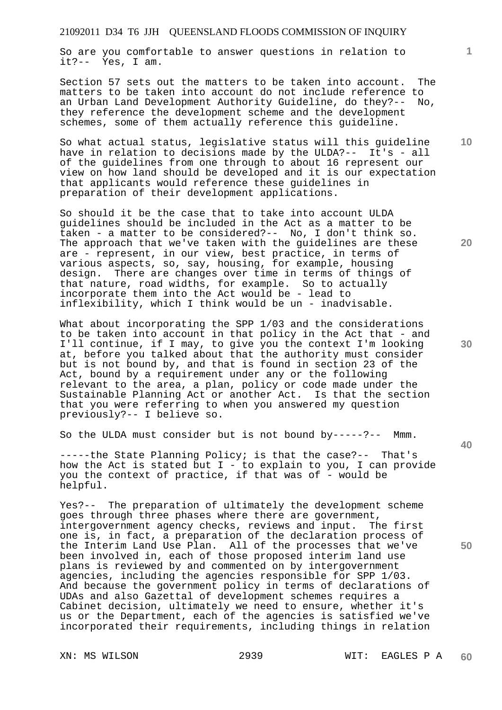So are you comfortable to answer questions in relation to it?-- Yes, I am.

Section 57 sets out the matters to be taken into account. The matters to be taken into account do not include reference to<br>an Urban Land Development Authority Guideline, do they?-- No, an Urban Land Development Authority Guideline, do they?-they reference the development scheme and the development schemes, some of them actually reference this guideline.

So what actual status, legislative status will this guideline have in relation to decisions made by the ULDA?-- It's - all of the guidelines from one through to about 16 represent our view on how land should be developed and it is our expectation that applicants would reference these guidelines in preparation of their development applications.

So should it be the case that to take into account ULDA guidelines should be included in the Act as a matter to be taken - a matter to be considered?-- No, I don't think so. The approach that we've taken with the guidelines are these are - represent, in our view, best practice, in terms of various aspects, so, say, housing, for example, housing design. There are changes over time in terms of things of that nature, road widths, for example. So to actually incorporate them into the Act would be - lead to inflexibility, which I think would be un - inadvisable.

What about incorporating the SPP 1/03 and the considerations to be taken into account in that policy in the Act that - and I'll continue, if I may, to give you the context I'm looking at, before you talked about that the authority must consider but is not bound by, and that is found in section 23 of the Act, bound by a requirement under any or the following relevant to the area, a plan, policy or code made under the Sustainable Planning Act or another Act. Is that the section that you were referring to when you answered my question previously?-- I believe so.

So the ULDA must consider but is not bound by-----?-- Mmm.

-----the State Planning Policy; is that the case?-- That's how the Act is stated but I - to explain to you, I can provide you the context of practice, if that was of - would be helpful.

Yes?-- The preparation of ultimately the development scheme goes through three phases where there are government, intergovernment agency checks, reviews and input. The first one is, in fact, a preparation of the declaration process of the Interim Land Use Plan. All of the processes that we've been involved in, each of those proposed interim land use plans is reviewed by and commented on by intergovernment agencies, including the agencies responsible for SPP 1/03. And because the government policy in terms of declarations of UDAs and also Gazettal of development schemes requires a Cabinet decision, ultimately we need to ensure, whether it's us or the Department, each of the agencies is satisfied we've incorporated their requirements, including things in relation

**30** 

**20** 

**50** 

**10**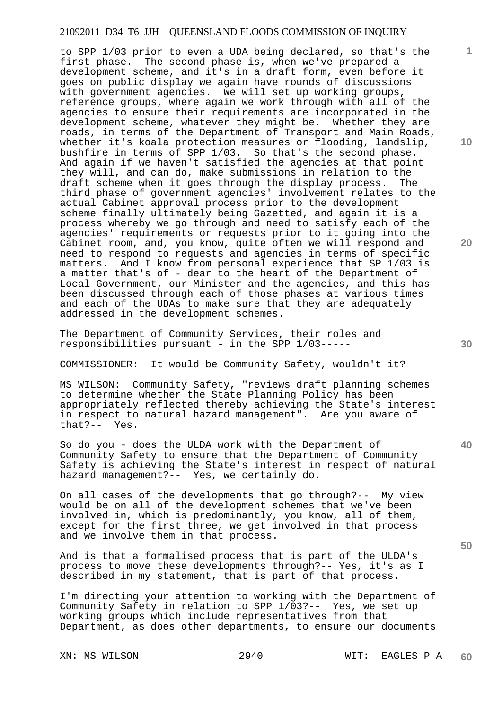to SPP 1/03 prior to even a UDA being declared, so that's the first phase. The second phase is, when we've prepared a development scheme, and it's in a draft form, even before it goes on public display we again have rounds of discussions with government agencies. We will set up working groups, reference groups, where again we work through with all of the agencies to ensure their requirements are incorporated in the development scheme, whatever they might be. Whether they are roads, in terms of the Department of Transport and Main Roads, whether it's koala protection measures or flooding, landslip, bushfire in terms of SPP 1/03. So that's the second phase. And again if we haven't satisfied the agencies at that point they will, and can do, make submissions in relation to the draft scheme when it goes through the display process. The third phase of government agencies' involvement relates to the actual Cabinet approval process prior to the development scheme finally ultimately being Gazetted, and again it is a process whereby we go through and need to satisfy each of the agencies' requirements or requests prior to it going into the Cabinet room, and, you know, quite often we will respond and need to respond to requests and agencies in terms of specific matters. And I know from personal experience that SP 1/03 is a matter that's of - dear to the heart of the Department of Local Government, our Minister and the agencies, and this has been discussed through each of those phases at various times and each of the UDAs to make sure that they are adequately addressed in the development schemes.

The Department of Community Services, their roles and responsibilities pursuant - in the SPP 1/03-----

COMMISSIONER: It would be Community Safety, wouldn't it?

MS WILSON: Community Safety, "reviews draft planning schemes to determine whether the State Planning Policy has been appropriately reflected thereby achieving the State's interest in respect to natural hazard management". Are you aware of that?-- Yes.

So do you - does the ULDA work with the Department of Community Safety to ensure that the Department of Community Safety is achieving the State's interest in respect of natural hazard management?-- Yes, we certainly do.

On all cases of the developments that go through?-- My view would be on all of the development schemes that we've been involved in, which is predominantly, you know, all of them, except for the first three, we get involved in that process and we involve them in that process.

And is that a formalised process that is part of the ULDA's process to move these developments through?-- Yes, it's as I described in my statement, that is part of that process.

I'm directing your attention to working with the Department of Community Safety in relation to SPP 1/03?-- Yes, we set up working groups which include representatives from that Department, as does other departments, to ensure our documents

**10** 

**1**

**20** 

**40**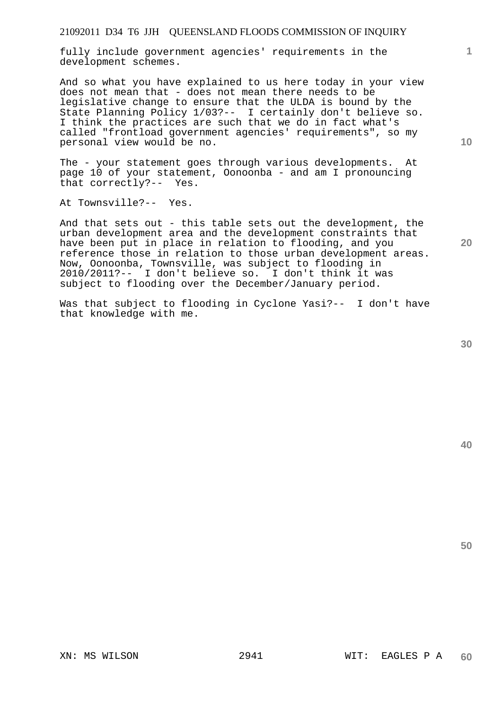fully include government agencies' requirements in the development schemes.

And so what you have explained to us here today in your view does not mean that - does not mean there needs to be legislative change to ensure that the ULDA is bound by the State Planning Policy 1/03?-- I certainly don't believe so. I think the practices are such that we do in fact what's called "frontload government agencies' requirements", so my personal view would be no.

The - your statement goes through various developments. At page 10 of your statement, Oonoonba - and am I pronouncing that correctly?-- Yes.

At Townsville?-- Yes.

And that sets out - this table sets out the development, the urban development area and the development constraints that have been put in place in relation to flooding, and you reference those in relation to those urban development areas. Now, Oonoonba, Townsville, was subject to flooding in 2010/2011?-- I don't believe so. I don't think it was subject to flooding over the December/January period.

Was that subject to flooding in Cyclone Yasi?-- I don't have that knowledge with me.

**40** 

**50** 

**1**

**10**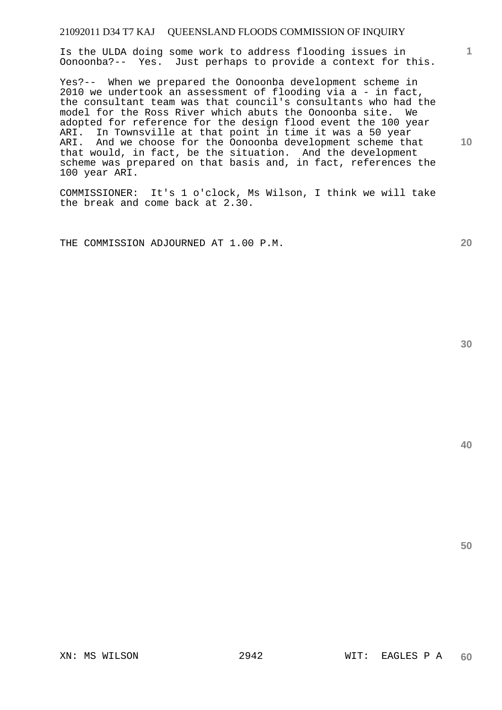Is the ULDA doing some work to address flooding issues in Oonoonba?-- Yes. Just perhaps to provide a context for this.

Yes?-- When we prepared the Oonoonba development scheme in 2010 we undertook an assessment of flooding via a - in fact, the consultant team was that council's consultants who had the model for the Ross River which abuts the Oonoonba site. We adopted for reference for the design flood event the 100 year ARI. In Townsville at that point in time it was a 50 year ARI. And we choose for the Oonoonba development scheme that that would, in fact, be the situation. And the development scheme was prepared on that basis and, in fact, references the 100 year ARI.

COMMISSIONER: It's 1 o'clock, Ms Wilson, I think we will take the break and come back at 2.30.

THE COMMISSION ADJOURNED AT 1.00 P.M.

**30** 

**20** 

**50** 

**1**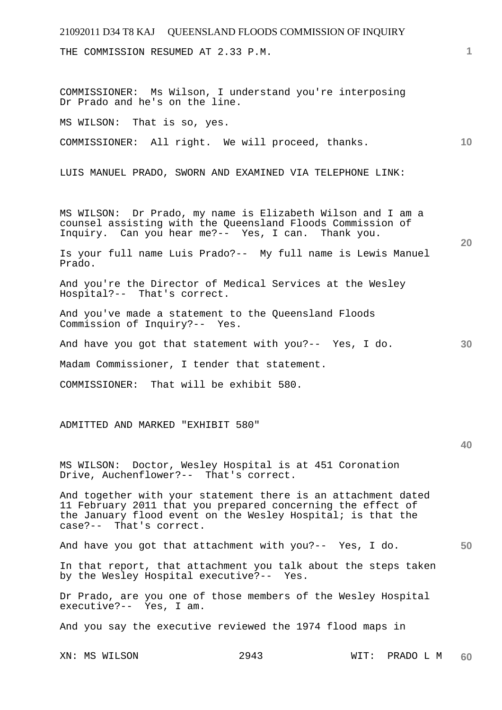| 21092011 D34 T8 KAJ QUEENSLAND FLOODS COMMISSION OF INQUIRY                                                                                                                                                            |                                                              |                   |    |  |
|------------------------------------------------------------------------------------------------------------------------------------------------------------------------------------------------------------------------|--------------------------------------------------------------|-------------------|----|--|
| THE COMMISSION RESUMED AT 2.33 P.M.                                                                                                                                                                                    |                                                              |                   | 1  |  |
|                                                                                                                                                                                                                        |                                                              |                   |    |  |
| COMMISSIONER: Ms Wilson, I understand you're interposing<br>Dr Prado and he's on the line.                                                                                                                             |                                                              |                   |    |  |
| MS WILSON: That is so, yes.                                                                                                                                                                                            |                                                              |                   |    |  |
| COMMISSIONER: All right. We will proceed, thanks.                                                                                                                                                                      |                                                              |                   | 10 |  |
| LUIS MANUEL PRADO, SWORN AND EXAMINED VIA TELEPHONE LINK:                                                                                                                                                              |                                                              |                   |    |  |
| MS WILSON: Dr Prado, my name is Elizabeth Wilson and I am a<br>counsel assisting with the Queensland Floods Commission of<br>Inquiry. Can you hear me?-- Yes, I can. Thank you.                                        |                                                              |                   | 20 |  |
| Prado.                                                                                                                                                                                                                 | Is your full name Luis Prado?-- My full name is Lewis Manuel |                   |    |  |
| And you're the Director of Medical Services at the Wesley<br>Hospital?-- That's correct.                                                                                                                               |                                                              |                   |    |  |
| And you've made a statement to the Queensland Floods<br>Commission of Inquiry?-- Yes.                                                                                                                                  |                                                              |                   |    |  |
| And have you got that statement with you?-- Yes, I do.                                                                                                                                                                 |                                                              |                   | 30 |  |
| Madam Commissioner, I tender that statement.                                                                                                                                                                           |                                                              |                   |    |  |
| COMMISSIONER: That will be exhibit 580.                                                                                                                                                                                |                                                              |                   |    |  |
|                                                                                                                                                                                                                        |                                                              |                   |    |  |
| ADMITTED AND MARKED "EXHIBIT 580"                                                                                                                                                                                      |                                                              |                   |    |  |
|                                                                                                                                                                                                                        |                                                              |                   | 40 |  |
| MS WILSON: Doctor, Wesley Hospital is at 451 Coronation<br>Drive, Auchenflower?-- That's correct.                                                                                                                      |                                                              |                   |    |  |
| And together with your statement there is an attachment dated<br>11 February 2011 that you prepared concerning the effect of<br>the January flood event on the Wesley Hospital; is that the<br>case?-- That's correct. |                                                              |                   |    |  |
| And have you got that attachment with you?-- Yes, I do.                                                                                                                                                                |                                                              |                   | 50 |  |
| In that report, that attachment you talk about the steps taken<br>by the Wesley Hospital executive?-- Yes.                                                                                                             |                                                              |                   |    |  |
| Dr Prado, are you one of those members of the Wesley Hospital<br>executive?-- Yes, I am.                                                                                                                               |                                                              |                   |    |  |
| And you say the executive reviewed the 1974 flood maps in                                                                                                                                                              |                                                              |                   |    |  |
| XN: MS WILSON                                                                                                                                                                                                          | 2943                                                         | WIT:<br>PRADO L M | 60 |  |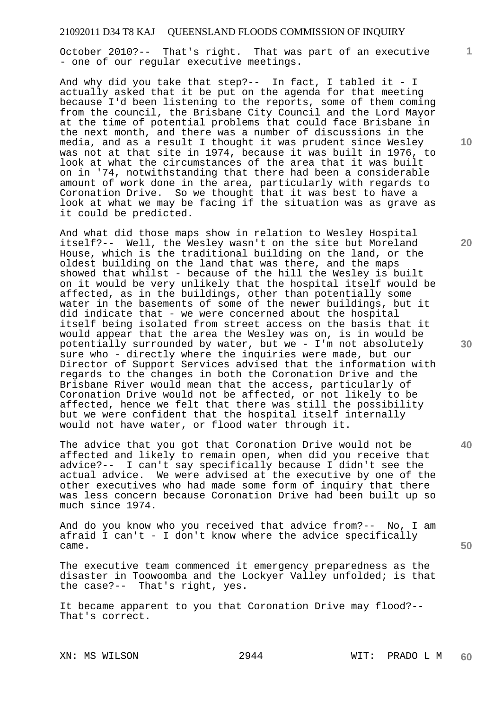October 2010?-- That's right. That was part of an executive - one of our regular executive meetings.

And why did you take that step?-- In fact, I tabled it - I actually asked that it be put on the agenda for that meeting because I'd been listening to the reports, some of them coming from the council, the Brisbane City Council and the Lord Mayor at the time of potential problems that could face Brisbane in the next month, and there was a number of discussions in the media, and as a result I thought it was prudent since Wesley was not at that site in 1974, because it was built in 1976, to look at what the circumstances of the area that it was built on in '74, notwithstanding that there had been a considerable amount of work done in the area, particularly with regards to Coronation Drive. So we thought that it was best to have a look at what we may be facing if the situation was as grave as it could be predicted.

And what did those maps show in relation to Wesley Hospital itself?-- Well, the Wesley wasn't on the site but Moreland House, which is the traditional building on the land, or the oldest building on the land that was there, and the maps showed that whilst - because of the hill the Wesley is built on it would be very unlikely that the hospital itself would be affected, as in the buildings, other than potentially some water in the basements of some of the newer buildings, but it did indicate that - we were concerned about the hospital itself being isolated from street access on the basis that it would appear that the area the Wesley was on, is in would be potentially surrounded by water, but we - I'm not absolutely sure who - directly where the inquiries were made, but our Director of Support Services advised that the information with regards to the changes in both the Coronation Drive and the Brisbane River would mean that the access, particularly of Coronation Drive would not be affected, or not likely to be affected, hence we felt that there was still the possibility but we were confident that the hospital itself internally would not have water, or flood water through it.

The advice that you got that Coronation Drive would not be affected and likely to remain open, when did you receive that advice?-- I can't say specifically because I didn't see the actual advice. We were advised at the executive by one of the other executives who had made some form of inquiry that there was less concern because Coronation Drive had been built up so much since 1974.

And do you know who you received that advice from?-- No, I am afraid I can't - I don't know where the advice specifically came.

The executive team commenced it emergency preparedness as the disaster in Toowoomba and the Lockyer Valley unfolded; is that the case?-- That's right, yes.

It became apparent to you that Coronation Drive may flood?-- That's correct.

**10** 

**1**

**20** 

**40** 

**30**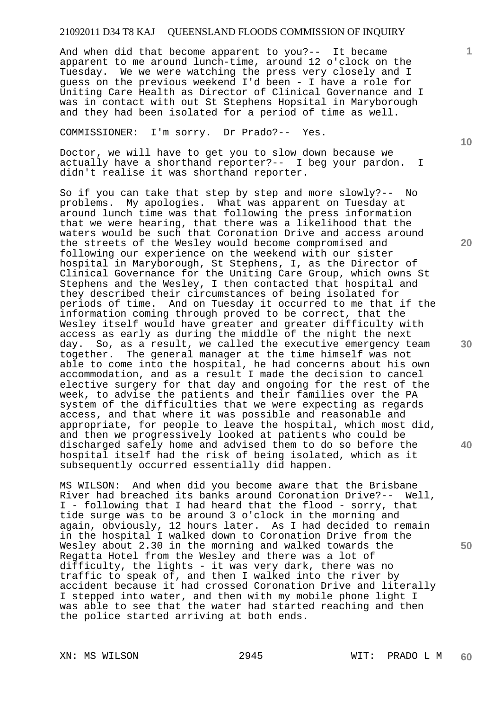And when did that become apparent to you?-- It became apparent to me around lunch-time, around 12 o'clock on the Tuesday. We we were watching the press very closely and I guess on the previous weekend I'd been - I have a role for Uniting Care Health as Director of Clinical Governance and I was in contact with out St Stephens Hopsital in Maryborough and they had been isolated for a period of time as well.

COMMISSIONER: I'm sorry. Dr Prado?-- Yes.

Doctor, we will have to get you to slow down because we actually have a shorthand reporter?-- I beg your pardon. I didn't realise it was shorthand reporter.

So if you can take that step by step and more slowly?-- No problems. My apologies. What was apparent on Tuesday at around lunch time was that following the press information that we were hearing, that there was a likelihood that the waters would be such that Coronation Drive and access around the streets of the Wesley would become compromised and following our experience on the weekend with our sister hospital in Maryborough, St Stephens, I, as the Director of Clinical Governance for the Uniting Care Group, which owns St Stephens and the Wesley, I then contacted that hospital and they described their circumstances of being isolated for periods of time. And on Tuesday it occurred to me that if the information coming through proved to be correct, that the Wesley itself would have greater and greater difficulty with access as early as during the middle of the night the next day. So, as a result, we called the executive emergency team together. The general manager at the time himself was not able to come into the hospital, he had concerns about his own accommodation, and as a result I made the decision to cancel elective surgery for that day and ongoing for the rest of the week, to advise the patients and their families over the PA system of the difficulties that we were expecting as regards access, and that where it was possible and reasonable and appropriate, for people to leave the hospital, which most did, and then we progressively looked at patients who could be discharged safely home and advised them to do so before the hospital itself had the risk of being isolated, which as it subsequently occurred essentially did happen.

MS WILSON: And when did you become aware that the Brisbane River had breached its banks around Coronation Drive?-- Well, I - following that I had heard that the flood - sorry, that tide surge was to be around 3 o'clock in the morning and again, obviously, 12 hours later. As I had decided to remain in the hospital I walked down to Coronation Drive from the Wesley about 2.30 in the morning and walked towards the Regatta Hotel from the Wesley and there was a lot of difficulty, the lights - it was very dark, there was no traffic to speak of, and then I walked into the river by accident because it had crossed Coronation Drive and literally I stepped into water, and then with my mobile phone light I was able to see that the water had started reaching and then the police started arriving at both ends.

**10** 

**1**

**20** 

**30** 

**40**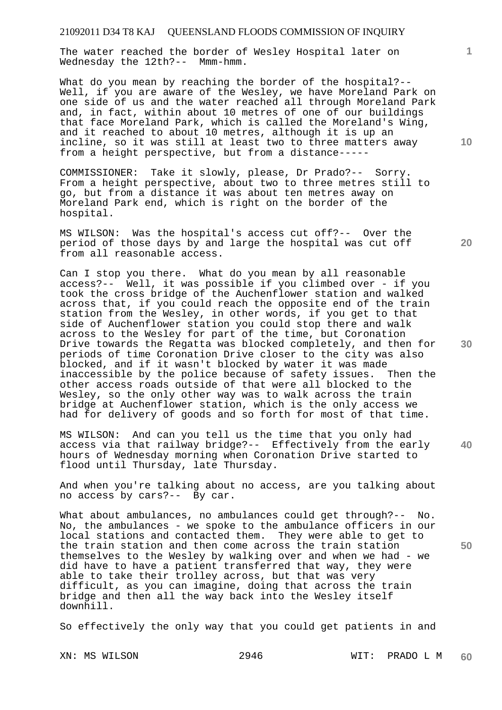The water reached the border of Wesley Hospital later on Wednesday the 12th?-- Mmm-hmm.

What do you mean by reaching the border of the hospital?-- Well, if you are aware of the Wesley, we have Moreland Park on one side of us and the water reached all through Moreland Park and, in fact, within about 10 metres of one of our buildings that face Moreland Park, which is called the Moreland's Wing, and it reached to about 10 metres, although it is up an incline, so it was still at least two to three matters away from a height perspective, but from a distance-----

COMMISSIONER: Take it slowly, please, Dr Prado?-- Sorry. From a height perspective, about two to three metres still to go, but from a distance it was about ten metres away on Moreland Park end, which is right on the border of the hospital.

MS WILSON: Was the hospital's access cut off?-- Over the period of those days by and large the hospital was cut off from all reasonable access.

Can I stop you there. What do you mean by all reasonable access?-- Well, it was possible if you climbed over - if you took the cross bridge of the Auchenflower station and walked across that, if you could reach the opposite end of the train station from the Wesley, in other words, if you get to that side of Auchenflower station you could stop there and walk across to the Wesley for part of the time, but Coronation Drive towards the Regatta was blocked completely, and then for periods of time Coronation Drive closer to the city was also blocked, and if it wasn't blocked by water it was made inaccessible by the police because of safety issues. Then the other access roads outside of that were all blocked to the Wesley, so the only other way was to walk across the train bridge at Auchenflower station, which is the only access we had for delivery of goods and so forth for most of that time.

MS WILSON: And can you tell us the time that you only had access via that railway bridge?-- Effectively from the early hours of Wednesday morning when Coronation Drive started to flood until Thursday, late Thursday.

And when you're talking about no access, are you talking about no access by cars?-- By car.

What about ambulances, no ambulances could get through?-- No. No, the ambulances - we spoke to the ambulance officers in our local stations and contacted them. They were able to get to the train station and then come across the train station themselves to the Wesley by walking over and when we had - we did have to have a patient transferred that way, they were able to take their trolley across, but that was very difficult, as you can imagine, doing that across the train bridge and then all the way back into the Wesley itself downhill.

So effectively the only way that you could get patients in and

**10** 

**1**

**30** 

**20** 

**40**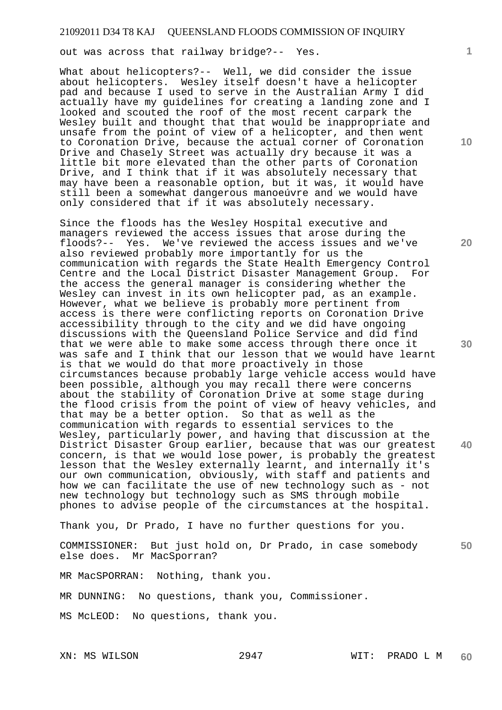out was across that railway bridge?-- Yes.

What about helicopters?-- Well, we did consider the issue about helicopters. Wesley itself doesn't have a helicopter pad and because I used to serve in the Australian Army I did actually have my guidelines for creating a landing zone and I looked and scouted the roof of the most recent carpark the Wesley built and thought that that would be inappropriate and unsafe from the point of view of a helicopter, and then went to Coronation Drive, because the actual corner of Coronation Drive and Chasely Street was actually dry because it was a little bit more elevated than the other parts of Coronation Drive, and I think that if it was absolutely necessary that may have been a reasonable option, but it was, it would have still been a somewhat dangerous manoeúvre and we would have only considered that if it was absolutely necessary.

Since the floods has the Wesley Hospital executive and managers reviewed the access issues that arose during the floods?-- Yes. We've reviewed the access issues and we've also reviewed probably more importantly for us the communication with regards the State Health Emergency Control Centre and the Local District Disaster Management Group. For the access the general manager is considering whether the Wesley can invest in its own helicopter pad, as an example. However, what we believe is probably more pertinent from access is there were conflicting reports on Coronation Drive accessibility through to the city and we did have ongoing discussions with the Queensland Police Service and did find that we were able to make some access through there once it was safe and I think that our lesson that we would have learnt is that we would do that more proactively in those circumstances because probably large vehicle access would have been possible, although you may recall there were concerns about the stability of Coronation Drive at some stage during the flood crisis from the point of view of heavy vehicles, and that may be a better option. So that as well as the communication with regards to essential services to the Wesley, particularly power, and having that discussion at the District Disaster Group earlier, because that was our greatest concern, is that we would lose power, is probably the greatest lesson that the Wesley externally learnt, and internally it's our own communication, obviously, with staff and patients and how we can facilitate the use of new technology such as - not new technology but technology such as SMS through mobile phones to advise people of the circumstances at the hospital.

Thank you, Dr Prado, I have no further questions for you.

COMMISSIONER: But just hold on, Dr Prado, in case somebody else does. Mr MacSporran?

MR MacSPORRAN: Nothing, thank you.

MR DUNNING: No questions, thank you, Commissioner.

MS McLEOD: No questions, thank you.

**1**

**10** 

**20** 

**30** 

**40**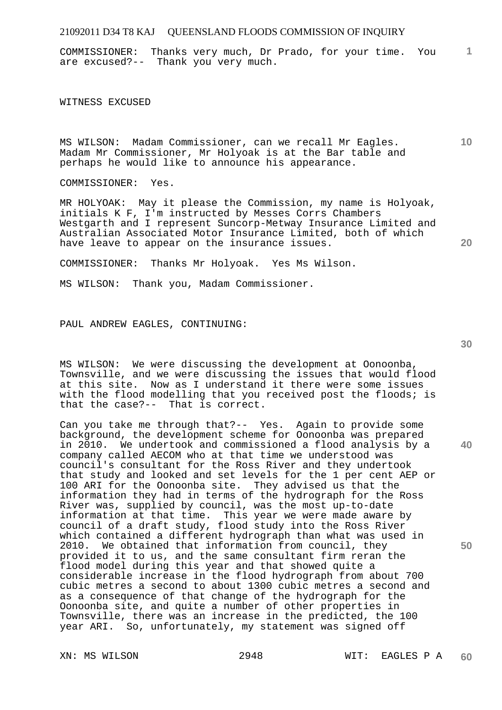**1** COMMISSIONER: Thanks very much, Dr Prado, for your time. You are excused?-- Thank you very much.

WITNESS EXCUSED

MS WILSON: Madam Commissioner, can we recall Mr Eagles. Madam Mr Commissioner, Mr Holyoak is at the Bar table and perhaps he would like to announce his appearance.

COMMISSIONER: Yes.

MR HOLYOAK: May it please the Commission, my name is Holyoak, initials K F, I'm instructed by Messes Corrs Chambers Westgarth and I represent Suncorp-Metway Insurance Limited and Australian Associated Motor Insurance Limited, both of which have leave to appear on the insurance issues.

COMMISSIONER: Thanks Mr Holyoak. Yes Ms Wilson.

MS WILSON: Thank you, Madam Commissioner.

PAUL ANDREW EAGLES, CONTINUING:

MS WILSON: We were discussing the development at Oonoonba, Townsville, and we were discussing the issues that would flood at this site. Now as I understand it there were some issues with the flood modelling that you received post the floods; is that the case?-- That is correct.

Can you take me through that?-- Yes. Again to provide some background, the development scheme for Oonoonba was prepared in 2010. We undertook and commissioned a flood analysis by a company called AECOM who at that time we understood was council's consultant for the Ross River and they undertook that study and looked and set levels for the 1 per cent AEP or 100 ARI for the Oonoonba site. They advised us that the information they had in terms of the hydrograph for the Ross River was, supplied by council, was the most up-to-date information at that time. This year we were made aware by council of a draft study, flood study into the Ross River which contained a different hydrograph than what was used in 2010. We obtained that information from council, they provided it to us, and the same consultant firm reran the flood model during this year and that showed quite a considerable increase in the flood hydrograph from about 700 cubic metres a second to about 1300 cubic metres a second and as a consequence of that change of the hydrograph for the Oonoonba site, and quite a number of other properties in Townsville, there was an increase in the predicted, the 100 year ARI. So, unfortunately, my statement was signed off

**30** 

**40** 

**50** 

**20**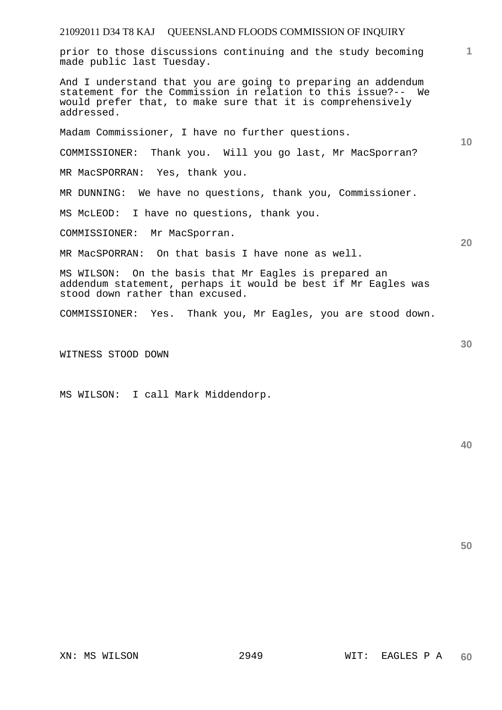prior to those discussions continuing and the study becoming made public last Tuesday.

And I understand that you are going to preparing an addendum statement for the Commission in relation to this issue?-- We would prefer that, to make sure that it is comprehensively addressed.

Madam Commissioner, I have no further questions.

COMMISSIONER: Thank you. Will you go last, Mr MacSporran?

MR MacSPORRAN: Yes, thank you.

MR DUNNING: We have no questions, thank you, Commissioner.

MS McLEOD: I have no questions, thank you.

COMMISSIONER: Mr MacSporran.

MR MacSPORRAN: On that basis I have none as well.

MS WILSON: On the basis that Mr Eagles is prepared an addendum statement, perhaps it would be best if Mr Eagles was stood down rather than excused.

COMMISSIONER: Yes. Thank you, Mr Eagles, you are stood down.

WITNESS STOOD DOWN

MS WILSON: I call Mark Middendorp.

**40** 

**50** 

**10** 

**1**

**20**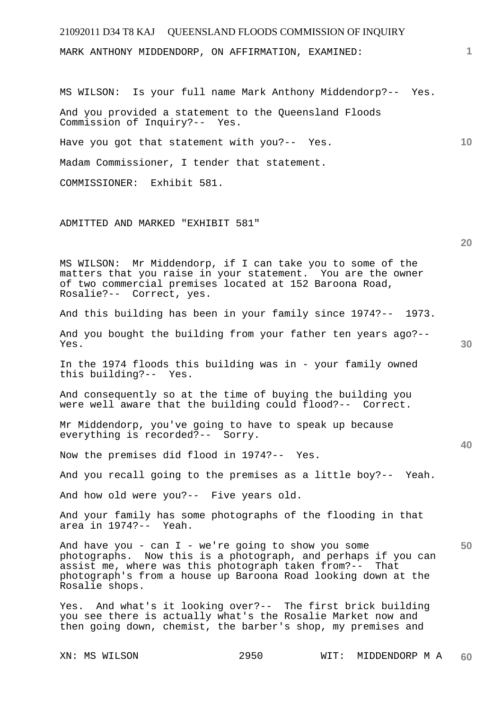| 21092011 D34 T8 KAJ QUEENSLAND FLOODS COMMISSION OF INQUIRY                                                                                                                                                                                                             |    |
|-------------------------------------------------------------------------------------------------------------------------------------------------------------------------------------------------------------------------------------------------------------------------|----|
| MARK ANTHONY MIDDENDORP, ON AFFIRMATION, EXAMINED:                                                                                                                                                                                                                      | 1  |
|                                                                                                                                                                                                                                                                         |    |
| MS WILSON: Is your full name Mark Anthony Middendorp?-- Yes.                                                                                                                                                                                                            |    |
| And you provided a statement to the Queensland Floods<br>Commission of Inquiry?-- Yes.                                                                                                                                                                                  |    |
| Have you got that statement with you?-- Yes.                                                                                                                                                                                                                            | 10 |
| Madam Commissioner, I tender that statement.                                                                                                                                                                                                                            |    |
| COMMISSIONER: Exhibit 581.                                                                                                                                                                                                                                              |    |
|                                                                                                                                                                                                                                                                         |    |
| ADMITTED AND MARKED "EXHIBIT 581"                                                                                                                                                                                                                                       |    |
|                                                                                                                                                                                                                                                                         | 20 |
| MS WILSON: Mr Middendorp, if I can take you to some of the<br>matters that you raise in your statement. You are the owner<br>of two commercial premises located at 152 Baroona Road,<br>Rosalie?-- Correct, yes.                                                        |    |
| And this building has been in your family since 1974?-- 1973.                                                                                                                                                                                                           |    |
| And you bought the building from your father ten years ago?--<br>Yes.                                                                                                                                                                                                   | 30 |
| In the 1974 floods this building was in - your family owned<br>this building?-- Yes.                                                                                                                                                                                    |    |
| And consequently so at the time of buying the building you<br>were well aware that the building could flood?-- Correct.                                                                                                                                                 |    |
| Mr Middendorp, you've going to have to speak up because<br>everything is recorded?-- Sorry.                                                                                                                                                                             | 40 |
| Now the premises did flood in 1974?-- Yes.                                                                                                                                                                                                                              |    |
| And you recall going to the premises as a little boy?-- Yeah.                                                                                                                                                                                                           |    |
| And how old were you?-- Five years old.                                                                                                                                                                                                                                 |    |
| And your family has some photographs of the flooding in that<br>area in 1974?-- Yeah.                                                                                                                                                                                   |    |
| And have you - can $I$ - we're going to show you some<br>photographs. Now this is a photograph, and perhaps if you can<br>assist me, where was this photograph taken from?--<br>That<br>photograph's from a house up Baroona Road looking down at the<br>Rosalie shops. | 50 |
| Yes. And what's it looking over?-- The first brick building<br>you see there is actually what's the Rosalie Market now and<br>then going down, chemist, the barber's shop, my premises and                                                                              |    |
| 2950<br>XN: MS WILSON<br>WIT:<br>MIDDENDORP M A                                                                                                                                                                                                                         | 60 |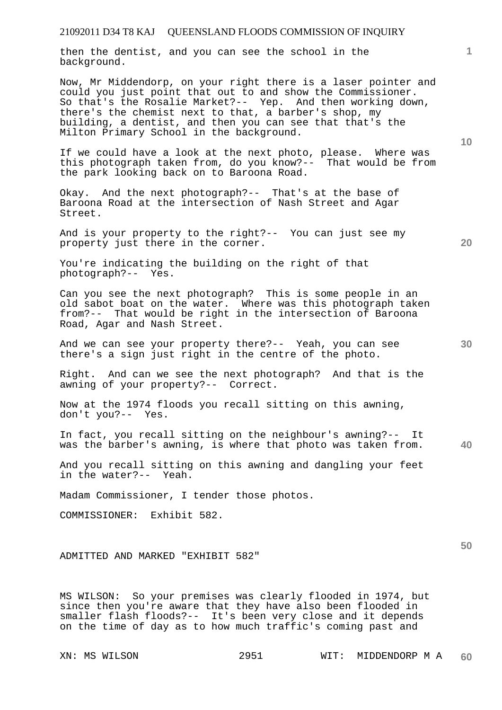then the dentist, and you can see the school in the background.

Now, Mr Middendorp, on your right there is a laser pointer and could you just point that out to and show the Commissioner. So that's the Rosalie Market?-- Yep. And then working down, there's the chemist next to that, a barber's shop, my building, a dentist, and then you can see that that's the Milton Primary School in the background.

If we could have a look at the next photo, please. Where was this photograph taken from, do you know?-- That would be from the park looking back on to Baroona Road.

Okay. And the next photograph?-- That's at the base of Baroona Road at the intersection of Nash Street and Agar Street.

And is your property to the right?-- You can just see my property just there in the corner.

You're indicating the building on the right of that photograph?-- Yes.

Can you see the next photograph? This is some people in an old sabot boat on the water. Where was this photograph taken from?-- That would be right in the intersection of Baroona Road, Agar and Nash Street.

And we can see your property there?-- Yeah, you can see there's a sign just right in the centre of the photo.

Right. And can we see the next photograph? And that is the awning of your property?-- Correct.

Now at the 1974 floods you recall sitting on this awning, don't you?-- Yes.

**40**  In fact, you recall sitting on the neighbour's awning?-- It was the barber's awning, is where that photo was taken from.

And you recall sitting on this awning and dangling your feet in the water?-- Yeah.

Madam Commissioner, I tender those photos.

COMMISSIONER: Exhibit 582.

ADMITTED AND MARKED "EXHIBIT 582"

MS WILSON: So your premises was clearly flooded in 1974, but since then you're aware that they have also been flooded in smaller flash floods?-- It's been very close and it depends on the time of day as to how much traffic's coming past and

**10** 

**1**

**20** 

**30**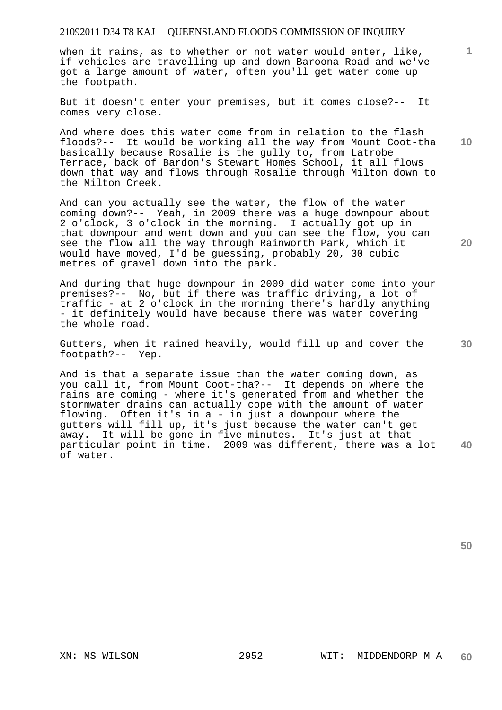when it rains, as to whether or not water would enter, like, if vehicles are travelling up and down Baroona Road and we've got a large amount of water, often you'll get water come up the footpath.

But it doesn't enter your premises, but it comes close?-- It comes very close.

And where does this water come from in relation to the flash floods?-- It would be working all the way from Mount Coot-tha basically because Rosalie is the gully to, from Latrobe Terrace, back of Bardon's Stewart Homes School, it all flows down that way and flows through Rosalie through Milton down to the Milton Creek.

And can you actually see the water, the flow of the water coming down?-- Yeah, in 2009 there was a huge downpour about 2 o'clock, 3 o'clock in the morning. I actually got up in that downpour and went down and you can see the flow, you can see the flow all the way through Rainworth Park, which it would have moved, I'd be guessing, probably 20, 30 cubic metres of gravel down into the park.

And during that huge downpour in 2009 did water come into your premises?-- No, but if there was traffic driving, a lot of traffic - at 2 o'clock in the morning there's hardly anything - it definitely would have because there was water covering the whole road.

Gutters, when it rained heavily, would fill up and cover the footpath?-- Yep.

**40**  And is that a separate issue than the water coming down, as you call it, from Mount Coot-tha?-- It depends on where the rains are coming - where it's generated from and whether the stormwater drains can actually cope with the amount of water flowing. Often it's in a - in just a downpour where the gutters will fill up, it's just because the water can't get away. It will be gone in five minutes. It's just at that particular point in time. 2009 was different, there was a lot of water.

**50** 

**1**

**10** 

**20**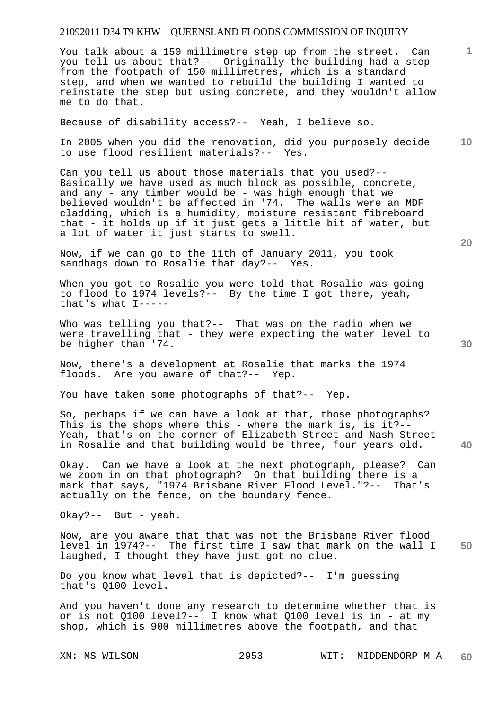You talk about a 150 millimetre step up from the street. Can you tell us about that?-- Originally the building had a step from the footpath of 150 millimetres, which is a standard step, and when we wanted to rebuild the building I wanted to reinstate the step but using concrete, and they wouldn't allow me to do that.

Because of disability access?-- Yeah, I believe so.

**10**  In 2005 when you did the renovation, did you purposely decide to use flood resilient materials?-- Yes.

Can you tell us about those materials that you used?-- Basically we have used as much block as possible, concrete, and any - any timber would be - was high enough that we believed wouldn't be affected in '74. The walls were an MDF cladding, which is a humidity, moisture resistant fibreboard that - it holds up if it just gets a little bit of water, but a lot of water it just starts to swell.

Now, if we can go to the 11th of January 2011, you took sandbags down to Rosalie that day?-- Yes.

When you got to Rosalie you were told that Rosalie was going to flood to 1974 levels?-- By the time I got there, yeah, that's what I-----

Who was telling you that?-- That was on the radio when we were travelling that - they were expecting the water level to be higher than '74.

Now, there's a development at Rosalie that marks the 1974 floods. Are you aware of that?-- Yep.

You have taken some photographs of that?-- Yep.

So, perhaps if we can have a look at that, those photographs? This is the shops where this - where the mark is, is it?-- Yeah, that's on the corner of Elizabeth Street and Nash Street in Rosalie and that building would be three, four years old.

Okay. Can we have a look at the next photograph, please? Can we zoom in on that photograph? On that building there is a mark that says, "1974 Brisbane River Flood Level."?-- That's actually on the fence, on the boundary fence.

Okay?-- But - yeah.

**50**  Now, are you aware that that was not the Brisbane River flood level in 1974?-- The first time I saw that mark on the wall I laughed, I thought they have just got no clue.

Do you know what level that is depicted?-- I'm guessing that's Q100 level.

And you haven't done any research to determine whether that is or is not Q100 level?-- I know what Q100 level is in - at my shop, which is 900 millimetres above the footpath, and that

**20** 

**40** 

**30**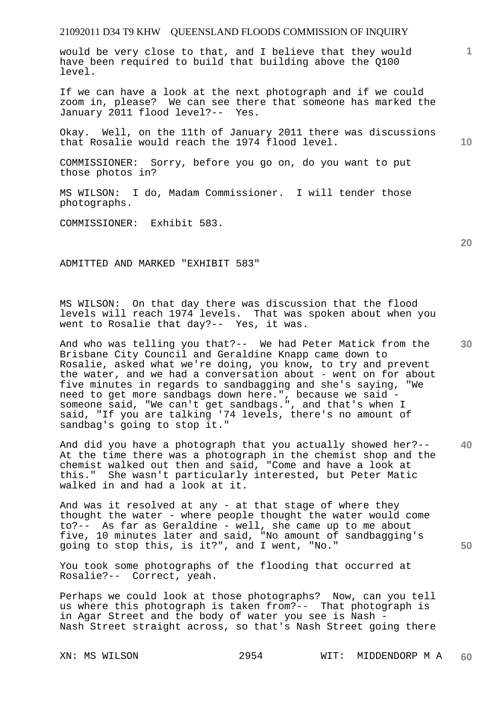would be very close to that, and I believe that they would have been required to build that building above the Q100 level.

If we can have a look at the next photograph and if we could zoom in, please? We can see there that someone has marked the January 2011 flood level?-- Yes.

Okay. Well, on the 11th of January 2011 there was discussions that Rosalie would reach the 1974 flood level.

COMMISSIONER: Sorry, before you go on, do you want to put those photos in?

MS WILSON: I do, Madam Commissioner. I will tender those photographs.

COMMISSIONER: Exhibit 583.

ADMITTED AND MARKED "EXHIBIT 583"

MS WILSON: On that day there was discussion that the flood levels will reach 1974 levels. That was spoken about when you went to Rosalie that day?-- Yes, it was.

And who was telling you that?-- We had Peter Matick from the Brisbane City Council and Geraldine Knapp came down to Rosalie, asked what we're doing, you know, to try and prevent the water, and we had a conversation about - went on for about five minutes in regards to sandbagging and she's saying, "We need to get more sandbags down here.", because we said someone said, "We can't get sandbags.", and that's when I said, "If you are talking '74 levels, there's no amount of sandbag's going to stop it."

**40**  And did you have a photograph that you actually showed her?-- At the time there was a photograph in the chemist shop and the chemist walked out then and said, "Come and have a look at this." She wasn't particularly interested, but Peter Matic walked in and had a look at it.

And was it resolved at any - at that stage of where they thought the water - where people thought the water would come to?-- As far as Geraldine - well, she came up to me about five, 10 minutes later and said, "No amount of sandbagging's going to stop this, is it?", and I went, "No."

You took some photographs of the flooding that occurred at Rosalie?-- Correct, yeah.

Perhaps we could look at those photographs? Now, can you tell us where this photograph is taken from?-- That photograph is in Agar Street and the body of water you see is Nash - Nash Street straight across, so that's Nash Street going there

# **1**

**20** 

**10**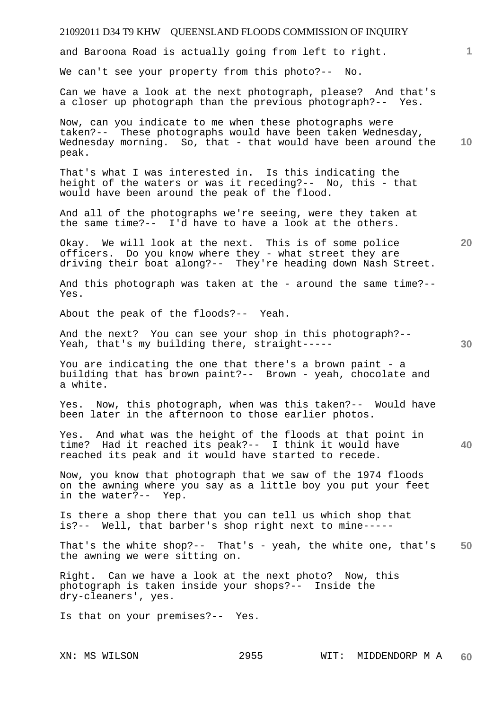# 21092011 D34 T9 KHW QUEENSLAND FLOODS COMMISSION OF INQUIRY **1 10 20 30 40 50**  and Baroona Road is actually going from left to right. We can't see your property from this photo?-- No. Can we have a look at the next photograph, please? And that's a closer up photograph than the previous photograph?-- Yes. Now, can you indicate to me when these photographs were taken?-- These photographs would have been taken Wednesday, Wednesday morning. So, that - that would have been around the peak. That's what I was interested in. Is this indicating the height of the waters or was it receding?-- No, this - that would have been around the peak of the flood. And all of the photographs we're seeing, were they taken at the same time?-- I'd have to have a look at the others. Okay. We will look at the next. This is of some police officers. Do you know where they - what street they are driving their boat along?-- They're heading down Nash Street. And this photograph was taken at the - around the same time?-- Yes. About the peak of the floods?-- Yeah. And the next? You can see your shop in this photograph?-- Yeah, that's my building there, straight----- You are indicating the one that there's a brown paint - a building that has brown paint?-- Brown - yeah, chocolate and a white. Yes. Now, this photograph, when was this taken?-- Would have been later in the afternoon to those earlier photos. Yes. And what was the height of the floods at that point in time? Had it reached its peak?-- I think it would have reached its peak and it would have started to recede. Now, you know that photograph that we saw of the 1974 floods on the awning where you say as a little boy you put your feet in the water?-- Yep. Is there a shop there that you can tell us which shop that is?-- Well, that barber's shop right next to mine----- That's the white shop?-- That's - yeah, the white one, that's the awning we were sitting on. Right. Can we have a look at the next photo? Now, this photograph is taken inside your shops?-- Inside the dry-cleaners', yes. Is that on your premises?-- Yes.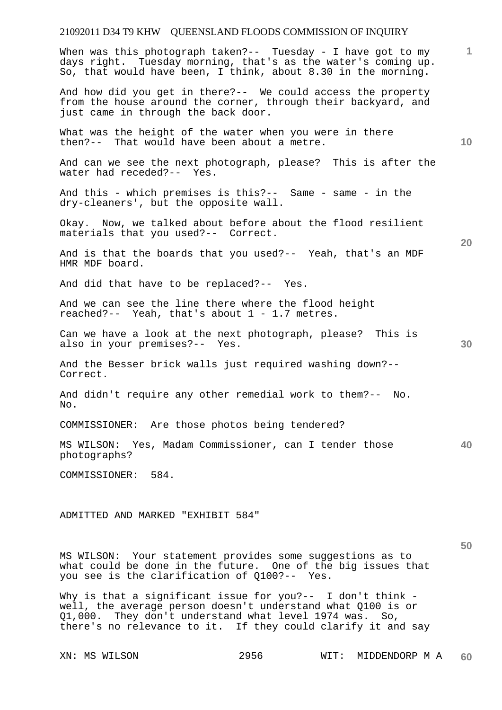When was this photograph taken?-- Tuesday - I have got to my days right. Tuesday morning, that's as the water's coming up. So, that would have been, I think, about 8.30 in the morning.

And how did you get in there?-- We could access the property from the house around the corner, through their backyard, and just came in through the back door.

What was the height of the water when you were in there then?-- That would have been about a metre.

And can we see the next photograph, please? This is after the water had receded?-- Yes.

And this - which premises is this?-- Same - same - in the dry-cleaners', but the opposite wall.

Okay. Now, we talked about before about the flood resilient materials that you used?-- Correct.

And is that the boards that you used?-- Yeah, that's an MDF HMR MDF board.

And did that have to be replaced?-- Yes.

And we can see the line there where the flood height reached?-- Yeah, that's about 1 - 1.7 metres.

Can we have a look at the next photograph, please? This is also in your premises?-- Yes.

And the Besser brick walls just required washing down?-- Correct.

And didn't require any other remedial work to them?-- No. No.

COMMISSIONER: Are those photos being tendered?

**40**  MS WILSON: Yes, Madam Commissioner, can I tender those photographs?

COMMISSIONER: 584.

ADMITTED AND MARKED "EXHIBIT 584"

MS WILSON: Your statement provides some suggestions as to what could be done in the future. One of the big issues that you see is the clarification of Q100?-- Yes.

Why is that a significant issue for you?-- I don't think well, the average person doesn't understand what Q100 is or Q1,000. They don't understand what level 1974 was. So, there's no relevance to it. If they could clarify it and say

**10** 

**1**

**20**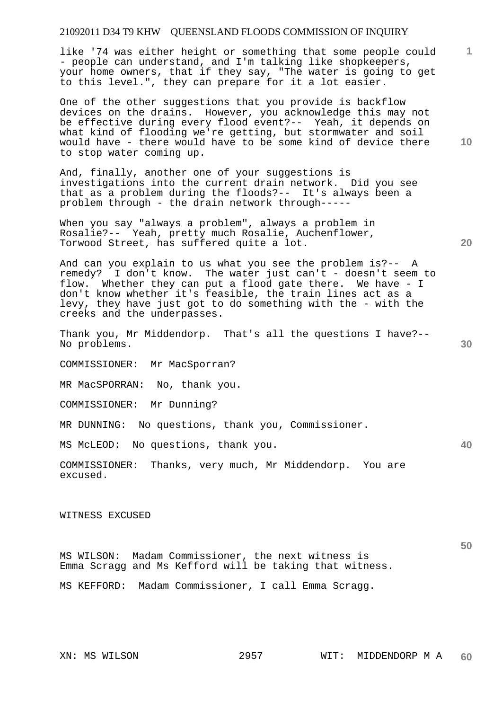like '74 was either height or something that some people could - people can understand, and I'm talking like shopkeepers, your home owners, that if they say, "The water is going to get to this level.", they can prepare for it a lot easier.

One of the other suggestions that you provide is backflow devices on the drains. However, you acknowledge this may not be effective during every flood event?-- Yeah, it depends on what kind of flooding we're getting, but stormwater and soil would have - there would have to be some kind of device there to stop water coming up.

And, finally, another one of your suggestions is investigations into the current drain network. Did you see that as a problem during the floods?-- It's always been a problem through - the drain network through-----

When you say "always a problem", always a problem in Rosalie?-- Yeah, pretty much Rosalie, Auchenflower, Torwood Street, has suffered quite a lot.

And can you explain to us what you see the problem is?-- A remedy? I don't know. The water just can't - doesn't seem I don't know. The water just can't - doesn't seem to flow. Whether they can put a flood gate there. We have - I don't know whether it's feasible, the train lines act as a levy, they have just got to do something with the - with the creeks and the underpasses.

Thank you, Mr Middendorp. That's all the questions I have?-- No problems.

COMMISSIONER: Mr MacSporran?

MR MacSPORRAN: No, thank you.

COMMISSIONER: Mr Dunning?

MR DUNNING: No questions, thank you, Commissioner.

MS McLEOD: No questions, thank you.

COMMISSIONER: Thanks, very much, Mr Middendorp. You are excused.

#### WITNESS EXCUSED

MS WILSON: Madam Commissioner, the next witness is Emma Scragg and Ms Kefford will be taking that witness.

MS KEFFORD: Madam Commissioner, I call Emma Scragg.

**10** 

**1**

**40**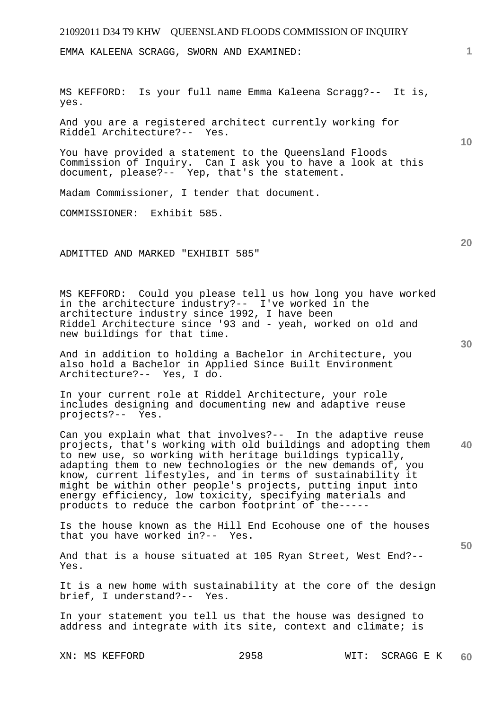EMMA KALEENA SCRAGG, SWORN AND EXAMINED:

MS KEFFORD: Is your full name Emma Kaleena Scragg?-- It is, yes.

And you are a registered architect currently working for Riddel Architecture?-- Yes.

You have provided a statement to the Queensland Floods Commission of Inquiry. Can I ask you to have a look at this document, please?-- Yep, that's the statement.

Madam Commissioner, I tender that document.

COMMISSIONER: Exhibit 585.

ADMITTED AND MARKED "EXHIBIT 585"

MS KEFFORD: Could you please tell us how long you have worked in the architecture industry?-- I've worked in the architecture industry since 1992, I have been Riddel Architecture since '93 and - yeah, worked on old and new buildings for that time.

And in addition to holding a Bachelor in Architecture, you also hold a Bachelor in Applied Since Built Environment Architecture?-- Yes, I do.

In your current role at Riddel Architecture, your role includes designing and documenting new and adaptive reuse projects?-- Yes.

**40**  Can you explain what that involves?-- In the adaptive reuse projects, that's working with old buildings and adopting them to new use, so working with heritage buildings typically, adapting them to new technologies or the new demands of, you know, current lifestyles, and in terms of sustainability it might be within other people's projects, putting input into energy efficiency, low toxicity, specifying materials and products to reduce the carbon footprint of the-----

Is the house known as the Hill End Ecohouse one of the houses that you have worked in?-- Yes.

And that is a house situated at 105 Ryan Street, West End?-- Yes.

It is a new home with sustainability at the core of the design brief, I understand?-- Yes.

In your statement you tell us that the house was designed to address and integrate with its site, context and climate; is

**30** 

**20** 

**50** 

**10**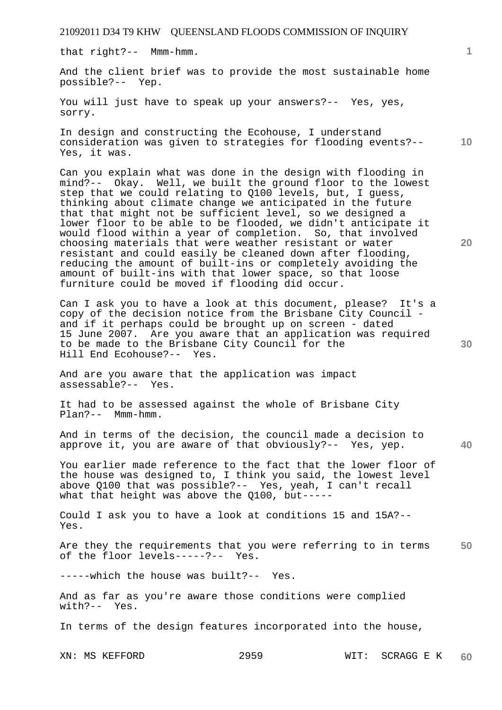that right?-- Mmm-hmm.

And the client brief was to provide the most sustainable home possible?-- Yep.

You will just have to speak up your answers?-- Yes, yes, sorry.

**10**  In design and constructing the Ecohouse, I understand consideration was given to strategies for flooding events?-- Yes, it was.

Can you explain what was done in the design with flooding in mind?-- Okay. Well, we built the ground floor to the lowest step that we could relating to Q100 levels, but, I guess, thinking about climate change we anticipated in the future that that might not be sufficient level, so we designed a lower floor to be able to be flooded, we didn't anticipate it would flood within a year of completion. So, that involved choosing materials that were weather resistant or water resistant and could easily be cleaned down after flooding, reducing the amount of built-ins or completely avoiding the amount of built-ins with that lower space, so that loose furniture could be moved if flooding did occur.

Can I ask you to have a look at this document, please? It's a copy of the decision notice from the Brisbane City Council and if it perhaps could be brought up on screen - dated 15 June 2007. Are you aware that an application was required to be made to the Brisbane City Council for the Hill End Ecohouse?-- Yes.

And are you aware that the application was impact assessable?-- Yes.

It had to be assessed against the whole of Brisbane City Plan?-- Mmm-hmm.

And in terms of the decision, the council made a decision to approve it, you are aware of that obviously?-- Yes, yep.

You earlier made reference to the fact that the lower floor of the house was designed to, I think you said, the lowest level above Q100 that was possible?-- Yes, yeah, I can't recall what that height was above the Q100, but-----

Could I ask you to have a look at conditions 15 and 15A?-- Yes.

**50**  Are they the requirements that you were referring to in terms of the floor levels-----?-- Yes.

-----which the house was built?-- Yes.

And as far as you're aware those conditions were complied with?-- Yes.

In terms of the design features incorporated into the house,

XN: MS KEFFORD 2959 WIT: SCRAGG E K **60** 

**20** 

**40**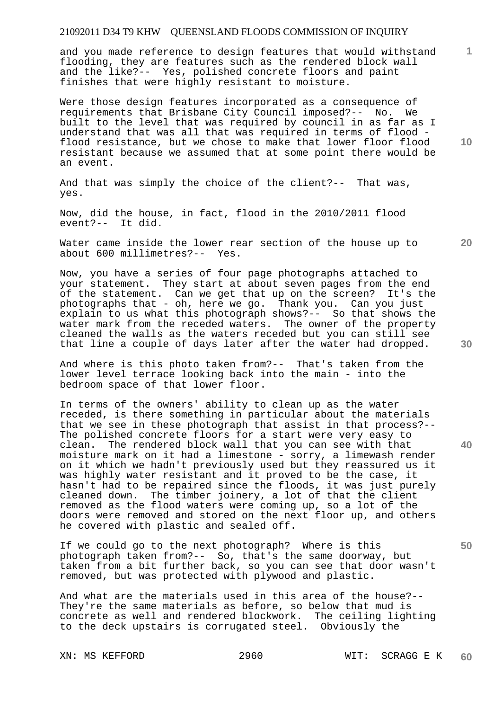and you made reference to design features that would withstand flooding, they are features such as the rendered block wall and the like?-- Yes, polished concrete floors and paint finishes that were highly resistant to moisture.

Were those design features incorporated as a consequence of requirements that Brisbane City Council imposed?-- No. We built to the level that was required by council in as far as I understand that was all that was required in terms of flood flood resistance, but we chose to make that lower floor flood resistant because we assumed that at some point there would be an event.

And that was simply the choice of the client?-- That was, yes.

Now, did the house, in fact, flood in the 2010/2011 flood event?-- It did.

Water came inside the lower rear section of the house up to about 600 millimetres?-- Yes.

Now, you have a series of four page photographs attached to your statement. They start at about seven pages from the end of the statement. Can we get that up on the screen? It's the photographs that - oh, here we go. Thank you. Can you just explain to us what this photograph shows?-- So that shows the water mark from the receded waters. The owner of the property cleaned the walls as the waters receded but you can still see that line a couple of days later after the water had dropped.

And where is this photo taken from?-- That's taken from the lower level terrace looking back into the main - into the bedroom space of that lower floor.

In terms of the owners' ability to clean up as the water receded, is there something in particular about the materials that we see in these photograph that assist in that process?-- The polished concrete floors for a start were very easy to clean. The rendered block wall that you can see with that moisture mark on it had a limestone - sorry, a limewash render on it which we hadn't previously used but they reassured us it was highly water resistant and it proved to be the case, it hasn't had to be repaired since the floods, it was just purely cleaned down. The timber joinery, a lot of that the client removed as the flood waters were coming up, so a lot of the doors were removed and stored on the next floor up, and others he covered with plastic and sealed off.

If we could go to the next photograph? Where is this photograph taken from?-- So, that's the same doorway, but taken from a bit further back, so you can see that door wasn't removed, but was protected with plywood and plastic.

And what are the materials used in this area of the house?-- They're the same materials as before, so below that mud is concrete as well and rendered blockwork. The ceiling lighting to the deck upstairs is corrugated steel. Obviously the

**10** 

**1**

**30** 

**20** 

**50**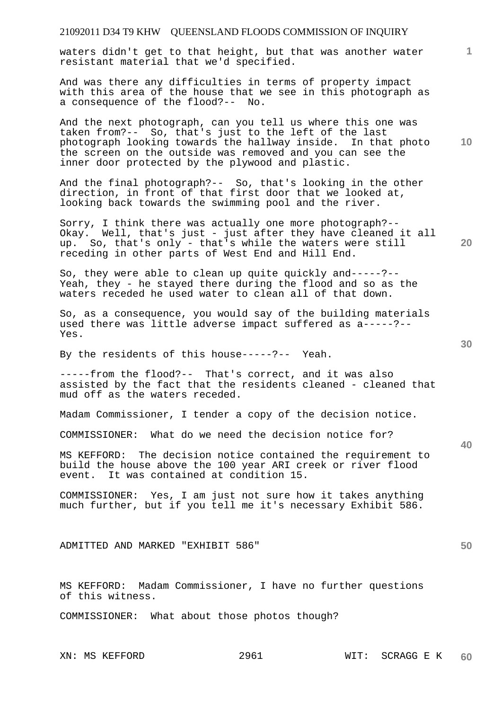waters didn't get to that height, but that was another water resistant material that we'd specified.

And was there any difficulties in terms of property impact with this area of the house that we see in this photograph as a consequence of the flood?-- No.

And the next photograph, can you tell us where this one was taken from?-- So, that's just to the left of the last photograph looking towards the hallway inside. In that photo the screen on the outside was removed and you can see the inner door protected by the plywood and plastic.

And the final photograph?-- So, that's looking in the other direction, in front of that first door that we looked at, looking back towards the swimming pool and the river.

Sorry, I think there was actually one more photograph?-- Okay. Well, that's just - just after they have cleaned it all up. So, that's only - that's while the waters were still receding in other parts of West End and Hill End.

So, they were able to clean up quite quickly and-----?-- Yeah, they - he stayed there during the flood and so as the waters receded he used water to clean all of that down.

So, as a consequence, you would say of the building materials used there was little adverse impact suffered as a-----?-- Yes.

By the residents of this house-----?-- Yeah.

-----from the flood?-- That's correct, and it was also assisted by the fact that the residents cleaned - cleaned that mud off as the waters receded.

Madam Commissioner, I tender a copy of the decision notice.

COMMISSIONER: What do we need the decision notice for?

MS KEFFORD: The decision notice contained the requirement to build the house above the 100 year ARI creek or river flood event. It was contained at condition 15.

COMMISSIONER: Yes, I am just not sure how it takes anything much further, but if you tell me it's necessary Exhibit 586.

ADMITTED AND MARKED "EXHIBIT 586"

MS KEFFORD: Madam Commissioner, I have no further questions of this witness.

COMMISSIONER: What about those photos though?

**20** 

**10** 

**1**

**30** 

**50**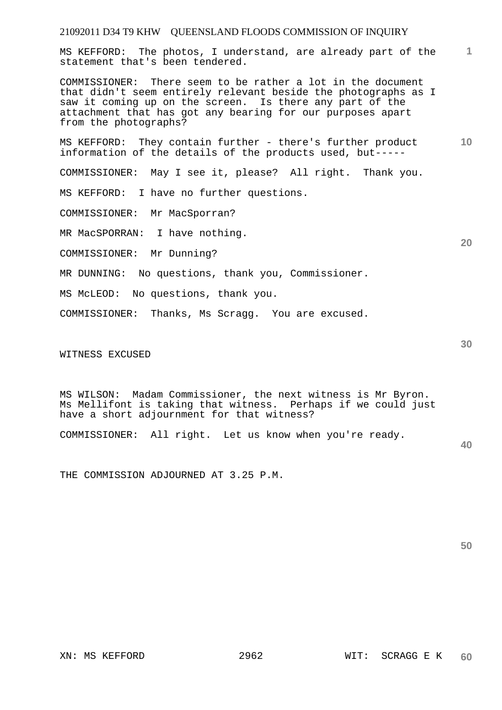MS KEFFORD: The photos, I understand, are already part of the statement that's been tendered.

COMMISSIONER: There seem to be rather a lot in the document that didn't seem entirely relevant beside the photographs as I saw it coming up on the screen. Is there any part of the attachment that has got any bearing for our purposes apart from the photographs?

**10**  MS KEFFORD: They contain further - there's further product information of the details of the products used, but-----

COMMISSIONER: May I see it, please? All right. Thank you.

MS KEFFORD: I have no further questions.

COMMISSIONER: Mr MacSporran?

MR MacSPORRAN: I have nothing.

COMMISSIONER: Mr Dunning?

MR DUNNING: No questions, thank you, Commissioner.

MS McLEOD: No questions, thank you.

COMMISSIONER: Thanks, Ms Scragg. You are excused.

WITNESS EXCUSED

MS WILSON: Madam Commissioner, the next witness is Mr Byron. Ms Mellifont is taking that witness. Perhaps if we could just have a short adjournment for that witness?

COMMISSIONER: All right. Let us know when you're ready.

**40** 

**1**

**20** 

**30** 

THE COMMISSION ADJOURNED AT 3.25 P.M.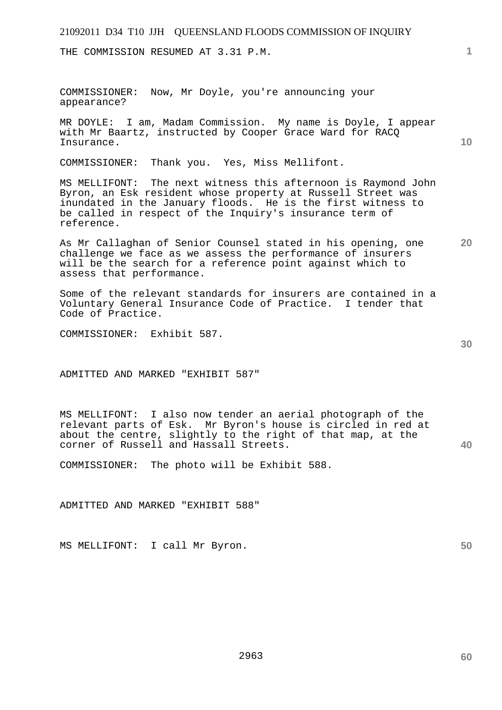THE COMMISSION RESUMED AT 3.31 P.M.

COMMISSIONER: Now, Mr Doyle, you're announcing your appearance?

MR DOYLE: I am, Madam Commission. My name is Doyle, I appear with Mr Baartz, instructed by Cooper Grace Ward for RACQ Insurance.

COMMISSIONER: Thank you. Yes, Miss Mellifont.

MS MELLIFONT: The next witness this afternoon is Raymond John Byron, an Esk resident whose property at Russell Street was inundated in the January floods. He is the first witness to be called in respect of the Inquiry's insurance term of reference.

**20**  As Mr Callaghan of Senior Counsel stated in his opening, one challenge we face as we assess the performance of insurers will be the search for a reference point against which to assess that performance.

Some of the relevant standards for insurers are contained in a Voluntary General Insurance Code of Practice. I tender that Code of Practice.

COMMISSIONER: Exhibit 587.

ADMITTED AND MARKED "EXHIBIT 587"

MS MELLIFONT: I also now tender an aerial photograph of the relevant parts of Esk. Mr Byron's house is circled in red at about the centre, slightly to the right of that map, at the corner of Russell and Hassall Streets.

COMMISSIONER: The photo will be Exhibit 588.

ADMITTED AND MARKED "EXHIBIT 588"

MS MELLIFONT: I call Mr Byron.

**30** 

**40** 

**1**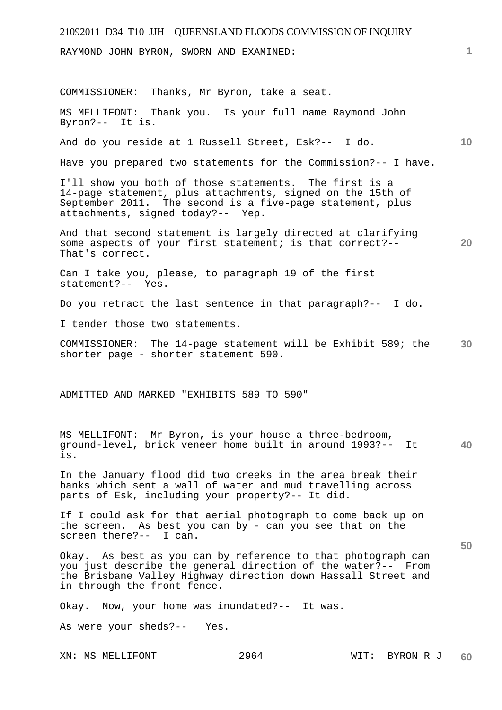| 21092011 D34 T10 JJH QUEENSLAND FLOODS COMMISSION OF INQUIRY                                                                                                                                                                 |                |    |
|------------------------------------------------------------------------------------------------------------------------------------------------------------------------------------------------------------------------------|----------------|----|
| RAYMOND JOHN BYRON, SWORN AND EXAMINED:                                                                                                                                                                                      |                | 1. |
| COMMISSIONER: Thanks, Mr Byron, take a seat.                                                                                                                                                                                 |                |    |
| MS MELLIFONT: Thank you. Is your full name Raymond John<br>Byron?-- It is.                                                                                                                                                   |                |    |
| And do you reside at 1 Russell Street, Esk?-- I do.                                                                                                                                                                          |                | 10 |
| Have you prepared two statements for the Commission?-- I have.                                                                                                                                                               |                |    |
| I'll show you both of those statements. The first is a<br>14-page statement, plus attachments, signed on the 15th of<br>September 2011. The second is a five-page statement, plus<br>attachments, signed today?-- Yep.       |                |    |
| And that second statement is largely directed at clarifying<br>some aspects of your first statement; is that correct?--<br>That's correct.                                                                                   |                | 20 |
| Can I take you, please, to paragraph 19 of the first<br>statement?-- Yes.                                                                                                                                                    |                |    |
| Do you retract the last sentence in that paragraph?-- I do.                                                                                                                                                                  |                |    |
| I tender those two statements.                                                                                                                                                                                               |                |    |
| COMMISSIONER: The 14-page statement will be Exhibit 589; the<br>shorter page - shorter statement 590.                                                                                                                        |                | 30 |
| ADMITTED AND MARKED "EXHIBITS 589 TO 590"                                                                                                                                                                                    |                |    |
| MS MELLIFONT: Mr Byron, is your house a three-bedroom,<br>ground-level, brick veneer home built in around 1993?-- It<br>is.                                                                                                  |                | 40 |
| In the January flood did two creeks in the area break their<br>banks which sent a wall of water and mud travelling across<br>parts of Esk, including your property?-- It did.                                                |                |    |
| If I could ask for that aerial photograph to come back up on<br>the screen. As best you can by - can you see that on the<br>screen there?-- I can.                                                                           |                | 50 |
| Okay. As best as you can by reference to that photograph can<br>you just describe the general direction of the water?-- From<br>the Brisbane Valley Highway direction down Hassall Street and<br>in through the front fence. |                |    |
| Okay. Now, your home was inundated?-- It was.                                                                                                                                                                                |                |    |
| As were your sheds?-- Yes.                                                                                                                                                                                                   |                |    |
| 2964<br>XN: MS MELLIFONT                                                                                                                                                                                                     | WIT: BYRON R J | 60 |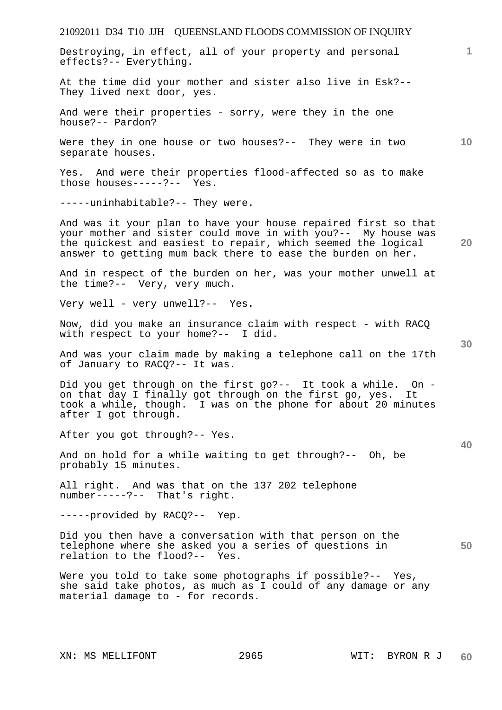Destroying, in effect, all of your property and personal effects?-- Everything.

At the time did your mother and sister also live in Esk?-- They lived next door, yes.

And were their properties - sorry, were they in the one house?-- Pardon?

Were they in one house or two houses?-- They were in two separate houses.

Yes. And were their properties flood-affected so as to make those houses-----?-- Yes.

-----uninhabitable?-- They were.

And was it your plan to have your house repaired first so that your mother and sister could move in with you?-- My house was the quickest and easiest to repair, which seemed the logical answer to getting mum back there to ease the burden on her.

And in respect of the burden on her, was your mother unwell at the time?-- Very, very much.

Very well - very unwell?-- Yes.

Now, did you make an insurance claim with respect - with RACQ with respect to your home?-- I did.

And was your claim made by making a telephone call on the 17th of January to RACQ?-- It was.

Did you get through on the first go?-- It took a while. On on that day I finally got through on the first go, yes. It took a while, though. I was on the phone for about 20 minutes after I got through.

After you got through?-- Yes.

And on hold for a while waiting to get through?-- Oh, be probably 15 minutes.

All right. And was that on the 137 202 telephone number-----?-- That's right.

-----provided by RACQ?-- Yep.

Did you then have a conversation with that person on the telephone where she asked you a series of questions in relation to the flood?-- Yes.

Were you told to take some photographs if possible?-- Yes, she said take photos, as much as I could of any damage or any material damage to - for records.

**40** 

**50** 

**20** 

**10**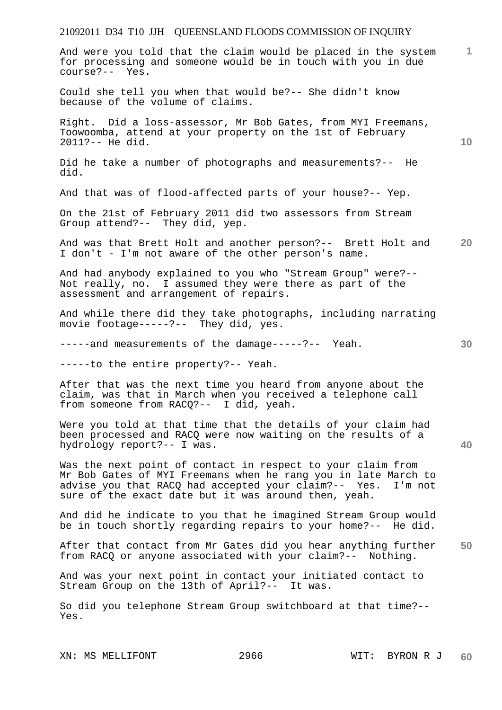**1** And were you told that the claim would be placed in the system for processing and someone would be in touch with you in due course?-- Yes.

Could she tell you when that would be?-- She didn't know because of the volume of claims.

Right. Did a loss-assessor, Mr Bob Gates, from MYI Freemans, Toowoomba, attend at your property on the 1st of February 2011?-- He did.

Did he take a number of photographs and measurements?-- He did.

And that was of flood-affected parts of your house?-- Yep.

On the 21st of February 2011 did two assessors from Stream Group attend?-- They did, yep.

**20**  And was that Brett Holt and another person?-- Brett Holt and I don't - I'm not aware of the other person's name.

And had anybody explained to you who "Stream Group" were?-- Not really, no. I assumed they were there as part of the assessment and arrangement of repairs.

And while there did they take photographs, including narrating movie footage-----?-- They did, yes.

-----and measurements of the damage-----?-- Yeah.

-----to the entire property?-- Yeah.

After that was the next time you heard from anyone about the claim, was that in March when you received a telephone call from someone from RACQ?-- I did, yeah.

Were you told at that time that the details of your claim had been processed and RACQ were now waiting on the results of a hydrology report?-- I was.

Was the next point of contact in respect to your claim from Mr Bob Gates of MYI Freemans when he rang you in late March to advise you that RACQ had accepted your claim?-- Yes. I'm not sure of the exact date but it was around then, yeah.

And did he indicate to you that he imagined Stream Group would be in touch shortly regarding repairs to your home?-- He did.

**50**  After that contact from Mr Gates did you hear anything further from RACQ or anyone associated with your claim?-- Nothing.

And was your next point in contact your initiated contact to Stream Group on the 13th of April?-- It was.

So did you telephone Stream Group switchboard at that time?-- Yes.

XN: MS MELLIFONT 2966 WIT: BYRON R J

**10** 

**30**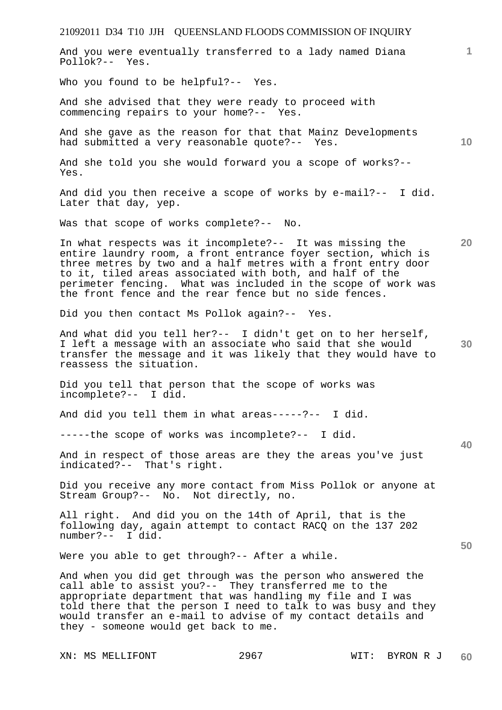21092011 D34 T10 JJH QUEENSLAND FLOODS COMMISSION OF INQUIRY **1 10 20 30 40 50**  And you were eventually transferred to a lady named Diana Pollok?-- Yes. Who you found to be helpful?-- Yes. And she advised that they were ready to proceed with commencing repairs to your home?-- Yes. And she gave as the reason for that that Mainz Developments had submitted a very reasonable quote?-- Yes. And she told you she would forward you a scope of works?-- Yes. And did you then receive a scope of works by e-mail?-- I did. Later that day, yep. Was that scope of works complete?-- No. In what respects was it incomplete?-- It was missing the entire laundry room, a front entrance foyer section, which is three metres by two and a half metres with a front entry door to it, tiled areas associated with both, and half of the perimeter fencing. What was included in the scope of work was the front fence and the rear fence but no side fences. Did you then contact Ms Pollok again?-- Yes. And what did you tell her?-- I didn't get on to her herself, I left a message with an associate who said that she would transfer the message and it was likely that they would have to reassess the situation. Did you tell that person that the scope of works was incomplete?-- I did. And did you tell them in what areas-----?-- I did. -----the scope of works was incomplete?-- I did. And in respect of those areas are they the areas you've just indicated?-- That's right. Did you receive any more contact from Miss Pollok or anyone at Stream Group?-- No. Not directly, no. All right. And did you on the 14th of April, that is the following day, again attempt to contact RACQ on the 137 202 number?-- I did. Were you able to get through? -- After a while. And when you did get through was the person who answered the call able to assist you?-- They transferred me to the appropriate department that was handling my file and I was told there that the person I need to talk to was busy and they would transfer an e-mail to advise of my contact details and they - someone would get back to me.

XN: MS MELLIFONT 2967 WIT: BYRON R J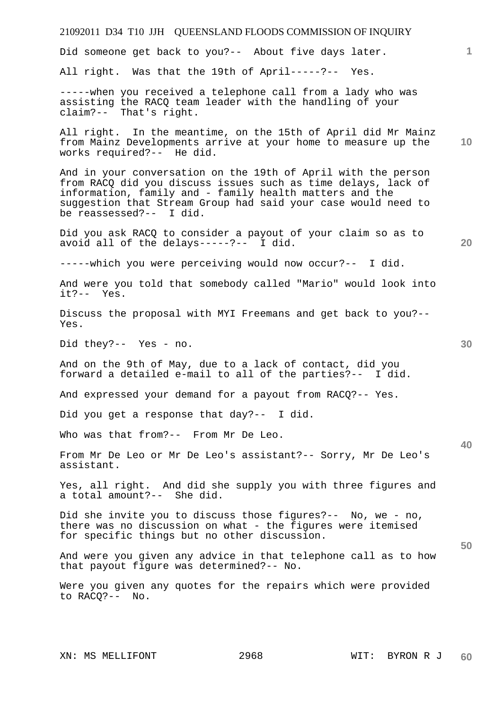# **1 10 20 30 40 50**  Did someone get back to you?-- About five days later. All right. Was that the 19th of April-----?-- Yes. -----when you received a telephone call from a lady who was assisting the RACQ team leader with the handling of your claim?-- That's right. All right. In the meantime, on the 15th of April did Mr Mainz from Mainz Developments arrive at your home to measure up the works required?-- He did. And in your conversation on the 19th of April with the person from RACQ did you discuss issues such as time delays, lack of information, family and - family health matters and the suggestion that Stream Group had said your case would need to be reassessed?-- I did. Did you ask RACQ to consider a payout of your claim so as to avoid all of the delays-----?-- I did. -----which you were perceiving would now occur?-- I did. And were you told that somebody called "Mario" would look into it?-- Yes. Discuss the proposal with MYI Freemans and get back to you?-- Yes. Did they?-- Yes - no. And on the 9th of May, due to a lack of contact, did you forward a detailed e-mail to all of the parties?-- I did. And expressed your demand for a payout from RACQ?-- Yes. Did you get a response that day?-- I did. Who was that from?-- From Mr De Leo. From Mr De Leo or Mr De Leo's assistant?-- Sorry, Mr De Leo's assistant. Yes, all right. And did she supply you with three figures and a total amount?-- She did. Did she invite you to discuss those figures?-- No, we - no, there was no discussion on what - the figures were itemised for specific things but no other discussion. And were you given any advice in that telephone call as to how that payout figure was determined?-- No. Were you given any quotes for the repairs which were provided to RACQ?-- No.

21092011 D34 T10 JJH QUEENSLAND FLOODS COMMISSION OF INQUIRY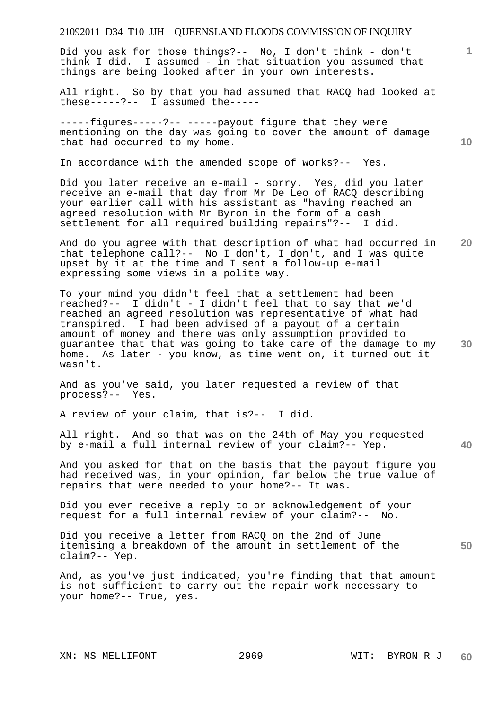Did you ask for those things?-- No, I don't think - don't think I did. I assumed - in that situation you assumed that things are being looked after in your own interests.

All right. So by that you had assumed that RACQ had looked at these-----?-- I assumed the-----

-----figures-----?-- -----payout figure that they were mentioning on the day was going to cover the amount of damage that had occurred to my home.

In accordance with the amended scope of works?-- Yes.

Did you later receive an e-mail - sorry. Yes, did you later receive an e-mail that day from Mr De Leo of RACQ describing your earlier call with his assistant as "having reached an agreed resolution with Mr Byron in the form of a cash settlement for all required building repairs"?-- I did.

**20**  And do you agree with that description of what had occurred in that telephone call?-- No I don't, I don't, and I was quite upset by it at the time and I sent a follow-up e-mail expressing some views in a polite way.

**30**  To your mind you didn't feel that a settlement had been reached?-- I didn't - I didn't feel that to say that we'd reached an agreed resolution was representative of what had transpired. I had been advised of a payout of a certain amount of money and there was only assumption provided to guarantee that that was going to take care of the damage to my home. As later - you know, as time went on, it turned out it wasn't.

And as you've said, you later requested a review of that process?-- Yes.

A review of your claim, that is?-- I did.

All right. And so that was on the 24th of May you requested by e-mail a full internal review of your claim?-- Yep.

And you asked for that on the basis that the payout figure you had received was, in your opinion, far below the true value of repairs that were needed to your home?-- It was.

Did you ever receive a reply to or acknowledgement of your request for a full internal review of your claim?-- No.

**50**  Did you receive a letter from RACQ on the 2nd of June itemising a breakdown of the amount in settlement of the claim?-- Yep.

And, as you've just indicated, you're finding that that amount is not sufficient to carry out the repair work necessary to your home?-- True, yes.

**10** 

**1**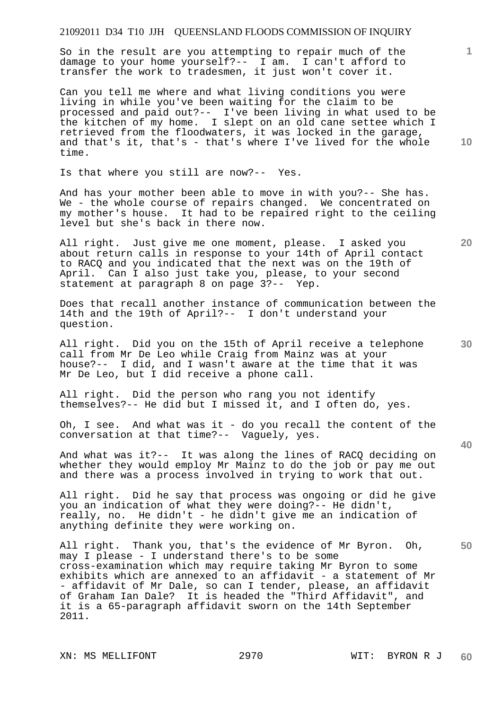So in the result are you attempting to repair much of the damage to your home yourself?-- I am. I can't afford to transfer the work to tradesmen, it just won't cover it.

Can you tell me where and what living conditions you were living in while you've been waiting for the claim to be processed and paid out?-- I've been living in what used to be the kitchen of my home. I slept on an old cane settee which I retrieved from the floodwaters, it was locked in the garage, and that's it, that's - that's where I've lived for the whole time.

Is that where you still are now?-- Yes.

And has your mother been able to move in with you?-- She has. We - the whole course of repairs changed. We concentrated on my mother's house. It had to be repaired right to the ceiling level but she's back in there now.

All right. Just give me one moment, please. I asked you about return calls in response to your 14th of April contact to RACQ and you indicated that the next was on the 19th of April. Can I also just take you, please, to your second statement at paragraph 8 on page 3?-- Yep.

Does that recall another instance of communication between the 14th and the 19th of April?-- I don't understand your question.

All right. Did you on the 15th of April receive a telephone call from Mr De Leo while Craig from Mainz was at your house?-- I did, and I wasn't aware at the time that it was Mr De Leo, but I did receive a phone call.

All right. Did the person who rang you not identify themselves?-- He did but I missed it, and I often do, yes.

Oh, I see. And what was it - do you recall the content of the conversation at that time?-- Vaguely, yes.

And what was it?-- It was along the lines of RACQ deciding on whether they would employ Mr Mainz to do the job or pay me out and there was a process involved in trying to work that out.

All right. Did he say that process was ongoing or did he give you an indication of what they were doing?-- He didn't, really, no. He didn't - he didn't give me an indication of anything definite they were working on.

All right. Thank you, that's the evidence of Mr Byron. Oh, may I please - I understand there's to be some cross-examination which may require taking Mr Byron to some exhibits which are annexed to an affidavit - a statement of Mr - affidavit of Mr Dale, so can I tender, please, an affidavit of Graham Ian Dale? It is headed the "Third Affidavit", and it is a 65-paragraph affidavit sworn on the 14th September 2011.

**10** 

**1**

**20** 

**40**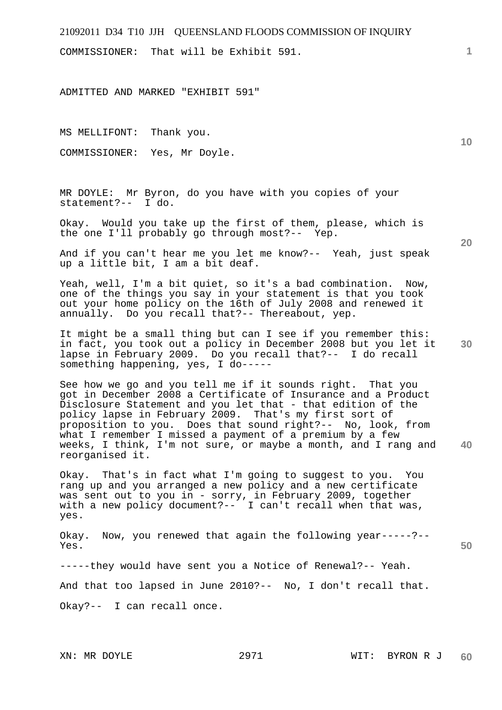COMMISSIONER: That will be Exhibit 591.

ADMITTED AND MARKED "EXHIBIT 591"

MS MELLIFONT: Thank you.

COMMISSIONER: Yes, Mr Doyle.

MR DOYLE: Mr Byron, do you have with you copies of your statement?-- I do.

Okay. Would you take up the first of them, please, which is the one I'll probably go through most?-- Yep.

And if you can't hear me you let me know?-- Yeah, just speak up a little bit, I am a bit deaf.

Yeah, well, I'm a bit quiet, so it's a bad combination. Now, one of the things you say in your statement is that you took out your home policy on the 16th of July 2008 and renewed it annually. Do you recall that?-- Thereabout, yep.

**30**  It might be a small thing but can I see if you remember this: in fact, you took out a policy in December 2008 but you let it lapse in February 2009. Do you recall that?-- I do recall something happening, yes, I do-----

**40**  See how we go and you tell me if it sounds right. That you got in December 2008 a Certificate of Insurance and a Product Disclosure Statement and you let that - that edition of the policy lapse in February 2009. That's my first sort of proposition to you. Does that sound right?-- No, look, from what I remember I missed a payment of a premium by a few weeks, I think, I'm not sure, or maybe a month, and I rang and reorganised it.

Okay. That's in fact what I'm going to suggest to you. You rang up and you arranged a new policy and a new certificate was sent out to you in - sorry, in February 2009, together with a new policy document?-- I can't recall when that was, yes.

**50**  Okay. Now, you renewed that again the following year-----?-- Yes.

-----they would have sent you a Notice of Renewal?-- Yeah.

And that too lapsed in June 2010?-- No, I don't recall that.

Okay?-- I can recall once.

**1**

**10**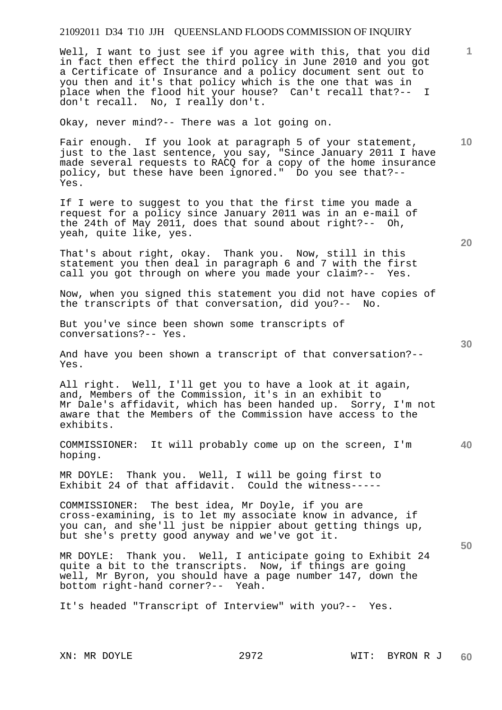Well, I want to just see if you agree with this, that you did in fact then effect the third policy in June 2010 and you got a Certificate of Insurance and a policy document sent out to you then and it's that policy which is the one that was in place when the flood hit your house? Can't recall that?-- I don't recall. No, I really don't.

Okay, never mind?-- There was a lot going on.

Fair enough. If you look at paragraph 5 of your statement, just to the last sentence, you say, "Since January 2011 I have made several requests to RACQ for a copy of the home insurance policy, but these have been ignored." Do you see that?-- Yes.

If I were to suggest to you that the first time you made a request for a policy since January 2011 was in an e-mail of the 24th of May 2011, does that sound about right?-- Oh, yeah, quite like, yes.

That's about right, okay. Thank you. Now, still in this statement you then deal in paragraph 6 and 7 with the first call you got through on where you made your claim?-- Yes.

Now, when you signed this statement you did not have copies of the transcripts of that conversation, did you?-- No.

But you've since been shown some transcripts of conversations?-- Yes.

And have you been shown a transcript of that conversation?-- Yes.

All right. Well, I'll get you to have a look at it again, and, Members of the Commission, it's in an exhibit to Mr Dale's affidavit, which has been handed up. Sorry, I'm not aware that the Members of the Commission have access to the exhibits.

COMMISSIONER: It will probably come up on the screen, I'm hoping.

MR DOYLE: Thank you. Well, I will be going first to Exhibit 24 of that affidavit. Could the witness-----

COMMISSIONER: The best idea, Mr Doyle, if you are cross-examining, is to let my associate know in advance, if you can, and she'll just be nippier about getting things up, but she's pretty good anyway and we've got it.

MR DOYLE: Thank you. Well, I anticipate going to Exhibit 24 quite a bit to the transcripts. Now, if things are going well, Mr Byron, you should have a page number 147, down the bottom right-hand corner?-- Yeah.

It's headed "Transcript of Interview" with you?-- Yes.

**20** 

**40** 

**50** 

**10**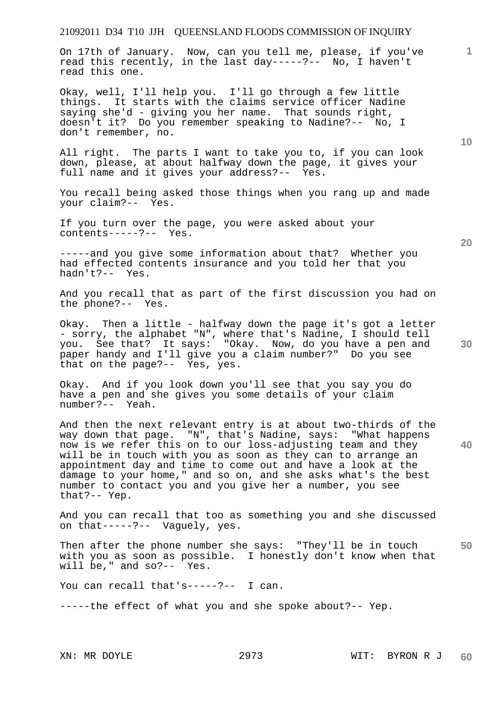On 17th of January. Now, can you tell me, please, if you've read this recently, in the last day-----?-- No, I haven't read this one.

Okay, well, I'll help you. I'll go through a few little things. It starts with the claims service officer Nadine saying she'd - giving you her name. That sounds right, doesn't it? Do you remember speaking to Nadine?-- No, I don't remember, no.

All right. The parts I want to take you to, if you can look down, please, at about halfway down the page, it gives your full name and it gives your address?-- Yes.

You recall being asked those things when you rang up and made your claim?-- Yes.

If you turn over the page, you were asked about your contents-----?-- Yes.

-----and you give some information about that? Whether you had effected contents insurance and you told her that you hadn't?-- Yes.

And you recall that as part of the first discussion you had on the phone?-- Yes.

Okay. Then a little - halfway down the page it's got a letter - sorry, the alphabet "N", where that's Nadine, I should tell you. See that? It says: "Okay. Now, do you have a pen and paper handy and I'll give you a claim number?" Do you see that on the page?-- Yes, yes.

Okay. And if you look down you'll see that you say you do have a pen and she gives you some details of your claim number?-- Yeah.

And then the next relevant entry is at about two-thirds of the way down that page. "N", that's Nadine, says: "What happens now is we refer this on to our loss-adjusting team and they will be in touch with you as soon as they can to arrange an appointment day and time to come out and have a look at the damage to your home," and so on, and she asks what's the best number to contact you and you give her a number, you see that?-- Yep.

And you can recall that too as something you and she discussed on that-----?-- Vaguely, yes.

**50**  Then after the phone number she says: "They'll be in touch with you as soon as possible. I honestly don't know when that will be," and so?-- Yes. will be," and  $so? --$ 

You can recall that's-----?-- I can.

-----the effect of what you and she spoke about?-- Yep.

**10** 

**20** 

**1**

**40**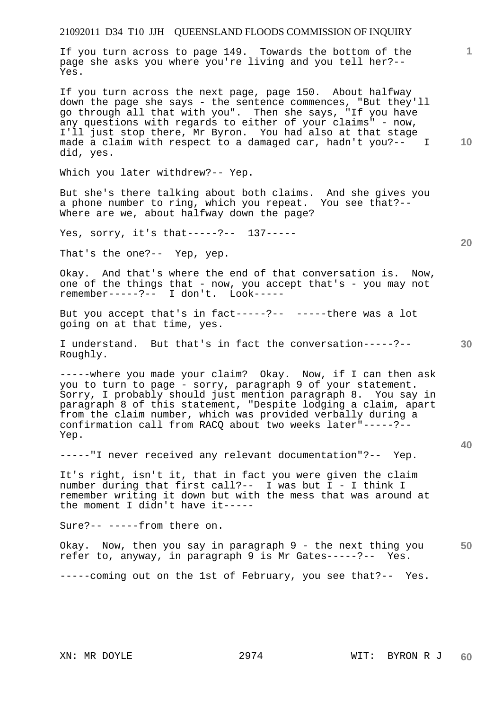If you turn across to page 149. Towards the bottom of the page she asks you where you're living and you tell her?-- Yes.

If you turn across the next page, page 150. About halfway down the page she says - the sentence commences, "But they'll go through all that with you". Then she says, "If you have any questions with regards to either of your claims" - now, I'll just stop there, Mr Byron. You had also at that stage made a claim with respect to a damaged car, hadn't you?-- I did, yes.

Which you later withdrew?-- Yep.

But she's there talking about both claims. And she gives you a phone number to ring, which you repeat. You see that?-- Where are we, about halfway down the page?

Yes, sorry, it's that-----?-- 137-----

That's the one?-- Yep, yep.

Okay. And that's where the end of that conversation is. Now, one of the things that - now, you accept that's - you may not remember-----?-- I don't. Look-----

But you accept that's in fact-----?-- -----there was a lot going on at that time, yes.

**30**  I understand. But that's in fact the conversation-----?-- Roughly.

-----where you made your claim? Okay. Now, if I can then ask you to turn to page - sorry, paragraph 9 of your statement. Sorry, I probably should just mention paragraph 8. You say in paragraph 8 of this statement, "Despite lodging a claim, apart from the claim number, which was provided verbally during a confirmation call from RACQ about two weeks later"-----?-- Yep.

-----"I never received any relevant documentation"?-- Yep.

It's right, isn't it, that in fact you were given the claim number during that first call?-- I was but I - I think I remember writing it down but with the mess that was around at the moment I didn't have it-----

Sure?-- -----from there on.

**50**  Okay. Now, then you say in paragraph 9 - the next thing you refer to, anyway, in paragraph 9 is Mr Gates-----?-- Yes.

-----coming out on the 1st of February, you see that?-- Yes.

**40** 

**10** 

**20**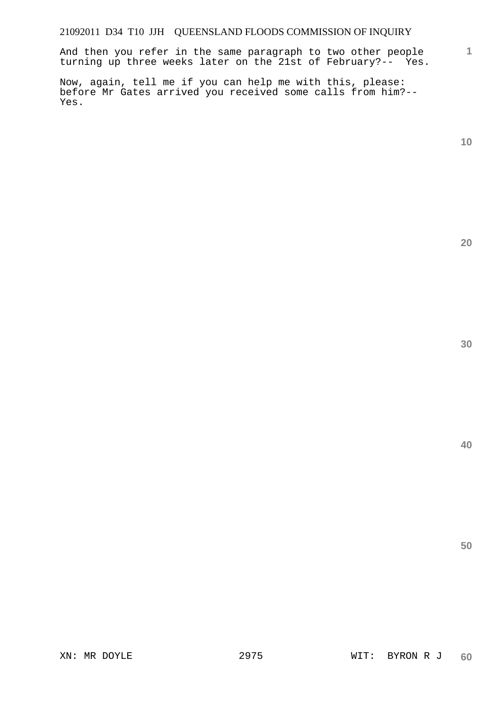**1** And then you refer in the same paragraph to two other people turning up three weeks later on the 21st of February?-- Yes.

Now, again, tell me if you can help me with this, please: before Mr Gates arrived you received some calls from him?-- Yes.

**20**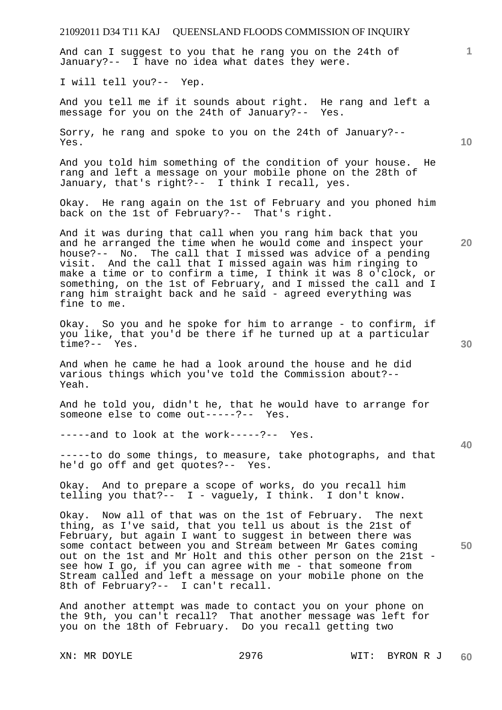And can I suggest to you that he rang you on the 24th of January?-- I have no idea what dates they were.

I will tell you?-- Yep.

And you tell me if it sounds about right. He rang and left a message for you on the 24th of January?-- Yes.

Sorry, he rang and spoke to you on the 24th of January?-- Yes.

And you told him something of the condition of your house. He rang and left a message on your mobile phone on the 28th of January, that's right?-- I think I recall, yes.

Okay. He rang again on the 1st of February and you phoned him back on the 1st of February?-- That's right.

And it was during that call when you rang him back that you and he arranged the time when he would come and inspect your house?-- No. The call that I missed was advice of a pending visit. And the call that I missed again was him ringing to make a time or to confirm a time, I think it was 8 o'clock, or something, on the 1st of February, and I missed the call and I rang him straight back and he said - agreed everything was fine to me.

Okay. So you and he spoke for him to arrange - to confirm, if you like, that you'd be there if he turned up at a particular time?-- Yes.

And when he came he had a look around the house and he did various things which you've told the Commission about?-- Yeah.

And he told you, didn't he, that he would have to arrange for someone else to come out-----?-- Yes.

-----and to look at the work-----?-- Yes.

-----to do some things, to measure, take photographs, and that he'd go off and get quotes?-- Yes.

Okay. And to prepare a scope of works, do you recall him telling you that?-- I - vaguely, I think. I don't know.

Okay. Now all of that was on the 1st of February. The next thing, as I've said, that you tell us about is the 21st of February, but again I want to suggest in between there was some contact between you and Stream between Mr Gates coming out on the 1st and Mr Holt and this other person on the 21st see how I go, if you can agree with me - that someone from Stream called and left a message on your mobile phone on the 8th of February?-- I can't recall.

And another attempt was made to contact you on your phone on the 9th, you can't recall? That another message was left for you on the 18th of February. Do you recall getting two

XN: MR DOYLE 2976 WIT: BYRON R J **60** 

**30** 

**20** 

**10** 

**1**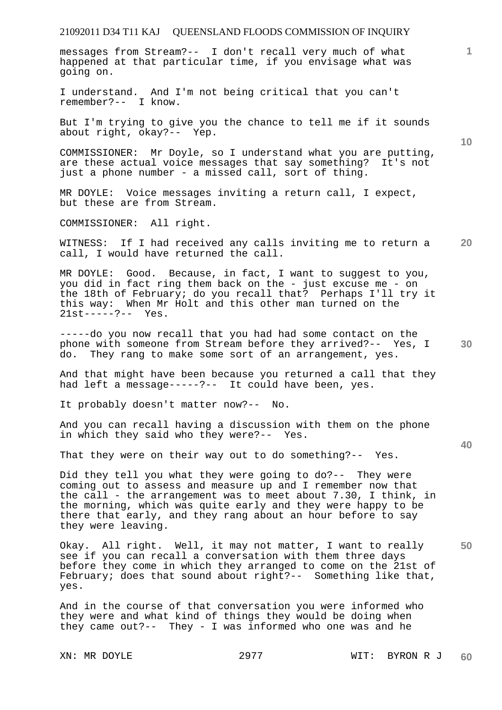messages from Stream?-- I don't recall very much of what happened at that particular time, if you envisage what was going on.

I understand. And I'm not being critical that you can't remember?-- I know.

But I'm trying to give you the chance to tell me if it sounds about right, okay?-- Yep.

COMMISSIONER: Mr Doyle, so I understand what you are putting, are these actual voice messages that say something? It's not just a phone number - a missed call, sort of thing.

MR DOYLE: Voice messages inviting a return call, I expect, but these are from Stream.

COMMISSIONER: All right.

**20**  WITNESS: If I had received any calls inviting me to return a call, I would have returned the call.

MR DOYLE: Good. Because, in fact, I want to suggest to you, you did in fact ring them back on the - just excuse me - on the 18th of February; do you recall that? Perhaps I'll try it this way: When Mr Holt and this other man turned on the 21st-----?-- Yes.

**30**  -----do you now recall that you had had some contact on the phone with someone from Stream before they arrived?-- Yes, I do. They rang to make some sort of an arrangement, yes.

And that might have been because you returned a call that they had left a message-----?-- It could have been, yes.

It probably doesn't matter now?-- No.

And you can recall having a discussion with them on the phone in which they said who they were?-- Yes.

That they were on their way out to do something?-- Yes.

Did they tell you what they were going to do?-- They were coming out to assess and measure up and I remember now that the call - the arrangement was to meet about 7.30, I think, in the morning, which was quite early and they were happy to be there that early, and they rang about an hour before to say they were leaving.

**50**  Okay. All right. Well, it may not matter, I want to really see if you can recall a conversation with them three days before they come in which they arranged to come on the 21st of February; does that sound about right?-- Something like that, yes.

And in the course of that conversation you were informed who they were and what kind of things they would be doing when they came out?-- They - I was informed who one was and he

**10** 

**1**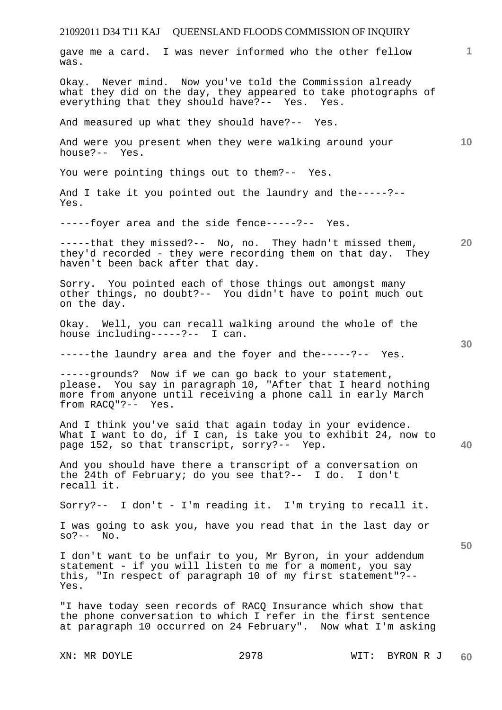| gave me a card. I was never informed who the other fellow<br>was.                                                                                                                                            | 1.              |
|--------------------------------------------------------------------------------------------------------------------------------------------------------------------------------------------------------------|-----------------|
| Okay. Never mind. Now you've told the Commission already<br>what they did on the day, they appeared to take photographs of<br>everything that they should have?-- Yes. Yes.                                  |                 |
| And measured up what they should have?-- Yes.                                                                                                                                                                |                 |
| And were you present when they were walking around your<br>house?-- Yes.                                                                                                                                     | 10 <sup>°</sup> |
| You were pointing things out to them?-- Yes.                                                                                                                                                                 |                 |
| And I take it you pointed out the laundry and the-----?--<br>Yes.                                                                                                                                            |                 |
| -----foyer area and the side fence-----?-- Yes.                                                                                                                                                              |                 |
| -----that they missed?-- No, no. They hadn't missed them,<br>they'd recorded - they were recording them on that day. They<br>haven't been back after that day.                                               | 20              |
| Sorry. You pointed each of those things out amongst many<br>other things, no doubt?-- You didn't have to point much out<br>on the day.                                                                       |                 |
| Okay. Well, you can recall walking around the whole of the<br>house including-----?-- I can.                                                                                                                 | 30              |
| -----the laundry area and the foyer and the-----?-- Yes.                                                                                                                                                     |                 |
| -----grounds? Now if we can go back to your statement,<br>please. You say in paragraph 10, "After that I heard nothing<br>more from anyone until receiving a phone call in early March<br>from RACO"?-- Yes. |                 |
| And I think you've said that again today in your evidence.<br>What I want to do, if I can, is take you to exhibit 24, now to<br>page 152, so that transcript, sorry?-- Yep.                                  | 40              |
| And you should have there a transcript of a conversation on<br>the 24th of February; do you see that?-- I do. I don't<br>recall it.                                                                          |                 |
| Sorry?-- I don't - I'm reading it. I'm trying to recall it.                                                                                                                                                  |                 |
| I was going to ask you, have you read that in the last day or<br>$SO? -- No.$                                                                                                                                |                 |
| I don't want to be unfair to you, Mr Byron, in your addendum<br>statement - if you will listen to me for a moment, you say<br>this, "In respect of paragraph 10 of my first statement"?--<br>Yes.            | 50              |
| "I have today seen records of RACQ Insurance which show that<br>the phone conversation to which I refer in the first sentence<br>at paragraph 10 occurred on 24 February". Now what I'm asking               |                 |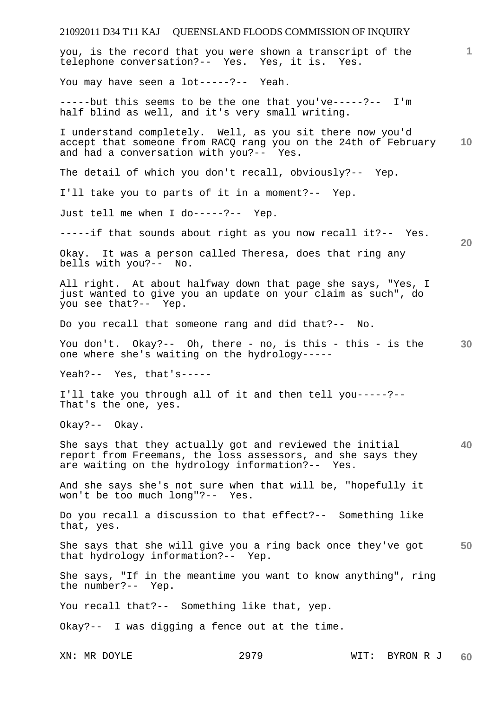# 21092011 D34 T11 KAJ QUEENSLAND FLOODS COMMISSION OF INQUIRY **1 10 20 30 40 50**  you, is the record that you were shown a transcript of the telephone conversation?-- Yes. Yes, it is. Yes. You may have seen a lot-----?-- Yeah. -----but this seems to be the one that you've-----?-- I'm half blind as well, and it's very small writing. I understand completely. Well, as you sit there now you'd accept that someone from RACQ rang you on the 24th of February and had a conversation with you?-- Yes. The detail of which you don't recall, obviously?-- Yep. I'll take you to parts of it in a moment?-- Yep. Just tell me when I do-----?-- Yep. -----if that sounds about right as you now recall it?-- Yes. Okay. It was a person called Theresa, does that ring any bells with you?-- No. All right. At about halfway down that page she says, "Yes, I just wanted to give you an update on your claim as such", do you see that?-- Yep. Do you recall that someone rang and did that?-- No. You don't. Okay?-- Oh, there - no, is this - this - is the one where she's waiting on the hydrology----- Yeah?-- Yes, that's----- I'll take you through all of it and then tell you-----?-- That's the one, yes. Okay?-- Okay. She says that they actually got and reviewed the initial report from Freemans, the loss assessors, and she says they are waiting on the hydrology information?-- Yes. And she says she's not sure when that will be, "hopefully it won't be too much long"?-- Yes. Do you recall a discussion to that effect?-- Something like that, yes. She says that she will give you a ring back once they've got that hydrology information?-- Yep. She says, "If in the meantime you want to know anything", ring the number?-- Yep. You recall that?-- Something like that, yep. Okay?-- I was digging a fence out at the time.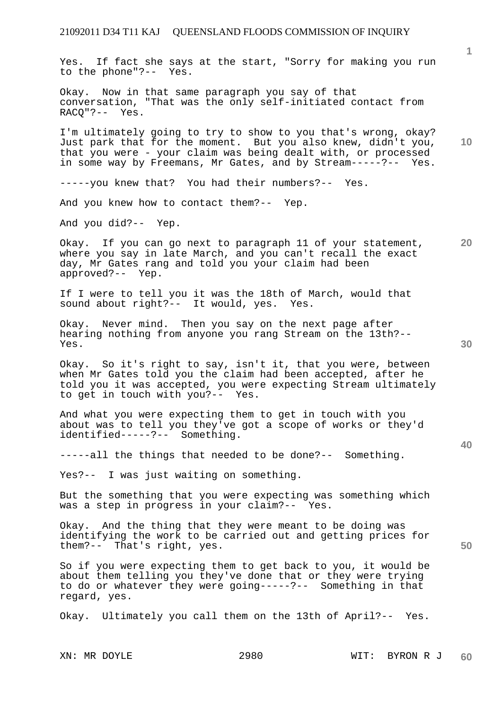Yes. If fact she says at the start, "Sorry for making you run to the phone"?-- Yes.

Okay. Now in that same paragraph you say of that conversation, "That was the only self-initiated contact from RACQ"?-- Yes.

**10**  I'm ultimately going to try to show to you that's wrong, okay? Just park that for the moment. But you also knew, didn't you, that you were - your claim was being dealt with, or processed in some way by Freemans, Mr Gates, and by Stream-----?-- Yes.

-----you knew that? You had their numbers?-- Yes.

And you knew how to contact them?-- Yep.

And you did?-- Yep.

Okay. If you can go next to paragraph 11 of your statement, where you say in late March, and you can't recall the exact day, Mr Gates rang and told you your claim had been approved?-- Yep.

If I were to tell you it was the 18th of March, would that sound about right?-- It would, yes. Yes.

Okay. Never mind. Then you say on the next page after hearing nothing from anyone you rang Stream on the 13th?-- Yes.

Okay. So it's right to say, isn't it, that you were, between when Mr Gates told you the claim had been accepted, after he told you it was accepted, you were expecting Stream ultimately to get in touch with you?-- Yes.

And what you were expecting them to get in touch with you about was to tell you they've got a scope of works or they'd identified-----?-- Something.

-----all the things that needed to be done?-- Something.

Yes?-- I was just waiting on something.

But the something that you were expecting was something which was a step in progress in your claim?-- Yes.

Okay. And the thing that they were meant to be doing was identifying the work to be carried out and getting prices for them?-- That's right, yes.

So if you were expecting them to get back to you, it would be about them telling you they've done that or they were trying to do or whatever they were going-----?-- Something in that regard, yes.

Okay. Ultimately you call them on the 13th of April?-- Yes.

**20** 

**40** 

**50**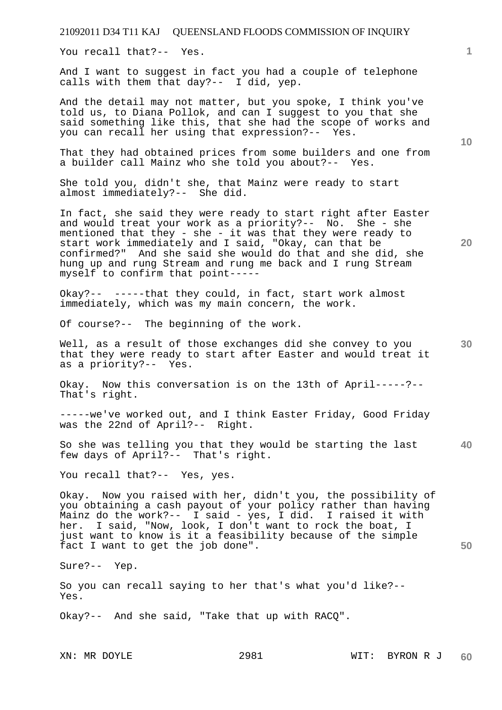You recall that?-- Yes.

And I want to suggest in fact you had a couple of telephone calls with them that day?-- I did, yep.

And the detail may not matter, but you spoke, I think you've told us, to Diana Pollok, and can I suggest to you that she said something like this, that she had the scope of works and you can recall her using that expression?-- Yes.

That they had obtained prices from some builders and one from a builder call Mainz who she told you about?-- Yes.

She told you, didn't she, that Mainz were ready to start almost immediately?-- She did.

In fact, she said they were ready to start right after Easter and would treat your work as a priority?-- No. She - she mentioned that they - she - it was that they were ready to start work immediately and I said, "Okay, can that be confirmed?" And she said she would do that and she did, she hung up and rung Stream and rung me back and I rung Stream myself to confirm that point-----

Okay?-- -----that they could, in fact, start work almost immediately, which was my main concern, the work.

Of course?-- The beginning of the work.

Well, as a result of those exchanges did she convey to you that they were ready to start after Easter and would treat it as a priority?-- Yes.

Okay. Now this conversation is on the 13th of April-----?-- That's right.

-----we've worked out, and I think Easter Friday, Good Friday was the 22nd of April?-- Right.

**40**  So she was telling you that they would be starting the last few days of April?-- That's right.

You recall that ?-- Yes, yes.

Okay. Now you raised with her, didn't you, the possibility of you obtaining a cash payout of your policy rather than having Mainz do the work?-- I said - yes, I did. I raised it with her. I said, "Now, look, I don't want to rock the boat, I just want to know is it a feasibility because of the simple fact I want to get the job done".

Sure?-- Yep.

So you can recall saying to her that's what you'd like?-- Yes.

Okay?-- And she said, "Take that up with RACQ".

**10** 

**1**

**20**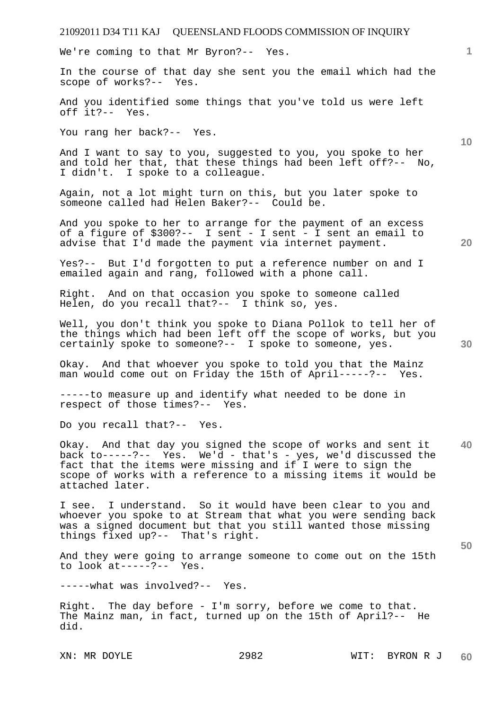We're coming to that Mr Byron?-- Yes.

In the course of that day she sent you the email which had the scope of works?-- Yes.

And you identified some things that you've told us were left off it?-- Yes.

You rang her back?-- Yes.

And I want to say to you, suggested to you, you spoke to her and told her that, that these things had been left off?-- No, I didn't. I spoke to a colleague.

Again, not a lot might turn on this, but you later spoke to someone called had Helen Baker?-- Could be.

And you spoke to her to arrange for the payment of an excess of a figure of \$300?-- I sent - I sent - I sent an email to advise that I'd made the payment via internet payment.

Yes?-- But I'd forgotten to put a reference number on and I emailed again and rang, followed with a phone call.

Right. And on that occasion you spoke to someone called Helen, do you recall that?-- I think so, yes.

Well, you don't think you spoke to Diana Pollok to tell her of the things which had been left off the scope of works, but you certainly spoke to someone?-- I spoke to someone, yes.

Okay. And that whoever you spoke to told you that the Mainz man would come out on Friday the 15th of April-----?-- Yes.

-----to measure up and identify what needed to be done in respect of those times?-- Yes.

Do you recall that?-- Yes.

**40**  Okay. And that day you signed the scope of works and sent it back to-----?-- Yes. We'd - that's - yes, we'd discussed the fact that the items were missing and if I were to sign the scope of works with a reference to a missing items it would be attached later.

I see. I understand. So it would have been clear to you and whoever you spoke to at Stream that what you were sending back was a signed document but that you still wanted those missing things fixed up?-- That's right.

And they were going to arrange someone to come out on the 15th to look at-----?-- Yes.

-----what was involved?-- Yes.

Right. The day before - I'm sorry, before we come to that. The Mainz man, in fact, turned up on the 15th of April?-- He did.

**20** 

**50** 

**30** 

**10**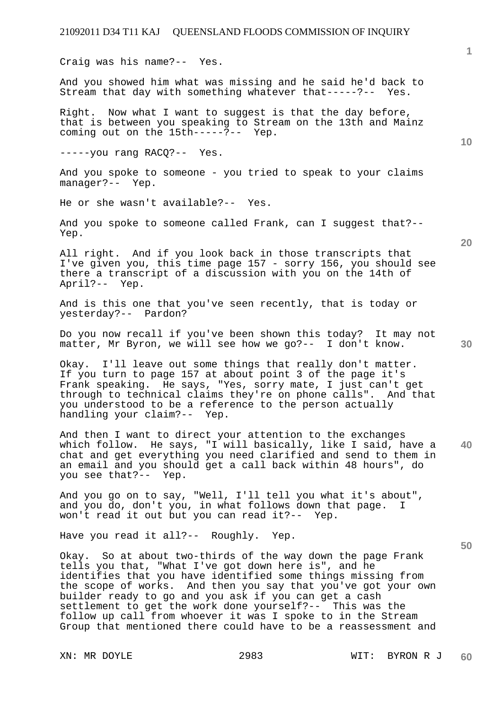Craig was his name?-- Yes.

And you showed him what was missing and he said he'd back to Stream that day with something whatever that-----?-- Yes.

Right. Now what I want to suggest is that the day before, that is between you speaking to Stream on the 13th and Mainz coming out on the 15th-----?-- Yep.

-----you rang RACQ?-- Yes.

And you spoke to someone - you tried to speak to your claims manager?-- Yep.

He or she wasn't available?-- Yes.

And you spoke to someone called Frank, can I suggest that?-- Yep.

All right. And if you look back in those transcripts that I've given you, this time page 157 - sorry 156, you should see there a transcript of a discussion with you on the 14th of April?-- Yep.

And is this one that you've seen recently, that is today or yesterday?-- Pardon?

Do you now recall if you've been shown this today? It may not matter, Mr Byron, we will see how we go?-- I don't know.

Okay. I'll leave out some things that really don't matter. If you turn to page 157 at about point 3 of the page it's Frank speaking. He says, "Yes, sorry mate, I just can't get through to technical claims they're on phone calls". And that you understood to be a reference to the person actually handling your claim?-- Yep.

**40**  And then I want to direct your attention to the exchanges which follow. He says, "I will basically, like I said, have a chat and get everything you need clarified and send to them in an email and you should get a call back within 48 hours", do you see that?-- Yep.

And you go on to say, "Well, I'll tell you what it's about", and you do, don't you, in what follows down that page. I won't read it out but you can read it?-- Yep.

Have you read it all?-- Roughly. Yep.

Okay. So at about two-thirds of the way down the page Frank tells you that, "What I've got down here is", and he identifies that you have identified some things missing from the scope of works. And then you say that you've got your own builder ready to go and you ask if you can get a cash settlement to get the work done yourself?-- This was the follow up call from whoever it was I spoke to in the Stream Group that mentioned there could have to be a reassessment and

**20** 

**50** 

**30** 

**10**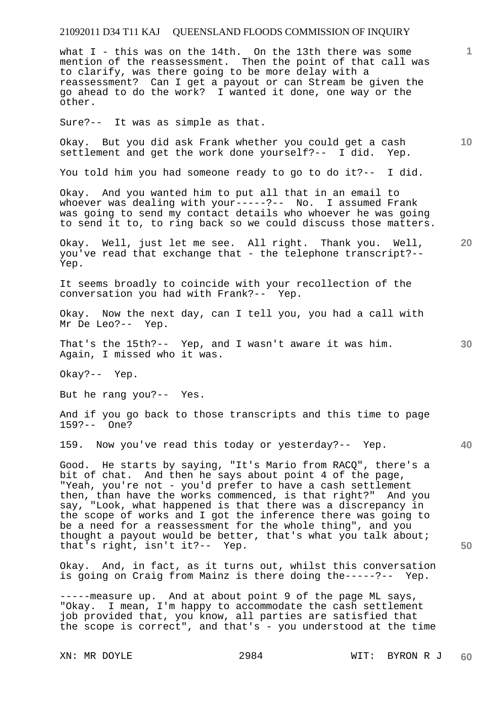what I - this was on the 14th. On the 13th there was some mention of the reassessment. Then the point of that call was to clarify, was there going to be more delay with a reassessment? Can I get a payout or can Stream be given the go ahead to do the work? I wanted it done, one way or the other.

Sure?-- It was as simple as that.

**10**  Okay. But you did ask Frank whether you could get a cash settlement and get the work done yourself?-- I did. Yep.

You told him you had someone ready to go to do it?-- I did.

Okay. And you wanted him to put all that in an email to whoever was dealing with your-----?-- No. I assumed Frank was going to send my contact details who whoever he was going to send it to, to ring back so we could discuss those matters.

Okay. Well, just let me see. All right. Thank you. Well, you've read that exchange that - the telephone transcript?-- Yep.

It seems broadly to coincide with your recollection of the conversation you had with Frank?-- Yep.

Okay. Now the next day, can I tell you, you had a call with Mr De Leo?-- Yep.

That's the 15th?-- Yep, and I wasn't aware it was him. Again, I missed who it was.

Okay?-- Yep.

But he rang you?-- Yes.

And if you go back to those transcripts and this time to page 159?-- One?

159. Now you've read this today or yesterday?-- Yep.

Good. He starts by saying, "It's Mario from RACQ", there's a bit of chat. And then he says about point 4 of the page, "Yeah, you're not - you'd prefer to have a cash settlement then, than have the works commenced, is that right?" And you say, "Look, what happened is that there was a discrepancy in the scope of works and I got the inference there was going to be a need for a reassessment for the whole thing", and you thought a payout would be better, that's what you talk about; that's right, isn't it?-- Yep.

Okay. And, in fact, as it turns out, whilst this conversation is going on Craig from Mainz is there doing the-----?-- Yep.

-----measure up. And at about point 9 of the page ML says, "Okay. I mean, I'm happy to accommodate the cash settlement job provided that, you know, all parties are satisfied that the scope is correct", and that's - you understood at the time

**20** 

**1**

**30** 

**50**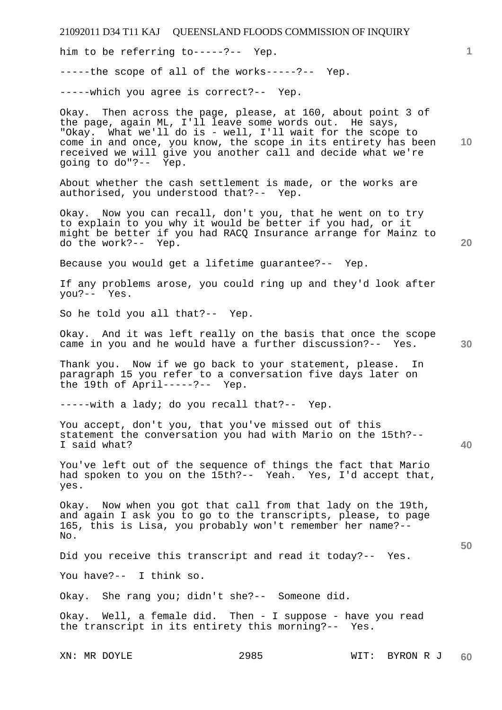21092011 D34 T11 KAJ QUEENSLAND FLOODS COMMISSION OF INQUIRY XN: MR DOYLE 2985 WIT: BYRON R J **1 10 20 30 40 50 60**  him to be referring to-----?-- Yep. -----the scope of all of the works-----?-- Yep. -----which you agree is correct?-- Yep. Okay. Then across the page, please, at 160, about point 3 of the page, again ML, I'll leave some words out. He says, "Okay. What we'll do is - well, I'll wait for the scope to come in and once, you know, the scope in its entirety has been received we will give you another call and decide what we're going to do"?-- Yep. About whether the cash settlement is made, or the works are authorised, you understood that?-- Yep. Okay. Now you can recall, don't you, that he went on to try to explain to you why it would be better if you had, or it might be better if you had RACQ Insurance arrange for Mainz to do the work?-- Yep. Because you would get a lifetime guarantee?-- Yep. If any problems arose, you could ring up and they'd look after you?-- Yes. So he told you all that?-- Yep. Okay. And it was left really on the basis that once the scope came in you and he would have a further discussion?-- Yes. Thank you. Now if we go back to your statement, please. In paragraph 15 you refer to a conversation five days later on the 19th of April-----?-- Yep. -----with a lady; do you recall that?-- Yep. You accept, don't you, that you've missed out of this statement the conversation you had with Mario on the 15th?-- I said what? You've left out of the sequence of things the fact that Mario had spoken to you on the 15th?-- Yeah. Yes, I'd accept that, yes. Okay. Now when you got that call from that lady on the 19th, and again I ask you to go to the transcripts, please, to page 165, this is Lisa, you probably won't remember her name?-- No. Did you receive this transcript and read it today?-- Yes. You have?-- I think so. Okay. She rang you; didn't she?-- Someone did. Okay. Well, a female did. Then - I suppose - have you read the transcript in its entirety this morning?-- Yes.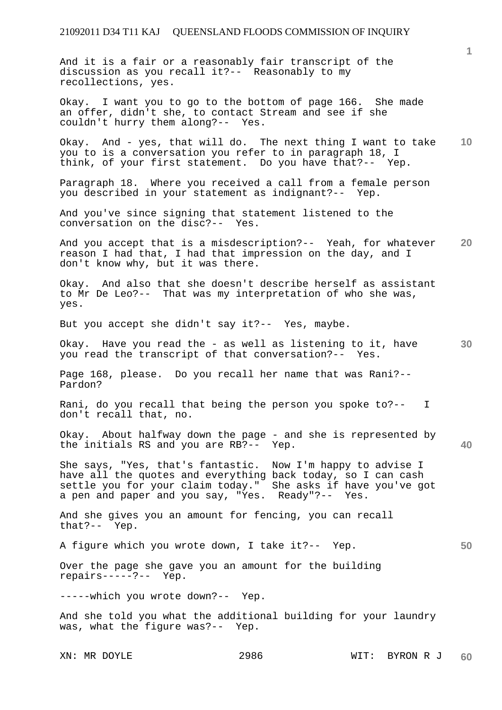And it is a fair or a reasonably fair transcript of the discussion as you recall it?-- Reasonably to my recollections, yes.

Okay. I want you to go to the bottom of page 166. She made an offer, didn't she, to contact Stream and see if she couldn't hurry them along?-- Yes.

**10**  Okay. And - yes, that will do. The next thing I want to take you to is a conversation you refer to in paragraph 18, I think, of your first statement. Do you have that?-- Yep.

Paragraph 18. Where you received a call from a female person you described in your statement as indignant?-- Yep.

And you've since signing that statement listened to the conversation on the disc?-- Yes.

**20**  And you accept that is a misdescription?-- Yeah, for whatever reason I had that, I had that impression on the day, and I don't know why, but it was there.

Okay. And also that she doesn't describe herself as assistant to Mr De Leo?-- That was my interpretation of who she was, yes.

But you accept she didn't say it?-- Yes, maybe.

**30**  Okay. Have you read the - as well as listening to it, have you read the transcript of that conversation?-- Yes.

Page 168, please. Do you recall her name that was Rani?-- Pardon?

Rani, do you recall that being the person you spoke to?-- I don't recall that, no.

**40**  Okay. About halfway down the page - and she is represented by the initials RS and you are RB?-- Yep.

She says, "Yes, that's fantastic. Now I'm happy to advise I have all the quotes and everything back today, so I can cash settle you for your claim today." She asks if have you've got a pen and paper and you say, "Yes. Ready"?-- Yes.

And she gives you an amount for fencing, you can recall that?-- Yep.

**50**  A figure which you wrote down, I take it?-- Yep.

Over the page she gave you an amount for the building repairs-----?-- Yep.

-----which you wrote down?-- Yep.

And she told you what the additional building for your laundry was, what the figure was?-- Yep.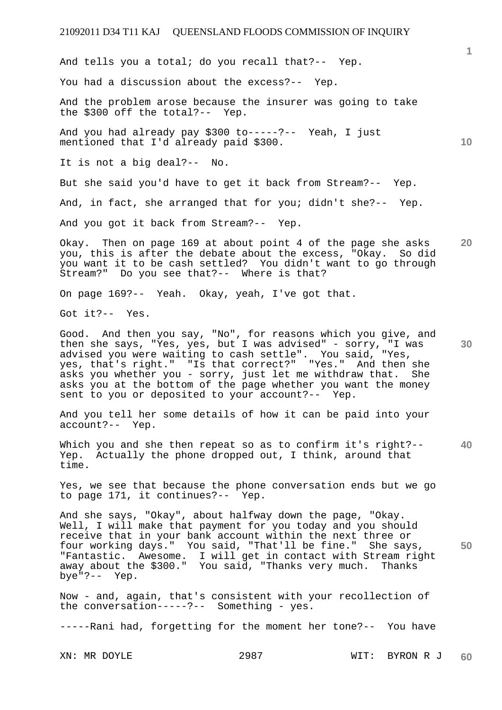**10 20**  And tells you a total; do you recall that?-- Yep. You had a discussion about the excess?-- Yep. And the problem arose because the insurer was going to take the \$300 off the total?-- Yep. And you had already pay \$300 to-----?-- Yeah, I just mentioned that I'd already paid \$300. It is not a big deal?-- No. But she said you'd have to get it back from Stream?-- Yep. And, in fact, she arranged that for you; didn't she?-- Yep. And you got it back from Stream?-- Yep. Okay. Then on page 169 at about point 4 of the page she asks you, this is after the debate about the excess, "Okay. So did you want it to be cash settled? You didn't want to go through Stream?" Do you see that?-- Where is that? On page 169?-- Yeah. Okay, yeah, I've got that.

Got it?-- Yes.

**30**  Good. And then you say, "No", for reasons which you give, and then she says, "Yes, yes, but I was advised" - sorry, "I was advised you were waiting to cash settle". You said, "Yes, yes, that's right." "Is that correct?" "Yes." And then she asks you whether you - sorry, just let me withdraw that. She asks you at the bottom of the page whether you want the money sent to you or deposited to your account?-- Yep.

And you tell her some details of how it can be paid into your account?-- Yep.

**40**  Which you and she then repeat so as to confirm it's right?-- Yep. Actually the phone dropped out, I think, around that time.

Yes, we see that because the phone conversation ends but we go to page 171, it continues?-- Yep.

**50**  And she says, "Okay", about halfway down the page, "Okay. Well, I will make that payment for you today and you should receive that in your bank account within the next three or four working days." You said, "That'll be fine." She says, "Fantastic. Awesome. I will get in contact with Stream right away about the \$300." You said, "Thanks very much. Thanks bye"?-- Yep.

Now - and, again, that's consistent with your recollection of the conversation-----?-- Something - yes.

-----Rani had, forgetting for the moment her tone?-- You have

XN: MR DOYLE 2987 WIT: BYRON R J **60**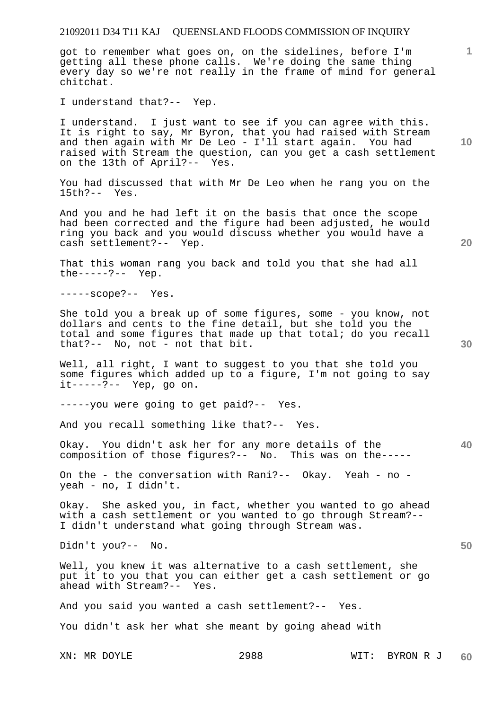got to remember what goes on, on the sidelines, before I'm getting all these phone calls. We're doing the same thing every day so we're not really in the frame of mind for general chitchat.

I understand that?-- Yep.

I understand. I just want to see if you can agree with this. It is right to say, Mr Byron, that you had raised with Stream and then again with Mr De Leo - I'll start again. You had raised with Stream the question, can you get a cash settlement on the 13th of April?-- Yes.

You had discussed that with Mr De Leo when he rang you on the 15th?-- Yes.

And you and he had left it on the basis that once the scope had been corrected and the figure had been adjusted, he would ring you back and you would discuss whether you would have a cash settlement?-- Yep.

That this woman rang you back and told you that she had all the-----?-- Yep.

-----scope?-- Yes.

She told you a break up of some figures, some - you know, not dollars and cents to the fine detail, but she told you the total and some figures that made up that total; do you recall that?-- No, not - not that bit.

Well, all right, I want to suggest to you that she told you some figures which added up to a figure, I'm not going to say it-----?-- Yep, go on.

-----you were going to get paid?-- Yes.

And you recall something like that?-- Yes.

Okay. You didn't ask her for any more details of the composition of those figures?-- No. This was on the-----

On the - the conversation with Rani?-- Okay. Yeah - no yeah - no, I didn't.

Okay. She asked you, in fact, whether you wanted to go ahead with a cash settlement or you wanted to go through Stream?-- I didn't understand what going through Stream was.

Didn't you?-- No.

Well, you knew it was alternative to a cash settlement, she put it to you that you can either get a cash settlement or go ahead with Stream?-- Yes.

And you said you wanted a cash settlement?-- Yes.

You didn't ask her what she meant by going ahead with

**10** 

**1**

**20** 

**40** 

**50**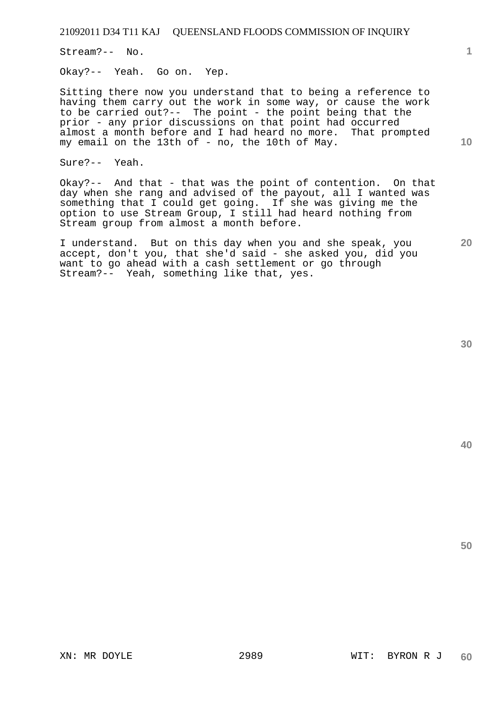Stream?-- No.

Okay?-- Yeah. Go on. Yep.

Sitting there now you understand that to being a reference to having them carry out the work in some way, or cause the work to be carried out?-- The point - the point being that the prior - any prior discussions on that point had occurred almost a month before and I had heard no more. That prompted my email on the 13th of - no, the 10th of May.

Sure?-- Yeah.

Okay?-- And that - that was the point of contention. On that day when she rang and advised of the payout, all I wanted was something that I could get going. If she was giving me the option to use Stream Group, I still had heard nothing from Stream group from almost a month before.

I understand. But on this day when you and she speak, you accept, don't you, that she'd said - she asked you, did you want to go ahead with a cash settlement or go through Stream?-- Yeah, something like that, yes.

**40** 

**50** 

**10**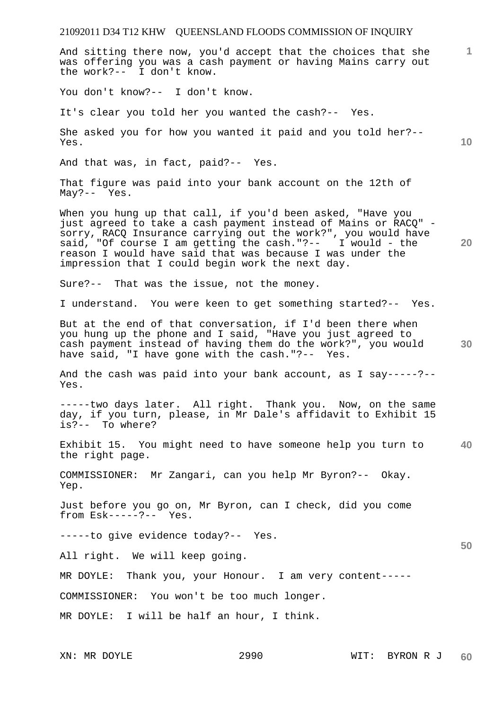And sitting there now, you'd accept that the choices that she was offering you was a cash payment or having Mains carry out the work?-- I don't know.

You don't know?-- I don't know.

It's clear you told her you wanted the cash?-- Yes.

She asked you for how you wanted it paid and you told her?-- Yes.

And that was, in fact, paid?-- Yes.

That figure was paid into your bank account on the 12th of May?-- Yes.

When you hung up that call, if you'd been asked, "Have you just agreed to take a cash payment instead of Mains or RACQ" sorry, RACQ Insurance carrying out the work?", you would have said, "Of course I am getting the cash."?-- I would - the reason I would have said that was because I was under the impression that I could begin work the next day.

Sure?-- That was the issue, not the money.

I understand. You were keen to get something started?-- Yes.

But at the end of that conversation, if I'd been there when you hung up the phone and I said, "Have you just agreed to cash payment instead of having them do the work?", you would have said, "I have gone with the cash."?-- Yes.

And the cash was paid into your bank account, as I say-----?-- Yes.

-----two days later. All right. Thank you. Now, on the same day, if you turn, please, in Mr Dale's affidavit to Exhibit 15 is?-- To where?

**40**  Exhibit 15. You might need to have someone help you turn to the right page.

COMMISSIONER: Mr Zangari, can you help Mr Byron?-- Okay. Yep.

Just before you go on, Mr Byron, can I check, did you come from Esk-----?-- Yes.

-----to give evidence today?-- Yes.

All right. We will keep going.

MR DOYLE: Thank you, your Honour. I am very content-----

COMMISSIONER: You won't be too much longer.

MR DOYLE: I will be half an hour, I think.

**1**

**10** 

**20** 

**30**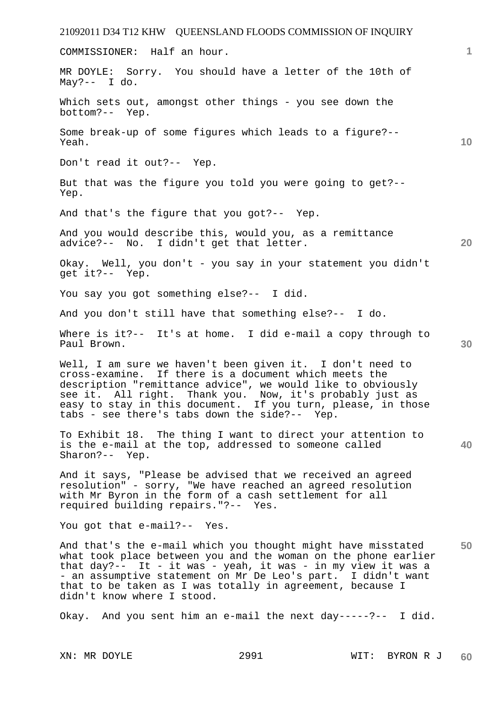21092011 D34 T12 KHW QUEENSLAND FLOODS COMMISSION OF INQUIRY **1 10 20 30 40 50**  COMMISSIONER: Half an hour. MR DOYLE: Sorry. You should have a letter of the 10th of May?-- I do. Which sets out, amongst other things - you see down the bottom?-- Yep. Some break-up of some figures which leads to a figure?-- Yeah. Don't read it out?-- Yep. But that was the figure you told you were going to get?-- Yep. And that's the figure that you got?-- Yep. And you would describe this, would you, as a remittance advice?-- No. I didn't get that letter. Okay. Well, you don't - you say in your statement you didn't get it?-- Yep. You say you got something else?-- I did. And you don't still have that something else?-- I do. Where is it?-- It's at home. I did e-mail a copy through to Paul Brown. Well, I am sure we haven't been given it. I don't need to cross-examine. If there is a document which meets the description "remittance advice", we would like to obviously see it. All right. Thank you. Now, it's probably just as easy to stay in this document. If you turn, please, in those tabs - see there's tabs down the side?-- Yep. To Exhibit 18. The thing I want to direct your attention to is the e-mail at the top, addressed to someone called Sharon?-- Yep. And it says, "Please be advised that we received an agreed resolution" - sorry, "We have reached an agreed resolution with Mr Byron in the form of a cash settlement for all required building repairs."?-- Yes. You got that e-mail?-- Yes. And that's the e-mail which you thought might have misstated what took place between you and the woman on the phone earlier that day?-- It - it was - yeah, it was - in my view it was a - an assumptive statement on Mr De Leo's part. I didn't want that to be taken as I was totally in agreement, because I didn't know where I stood. Okay. And you sent him an e-mail the next day-----?-- I did.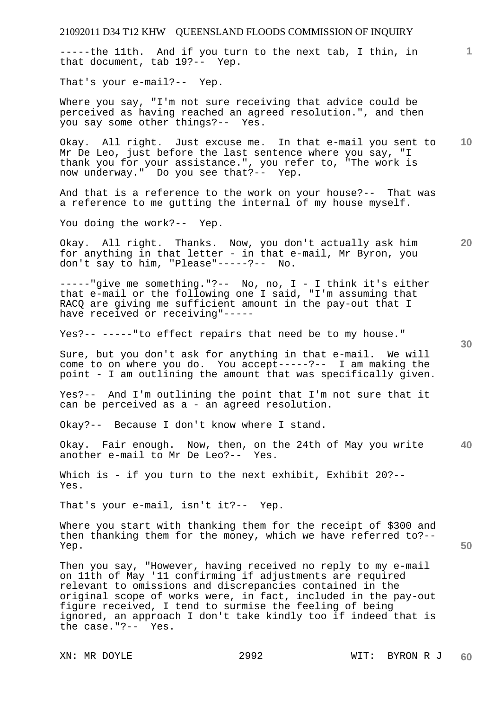| 21092011 D34 T12 KHW QUEENSLAND FLOODS COMMISSION OF INQUIRY                                                                                                                                                                                                                                                                                                                                                |                 |
|-------------------------------------------------------------------------------------------------------------------------------------------------------------------------------------------------------------------------------------------------------------------------------------------------------------------------------------------------------------------------------------------------------------|-----------------|
| -----the 11th. And if you turn to the next tab, I thin, in<br>that document, tab 19?-- Yep.                                                                                                                                                                                                                                                                                                                 | 1.              |
| That's your e-mail?-- Yep.                                                                                                                                                                                                                                                                                                                                                                                  |                 |
| Where you say, "I'm not sure receiving that advice could be<br>perceived as having reached an agreed resolution.", and then<br>you say some other things?-- Yes.                                                                                                                                                                                                                                            |                 |
| Okay. All right. Just excuse me. In that e-mail you sent to<br>Mr De Leo, just before the last sentence where you say, "I<br>thank you for your assistance.", you refer to, "The work is<br>now underway." Do you see that?-- Yep.                                                                                                                                                                          | 10 <sup>°</sup> |
| And that is a reference to the work on your house?-- That was<br>a reference to me gutting the internal of my house myself.                                                                                                                                                                                                                                                                                 |                 |
| You doing the work?-- Yep.                                                                                                                                                                                                                                                                                                                                                                                  |                 |
| Okay. All right. Thanks. Now, you don't actually ask him<br>for anything in that letter - in that e-mail, Mr Byron, you<br>don't say to him, "Please"-----?-- No.                                                                                                                                                                                                                                           | 20              |
| $---$ ---- "give me something."?-- No, no, I - I think it's either<br>that e-mail or the following one I said, "I'm assuming that<br>RACQ are giving me sufficient amount in the pay-out that I<br>have received or receiving"-----                                                                                                                                                                         |                 |
| Yes?-- -----"to effect repairs that need be to my house."                                                                                                                                                                                                                                                                                                                                                   | 30              |
| Sure, but you don't ask for anything in that e-mail. We will<br>come to on where you do. You accept-----?-- I am making the<br>point - I am outlining the amount that was specifically given.                                                                                                                                                                                                               |                 |
| Yes?-- And I'm outlining the point that I'm not sure that it<br>can be perceived as a - an agreed resolution.                                                                                                                                                                                                                                                                                               |                 |
| Okay?-- Because I don't know where I stand.                                                                                                                                                                                                                                                                                                                                                                 |                 |
| Okay. Fair enough. Now, then, on the 24th of May you write<br>another e-mail to Mr De Leo?-- Yes.                                                                                                                                                                                                                                                                                                           | 40              |
| Which is - if you turn to the next exhibit, Exhibit 20?--<br>Yes.                                                                                                                                                                                                                                                                                                                                           |                 |
| That's your e-mail, isn't it?-- Yep.                                                                                                                                                                                                                                                                                                                                                                        |                 |
| Where you start with thanking them for the receipt of \$300 and<br>then thanking them for the money, which we have referred to?--<br>Yep.                                                                                                                                                                                                                                                                   | 50              |
| Then you say, "However, having received no reply to my e-mail<br>on 11th of May '11 confirming if adjustments are required<br>relevant to omissions and discrepancies contained in the<br>original scope of works were, in fact, included in the pay-out<br>figure received, I tend to surmise the feeling of being<br>ignored, an approach I don't take kindly too if indeed that is<br>the case."?-- Yes. |                 |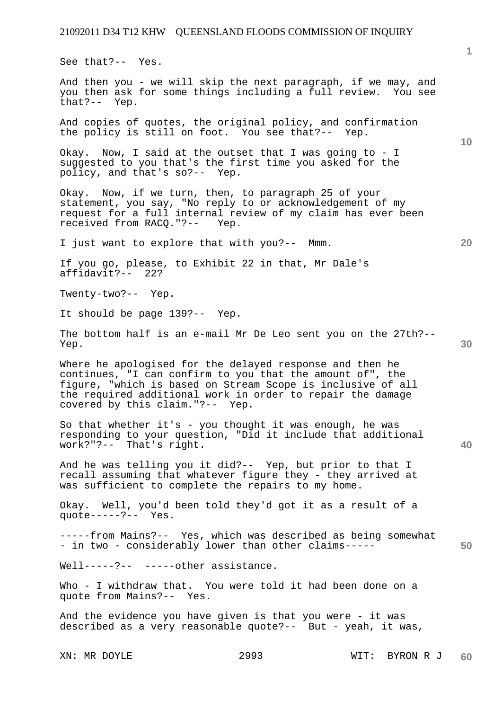See that?-- Yes.

And then you - we will skip the next paragraph, if we may, and you then ask for some things including a full review. You see that?-- Yep.

And copies of quotes, the original policy, and confirmation the policy is still on foot. You see that?-- Yep.

Okay. Now, I said at the outset that I was going to - I suggested to you that's the first time you asked for the policy, and that's so?-- Yep.

Okay. Now, if we turn, then, to paragraph 25 of your statement, you say, "No reply to or acknowledgement of my request for a full internal review of my claim has ever been received from RACQ."?-- Yep.

I just want to explore that with you?-- Mmm.

If you go, please, to Exhibit 22 in that, Mr Dale's affidavit?-- 22?

Twenty-two?-- Yep.

It should be page 139?-- Yep.

The bottom half is an e-mail Mr De Leo sent you on the 27th?-- Yep.

Where he apologised for the delayed response and then he continues, "I can confirm to you that the amount of", the figure, "which is based on Stream Scope is inclusive of all the required additional work in order to repair the damage covered by this claim."?-- Yep.

So that whether it's - you thought it was enough, he was responding to your question, "Did it include that additional work?"?-- That's right.

And he was telling you it did?-- Yep, but prior to that I recall assuming that whatever figure they - they arrived at was sufficient to complete the repairs to my home.

Okay. Well, you'd been told they'd got it as a result of a quote-----?-- Yes.

-----from Mains?-- Yes, which was described as being somewhat - in two - considerably lower than other claims-----

Well-----?-- -----other assistance.

Who - I withdraw that. You were told it had been done on a quote from Mains?-- Yes.

And the evidence you have given is that you were - it was described as a very reasonable quote?-- But - yeah, it was,

**10** 

**1**

**50**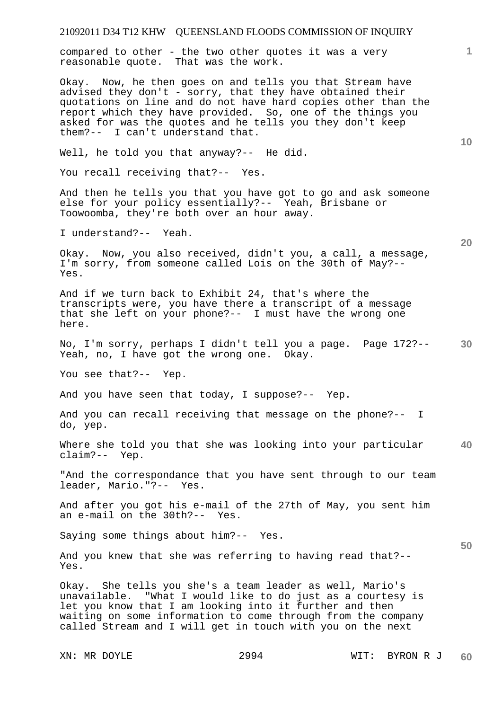compared to other - the two other quotes it was a very reasonable quote. That was the work.

Okay. Now, he then goes on and tells you that Stream have advised they don't - sorry, that they have obtained their quotations on line and do not have hard copies other than the report which they have provided. So, one of the things you asked for was the quotes and he tells you they don't keep them?-- I can't understand that.

Well, he told you that anyway?-- He did.

You recall receiving that?-- Yes.

And then he tells you that you have got to go and ask someone else for your policy essentially?-- Yeah, Brisbane or Toowoomba, they're both over an hour away.

I understand?-- Yeah.

Okay. Now, you also received, didn't you, a call, a message, I'm sorry, from someone called Lois on the 30th of May?-- Yes.

And if we turn back to Exhibit 24, that's where the transcripts were, you have there a transcript of a message that she left on your phone?-- I must have the wrong one here.

**30**  No, I'm sorry, perhaps I didn't tell you a page. Page 172?-- Yeah, no, I have got the wrong one. Okay.

You see that?-- Yep.

And you have seen that today, I suppose?-- Yep.

And you can recall receiving that message on the phone?-- I do, yep.

**40**  Where she told you that she was looking into your particular claim?-- Yep.

"And the correspondance that you have sent through to our team leader, Mario."?-- Yes.

And after you got his e-mail of the 27th of May, you sent him an e-mail on the 30th?-- Yes.

Saying some things about him?-- Yes.

And you knew that she was referring to having read that?-- Yes.

Okay. She tells you she's a team leader as well, Mario's unavailable. "What I would like to do just as a courtesy is let you know that I am looking into it further and then waiting on some information to come through from the company called Stream and I will get in touch with you on the next

**10** 

**1**

**20**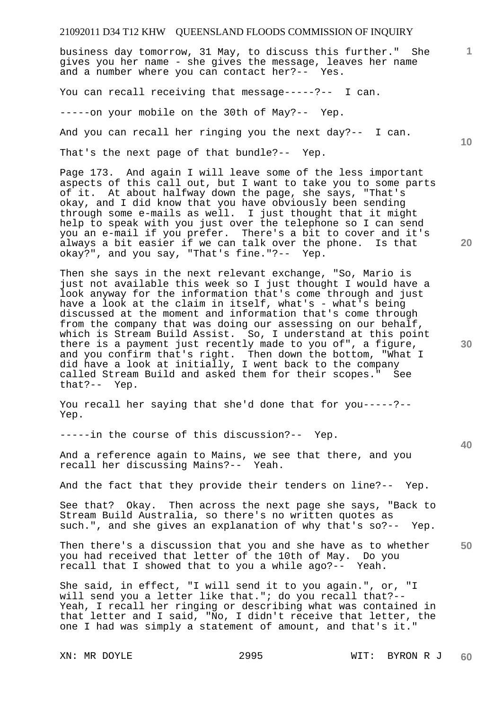business day tomorrow, 31 May, to discuss this further." She gives you her name - she gives the message, leaves her name and a number where you can contact her?-- Yes.

You can recall receiving that message-----?-- I can.

-----on your mobile on the 30th of May?-- Yep.

And you can recall her ringing you the next day?-- I can.

That's the next page of that bundle?-- Yep.

Page 173. And again I will leave some of the less important aspects of this call out, but I want to take you to some parts of it. At about halfway down the page, she says, "That's okay, and I did know that you have obviously been sending through some e-mails as well. I just thought that it might help to speak with you just over the telephone so I can send you an e-mail if you prefer. There's a bit to cover and it's always a bit easier if we can talk over the phone. Is that okay?", and you say, "That's fine."?-- Yep.

Then she says in the next relevant exchange, "So, Mario is just not available this week so I just thought I would have a look anyway for the information that's come through and just have a look at the claim in itself, what's - what's being discussed at the moment and information that's come through from the company that was doing our assessing on our behalf, which is Stream Build Assist. So, I understand at this point there is a payment just recently made to you of", a figure, and you confirm that's right. Then down the bottom, "What I did have a look at initially, I went back to the company called Stream Build and asked them for their scopes." See that?-- Yep.

You recall her saying that she'd done that for you-----?-- Yep.

-----in the course of this discussion?-- Yep.

And a reference again to Mains, we see that there, and you recall her discussing Mains?-- Yeah.

And the fact that they provide their tenders on line?-- Yep.

See that? Okay. Then across the next page she says, "Back to Stream Build Australia, so there's no written quotes as such.", and she gives an explanation of why that's so?-- Yep.

**50**  Then there's a discussion that you and she have as to whether you had received that letter of the 10th of May. Do you recall that I showed that to you a while ago?-- Yeah.

She said, in effect, "I will send it to you again.", or, "I will send you a letter like that."; do you recall that?-- Yeah, I recall her ringing or describing what was contained in that letter and I said, "No, I didn't receive that letter, the one I had was simply a statement of amount, and that's it."

**10** 

**20** 

**1**

**40**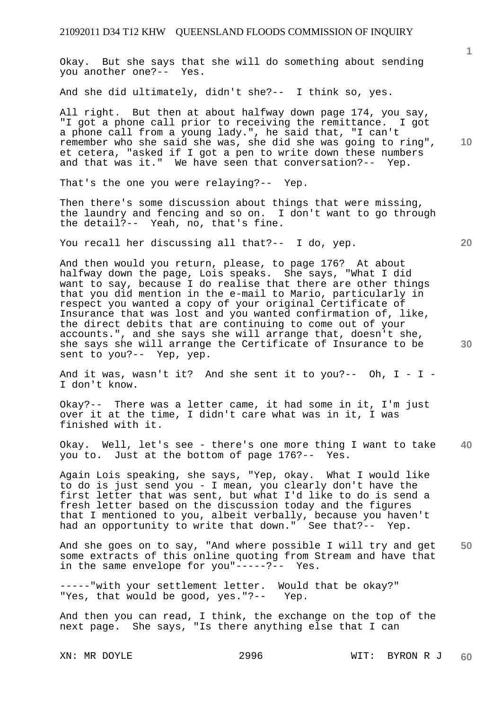Okay. But she says that she will do something about sending you another one?-- Yes.

And she did ultimately, didn't she?-- I think so, yes.

**10**  All right. But then at about halfway down page 174, you say, "I got a phone call prior to receiving the remittance. I got a phone call from a young lady.", he said that, "I can't remember who she said she was, she did she was going to ring", et cetera, "asked if I got a pen to write down these numbers and that was it." We have seen that conversation?-- Yep.

That's the one you were relaying?-- Yep.

Then there's some discussion about things that were missing, the laundry and fencing and so on. I don't want to go through the detail?-- Yeah, no, that's fine.

You recall her discussing all that?-- I do, yep.

And then would you return, please, to page 176? At about halfway down the page, Lois speaks. She says, "What I did want to say, because I do realise that there are other things that you did mention in the e-mail to Mario, particularly in respect you wanted a copy of your original Certificate of Insurance that was lost and you wanted confirmation of, like, the direct debits that are continuing to come out of your accounts.", and she says she will arrange that, doesn't she, she says she will arrange the Certificate of Insurance to be sent to you?-- Yep, yep.

And it was, wasn't it? And she sent it to you?-- Oh,  $I - I -$ I don't know.

Okay?-- There was a letter came, it had some in it, I'm just over it at the time, I didn't care what was in it, I was finished with it.

**40**  Okay. Well, let's see - there's one more thing I want to take you to. Just at the bottom of page 176?-- Yes.

Again Lois speaking, she says, "Yep, okay. What I would like to do is just send you - I mean, you clearly don't have the first letter that was sent, but what I'd like to do is send a fresh letter based on the discussion today and the figures that I mentioned to you, albeit verbally, because you haven't had an opportunity to write that down." See that?-- Yep.

**50**  And she goes on to say, "And where possible I will try and get some extracts of this online quoting from Stream and have that in the same envelope for you"-----?-- Yes.

-----"with your settlement letter. Would that be okay?" "Yes, that would be good, yes."?-- Yep.

And then you can read, I think, the exchange on the top of the next page. She says, "Is there anything else that I can

**20**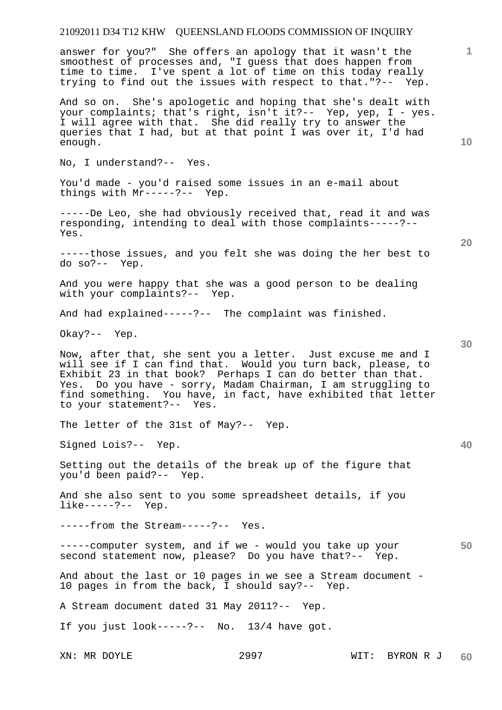answer for you?" She offers an apology that it wasn't the smoothest of processes and, "I guess that does happen from time to time. I've spent a lot of time on this today really trying to find out the issues with respect to that."?-- Yep.

And so on. She's apologetic and hoping that she's dealt with your complaints; that's right, isn't it?-- Yep, yep, I - yes. I will agree with that. She did really try to answer the queries that I had, but at that point I was over it, I'd had enough.

No, I understand?-- Yes.

You'd made - you'd raised some issues in an e-mail about things with Mr-----?-- Yep.

-----De Leo, she had obviously received that, read it and was responding, intending to deal with those complaints-----?-- Yes.

-----those issues, and you felt she was doing the her best to do so?-- Yep.

And you were happy that she was a good person to be dealing with your complaints?-- Yep.

And had explained-----?-- The complaint was finished.

Okay?-- Yep.

Now, after that, she sent you a letter. Just excuse me and I will see if I can find that. Would you turn back, please, to Exhibit 23 in that book? Perhaps I can do better than that. Yes. Do you have - sorry, Madam Chairman, I am struggling to find something. You have, in fact, have exhibited that letter to your statement?-- Yes.

The letter of the 31st of May?-- Yep.

Signed Lois?-- Yep.

Setting out the details of the break up of the figure that you'd been paid?-- Yep.

And she also sent to you some spreadsheet details, if you like-----?-- Yep.

-----from the Stream-----?-- Yes.

-----computer system, and if we - would you take up your second statement now, please? Do you have that?-- Yep.

And about the last or 10 pages in we see a Stream document - 10 pages in from the back, I should say?-- Yep.

A Stream document dated 31 May 2011?-- Yep.

If you just look-----?-- No. 13/4 have got.

**10** 

**20** 

**1**

**30** 

**40**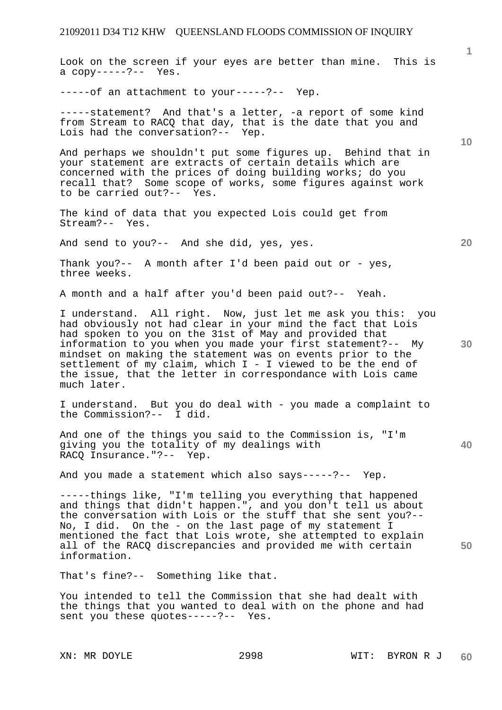**1 10**  Look on the screen if your eyes are better than mine. This is a copy-----?-- Yes. -----of an attachment to your-----?-- Yep. -----statement? And that's a letter, -a report of some kind from Stream to RACQ that day, that is the date that you and Lois had the conversation?-- Yep. And perhaps we shouldn't put some figures up. Behind that in your statement are extracts of certain details which are concerned with the prices of doing building works; do you

The kind of data that you expected Lois could get from Stream?-- Yes.

recall that? Some scope of works, some figures against work

And send to you?-- And she did, yes, yes.

to be carried out?-- Yes.

Thank you?-- A month after I'd been paid out or - yes, three weeks.

A month and a half after you'd been paid out?-- Yeah.

I understand. All right. Now, just let me ask you this: you had obviously not had clear in your mind the fact that Lois had spoken to you on the 31st of May and provided that information to you when you made your first statement?-- My mindset on making the statement was on events prior to the settlement of my claim, which I - I viewed to be the end of the issue, that the letter in correspondance with Lois came much later.

I understand. But you do deal with - you made a complaint to the Commission?-- I did.

And one of the things you said to the Commission is, "I'm giving you the totality of my dealings with RACQ Insurance."?-- Yep.

And you made a statement which also says-----?-- Yep.

-----things like, "I'm telling you everything that happened and things that didn't happen.", and you don't tell us about the conversation with Lois or the stuff that she sent you?-- No, I did. On the - on the last page of my statement I mentioned the fact that Lois wrote, she attempted to explain all of the RACQ discrepancies and provided me with certain information.

That's fine?-- Something like that.

You intended to tell the Commission that she had dealt with the things that you wanted to deal with on the phone and had sent you these quotes-----?-- Yes.

**20** 

**40**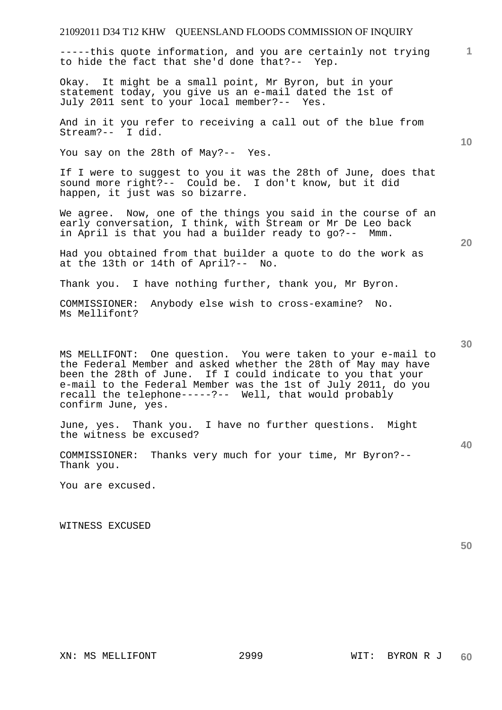-----this quote information, and you are certainly not trying to hide the fact that she'd done that?-- Yep.

Okay. It might be a small point, Mr Byron, but in your statement today, you give us an e-mail dated the 1st of July 2011 sent to your local member?-- Yes.

And in it you refer to receiving a call out of the blue from Stream?-- I did.

You say on the 28th of May?-- Yes.

If I were to suggest to you it was the 28th of June, does that sound more right?-- Could be. I don't know, but it did happen, it just was so bizarre.

We agree. Now, one of the things you said in the course of an early conversation, I think, with Stream or Mr De Leo back in April is that you had a builder ready to go?-- Mmm.

Had you obtained from that builder a quote to do the work as at the 13th or 14th of April?-- No.

Thank you. I have nothing further, thank you, Mr Byron.

COMMISSIONER: Anybody else wish to cross-examine? No. Ms Mellifont?

MS MELLIFONT: One question. You were taken to your e-mail to the Federal Member and asked whether the 28th of May may have been the 28th of June. If I could indicate to you that your e-mail to the Federal Member was the 1st of July 2011, do you recall the telephone-----?-- Well, that would probably confirm June, yes.

June, yes. Thank you. I have no further questions. Might the witness be excused?

COMMISSIONER: Thanks very much for your time, Mr Byron?-- Thank you.

You are excused.

WITNESS EXCUSED

**50** 

**10** 

**1**

**30** 

**40**